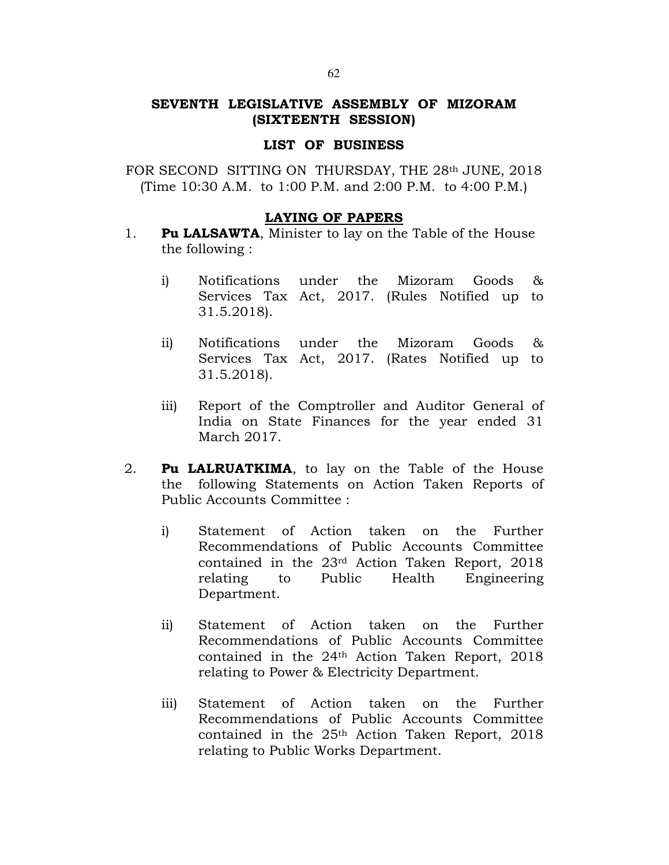# SEVENTH LEGISLATIVE ASSEMBLY OF MIZORAM (SIXTEENTH SESSION)

#### LIST OF BUSINESS

FOR SECOND SITTING ON THURSDAY, THE 28th JUNE, 2018 (Time 10:30 A.M. to 1:00 P.M. and 2:00 P.M. to 4:00 P.M.)

### LAYING OF PAPERS

- 1. Pu LALSAWTA, Minister to lay on the Table of the House the following :
	- i) Notifications under the Mizoram Goods & Services Tax Act, 2017. (Rules Notified up to 31.5.2018).
	- ii) Notifications under the Mizoram Goods & Services Tax Act, 2017. (Rates Notified up to 31.5.2018).
	- iii) Report of the Comptroller and Auditor General of India on State Finances for the year ended 31 March 2017.
- 2. Pu LALRUATKIMA, to lay on the Table of the House the following Statements on Action Taken Reports of Public Accounts Committee :
	- i) Statement of Action taken on the Further Recommendations of Public Accounts Committee contained in the 23rd Action Taken Report, 2018 relating to Public Health Engineering Department.
	- ii) Statement of Action taken on the Further Recommendations of Public Accounts Committee contained in the 24th Action Taken Report, 2018 relating to Power & Electricity Department.
	- iii) Statement of Action taken on the Further Recommendations of Public Accounts Committee contained in the 25th Action Taken Report, 2018 relating to Public Works Department.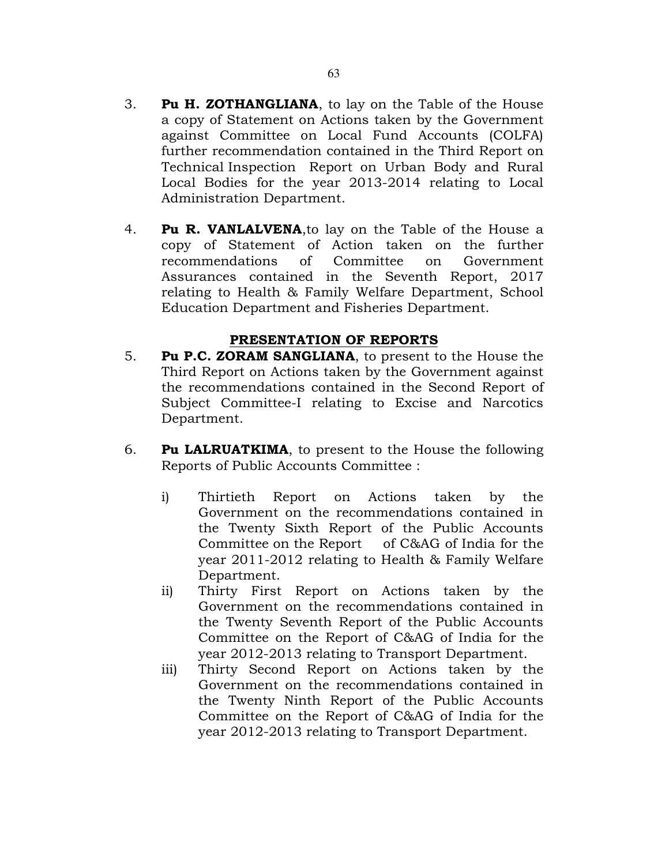- 3. Pu H. ZOTHANGLIANA, to lay on the Table of the House a copy of Statement on Actions taken by the Government against Committee on Local Fund Accounts (COLFA) further recommendation contained in the Third Report on Technical Inspection Report on Urban Body and Rural Local Bodies for the year 2013-2014 relating to Local Administration Department.
- 4. **Pu R. VANLALVENA**, to lay on the Table of the House a copy of Statement of Action taken on the further recommendations of Committee on Government Assurances contained in the Seventh Report, 2017 relating to Health & Family Welfare Department, School Education Department and Fisheries Department.

## PRESENTATION OF REPORTS

- 5. Pu P.C. ZORAM SANGLIANA, to present to the House the Third Report on Actions taken by the Government against the recommendations contained in the Second Report of Subject Committee-I relating to Excise and Narcotics Department.
- 6. Pu LALRUATKIMA, to present to the House the following Reports of Public Accounts Committee :
	- i) Thirtieth Report on Actions taken by the Government on the recommendations contained in the Twenty Sixth Report of the Public Accounts Committee on the Report of C&AG of India for the year 2011-2012 relating to Health & Family Welfare Department.
	- ii) Thirty First Report on Actions taken by the Government on the recommendations contained in the Twenty Seventh Report of the Public Accounts Committee on the Report of C&AG of India for the year 2012-2013 relating to Transport Department.
	- iii) Thirty Second Report on Actions taken by the Government on the recommendations contained in the Twenty Ninth Report of the Public Accounts Committee on the Report of C&AG of India for the year 2012-2013 relating to Transport Department.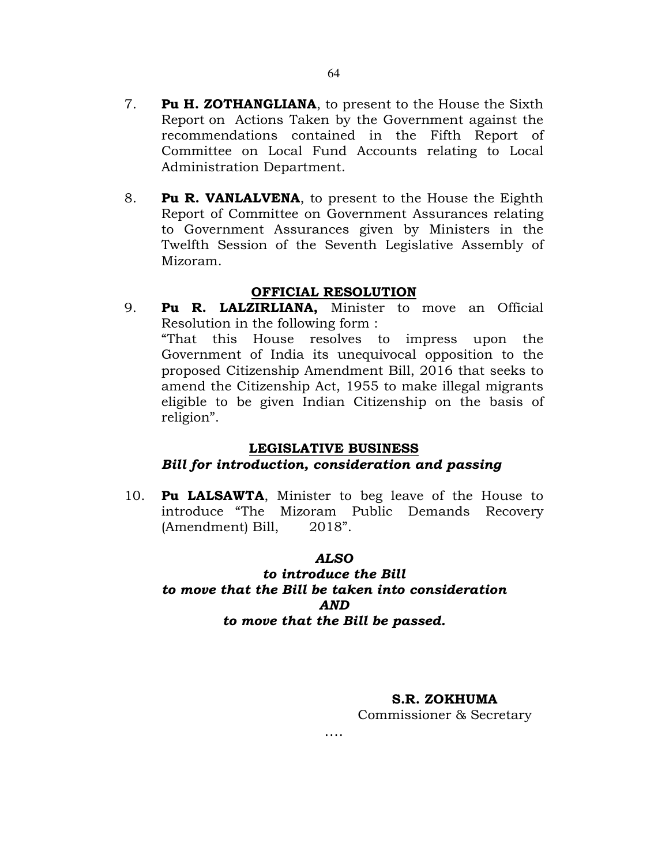8. **Pu R. VANLALVENA**, to present to the House the Eighth Report of Committee on Government Assurances relating to Government Assurances given by Ministers in the Twelfth Session of the Seventh Legislative Assembly of Mizoram.

# OFFICIAL RESOLUTION

9. Pu R. LALZIRLIANA, Minister to move an Official Resolution in the following form : "That this House resolves to impress upon the Government of India its unequivocal opposition to the proposed Citizenship Amendment Bill, 2016 that seeks to amend the Citizenship Act, 1955 to make illegal migrants eligible to be given Indian Citizenship on the basis of religion".

# LEGISLATIVE BUSINESS

# Bill for introduction, consideration and passing

10. **Pu LALSAWTA**, Minister to beg leave of the House to introduce "The Mizoram Public Demands Recovery (Amendment) Bill, 2018".

# ALSO

# to introduce the Bill to move that the Bill be taken into consideration AND to move that the Bill be passed.

….

# S.R. ZOKHUMA

Commissioner & Secretary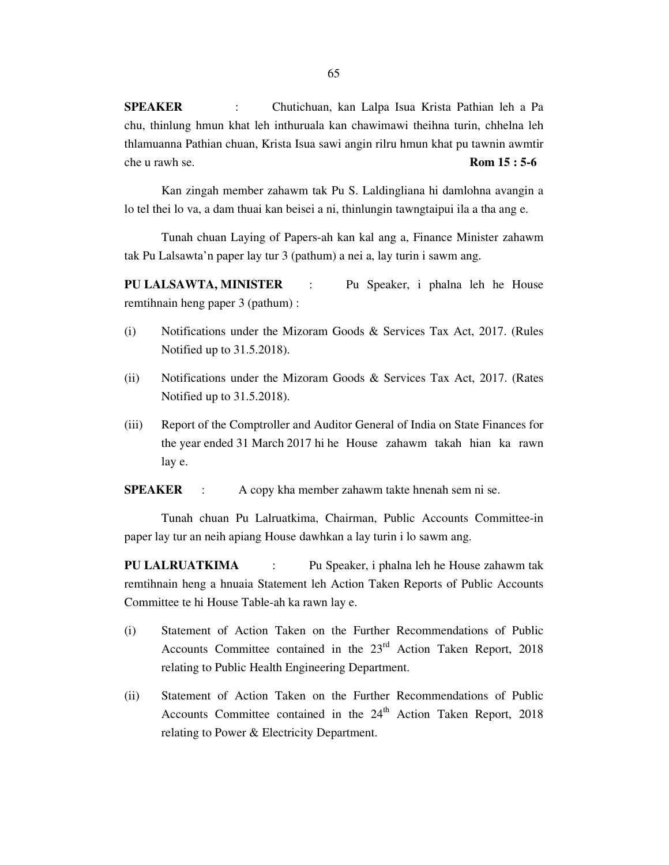**SPEAKER** : Chutichuan, kan Lalpa Isua Krista Pathian leh a Pa chu, thinlung hmun khat leh inthuruala kan chawimawi theihna turin, chhelna leh thlamuanna Pathian chuan, Krista Isua sawi angin rilru hmun khat pu tawnin awmtir che u rawh se. **Rom 15 : 5-6**

 Kan zingah member zahawm tak Pu S. Laldingliana hi damlohna avangin a lo tel thei lo va, a dam thuai kan beisei a ni, thinlungin tawngtaipui ila a tha ang e.

 Tunah chuan Laying of Papers-ah kan kal ang a, Finance Minister zahawm tak Pu Lalsawta'n paper lay tur 3 (pathum) a nei a, lay turin i sawm ang.

**PU LALSAWTA, MINISTER** : Pu Speaker, i phalna leh he House remtihnain heng paper 3 (pathum) :

- (i) Notifications under the Mizoram Goods & Services Tax Act, 2017. (Rules Notified up to 31.5.2018).
- (ii) Notifications under the Mizoram Goods & Services Tax Act, 2017. (Rates Notified up to 31.5.2018).
- (iii) Report of the Comptroller and Auditor General of India on State Finances for the year ended 31 March 2017 hi he House zahawm takah hian ka rawn lay e.

**SPEAKER** : A copy kha member zahawm takte hnenah sem ni se.

 Tunah chuan Pu Lalruatkima, Chairman, Public Accounts Committee-in paper lay tur an neih apiang House dawhkan a lay turin i lo sawm ang.

**PU LALRUATKIMA** : Pu Speaker, i phalna leh he House zahawm tak remtihnain heng a hnuaia Statement leh Action Taken Reports of Public Accounts Committee te hi House Table-ah ka rawn lay e.

- (i) Statement of Action Taken on the Further Recommendations of Public Accounts Committee contained in the 23<sup>rd</sup> Action Taken Report, 2018 relating to Public Health Engineering Department.
- (ii) Statement of Action Taken on the Further Recommendations of Public Accounts Committee contained in the  $24<sup>th</sup>$  Action Taken Report, 2018 relating to Power & Electricity Department.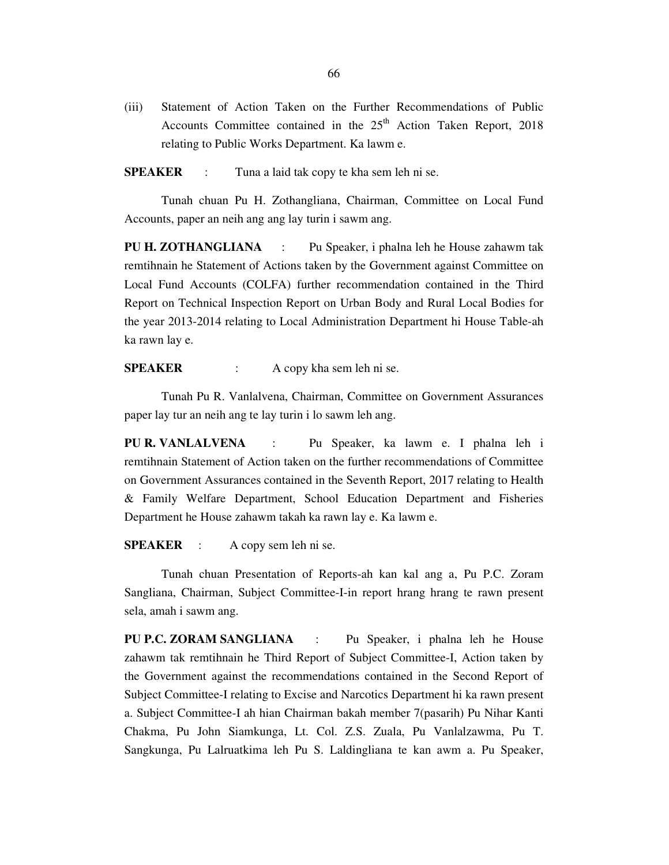(iii) Statement of Action Taken on the Further Recommendations of Public Accounts Committee contained in the  $25<sup>th</sup>$  Action Taken Report, 2018 relating to Public Works Department. Ka lawm e.

**SPEAKER** : Tuna a laid tak copy te kha sem leh ni se.

 Tunah chuan Pu H. Zothangliana, Chairman, Committee on Local Fund Accounts, paper an neih ang ang lay turin i sawm ang.

**PU H. ZOTHANGLIANA** : Pu Speaker, i phalna leh he House zahawm tak remtihnain he Statement of Actions taken by the Government against Committee on Local Fund Accounts (COLFA) further recommendation contained in the Third Report on Technical Inspection Report on Urban Body and Rural Local Bodies for the year 2013-2014 relating to Local Administration Department hi House Table-ah ka rawn lay e.

**SPEAKER** : A copy kha sem leh ni se.

 Tunah Pu R. Vanlalvena, Chairman, Committee on Government Assurances paper lay tur an neih ang te lay turin i lo sawm leh ang.

**PU R. VANLALVENA** : Pu Speaker, ka lawm e. I phalna leh i remtihnain Statement of Action taken on the further recommendations of Committee on Government Assurances contained in the Seventh Report, 2017 relating to Health & Family Welfare Department, School Education Department and Fisheries Department he House zahawm takah ka rawn lay e. Ka lawm e.

**SPEAKER** : A copy sem leh ni se.

 Tunah chuan Presentation of Reports-ah kan kal ang a, Pu P.C. Zoram Sangliana, Chairman, Subject Committee-I-in report hrang hrang te rawn present sela, amah i sawm ang.

**PU P.C. ZORAM SANGLIANA** : Pu Speaker, i phalna leh he House zahawm tak remtihnain he Third Report of Subject Committee-I, Action taken by the Government against the recommendations contained in the Second Report of Subject Committee-I relating to Excise and Narcotics Department hi ka rawn present a. Subject Committee-I ah hian Chairman bakah member 7(pasarih) Pu Nihar Kanti Chakma, Pu John Siamkunga, Lt. Col. Z.S. Zuala, Pu Vanlalzawma, Pu T. Sangkunga, Pu Lalruatkima leh Pu S. Laldingliana te kan awm a. Pu Speaker,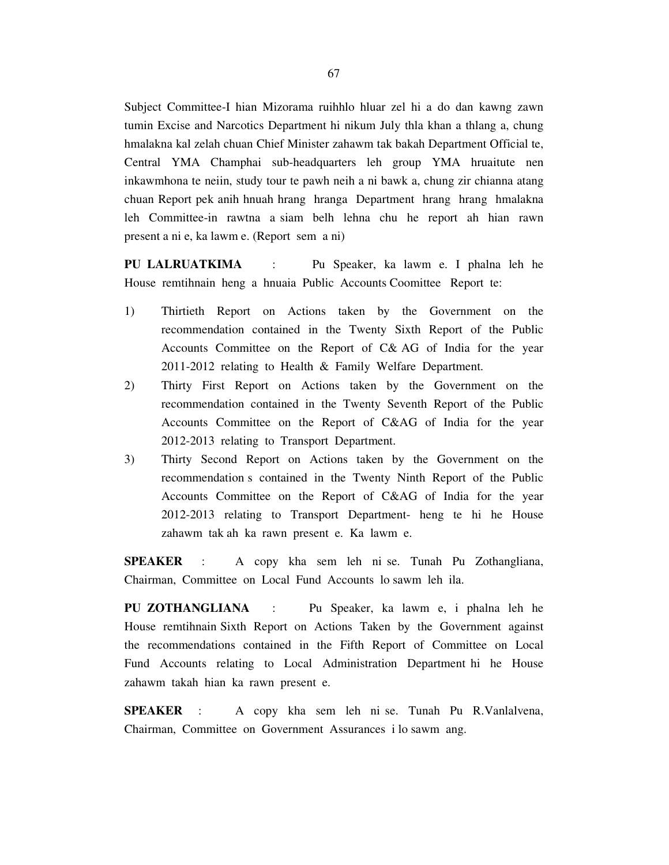Subject Committee-I hian Mizorama ruihhlo hluar zel hi a do dan kawng zawn tumin Excise and Narcotics Department hi nikum July thla khan a thlang a, chung hmalakna kal zelah chuan Chief Minister zahawm tak bakah Department Official te, Central YMA Champhai sub-headquarters leh group YMA hruaitute nen inkawmhona te neiin, study tour te pawh neih a ni bawk a, chung zir chianna atang chuan Report pek anih hnuah hrang hranga Department hrang hrang hmalakna leh Committee-in rawtna a siam belh lehna chu he report ah hian rawn present a ni e, ka lawm e. (Report sem a ni)

**PU LALRUATKIMA** : Pu Speaker, ka lawm e. I phalna leh he House remtihnain heng a hnuaia Public Accounts Coomittee Report te:

- 1) Thirtieth Report on Actions taken by the Government on the recommendation contained in the Twenty Sixth Report of the Public Accounts Committee on the Report of C& AG of India for the year 2011-2012 relating to Health & Family Welfare Department.
- 2) Thirty First Report on Actions taken by the Government on the recommendation contained in the Twenty Seventh Report of the Public Accounts Committee on the Report of C&AG of India for the year 2012-2013 relating to Transport Department.
- 3) Thirty Second Report on Actions taken by the Government on the recommendation s contained in the Twenty Ninth Report of the Public Accounts Committee on the Report of C&AG of India for the year 2012-2013 relating to Transport Department- heng te hi he House zahawm tak ah ka rawn present e. Ka lawm e.

**SPEAKER** : A copy kha sem leh ni se. Tunah Pu Zothangliana, Chairman, Committee on Local Fund Accounts lo sawm leh ila.

**PU ZOTHANGLIANA** : Pu Speaker, ka lawm e, i phalna leh he House remtihnain Sixth Report on Actions Taken by the Government against the recommendations contained in the Fifth Report of Committee on Local Fund Accounts relating to Local Administration Department hi he House zahawm takah hian ka rawn present e.

**SPEAKER** : A copy kha sem leh ni se. Tunah Pu R.Vanlalvena, Chairman, Committee on Government Assurances i lo sawm ang.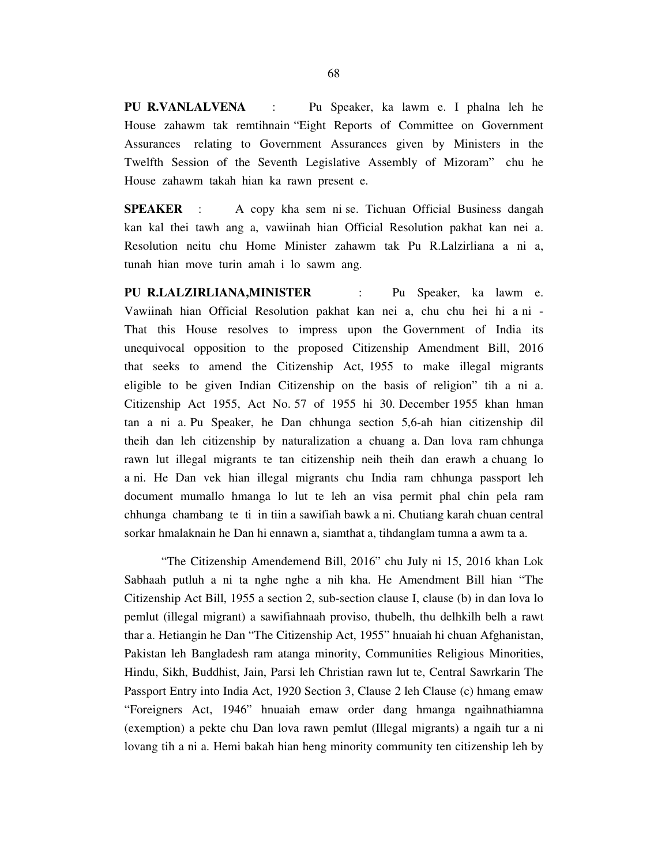**PU R.VANLALVENA** : Pu Speaker, ka lawm e. I phalna leh he House zahawm tak remtihnain "Eight Reports of Committee on Government Assurances relating to Government Assurances given by Ministers in the Twelfth Session of the Seventh Legislative Assembly of Mizoram" chu he House zahawm takah hian ka rawn present e.

**SPEAKER** : A copy kha sem ni se. Tichuan Official Business dangah kan kal thei tawh ang a, vawiinah hian Official Resolution pakhat kan nei a. Resolution neitu chu Home Minister zahawm tak Pu R.Lalzirliana a ni a, tunah hian move turin amah i lo sawm ang.

**PU R.LALZIRLIANA,MINISTER** : Pu Speaker, ka lawm e. Vawiinah hian Official Resolution pakhat kan nei a, chu chu hei hi a ni - That this House resolves to impress upon the Government of India its unequivocal opposition to the proposed Citizenship Amendment Bill, 2016 that seeks to amend the Citizenship Act, 1955 to make illegal migrants eligible to be given Indian Citizenship on the basis of religion" tih a ni a. Citizenship Act 1955, Act No. 57 of 1955 hi 30. December 1955 khan hman tan a ni a. Pu Speaker, he Dan chhunga section 5,6-ah hian citizenship dil theih dan leh citizenship by naturalization a chuang a. Dan lova ram chhunga rawn lut illegal migrants te tan citizenship neih theih dan erawh a chuang lo a ni. He Dan vek hian illegal migrants chu India ram chhunga passport leh document mumallo hmanga lo lut te leh an visa permit phal chin pela ram chhunga chambang te ti in tiin a sawifiah bawk a ni. Chutiang karah chuan central sorkar hmalaknain he Dan hi ennawn a, siamthat a, tihdanglam tumna a awm ta a.

 "The Citizenship Amendemend Bill, 2016" chu July ni 15, 2016 khan Lok Sabhaah putluh a ni ta nghe nghe a nih kha. He Amendment Bill hian "The Citizenship Act Bill, 1955 a section 2, sub-section clause I, clause (b) in dan lova lo pemlut (illegal migrant) a sawifiahnaah proviso, thubelh, thu delhkilh belh a rawt thar a. Hetiangin he Dan "The Citizenship Act, 1955" hnuaiah hi chuan Afghanistan, Pakistan leh Bangladesh ram atanga minority, Communities Religious Minorities, Hindu, Sikh, Buddhist, Jain, Parsi leh Christian rawn lut te, Central Sawrkarin The Passport Entry into India Act, 1920 Section 3, Clause 2 leh Clause (c) hmang emaw "Foreigners Act, 1946" hnuaiah emaw order dang hmanga ngaihnathiamna (exemption) a pekte chu Dan lova rawn pemlut (Illegal migrants) a ngaih tur a ni lovang tih a ni a. Hemi bakah hian heng minority community ten citizenship leh by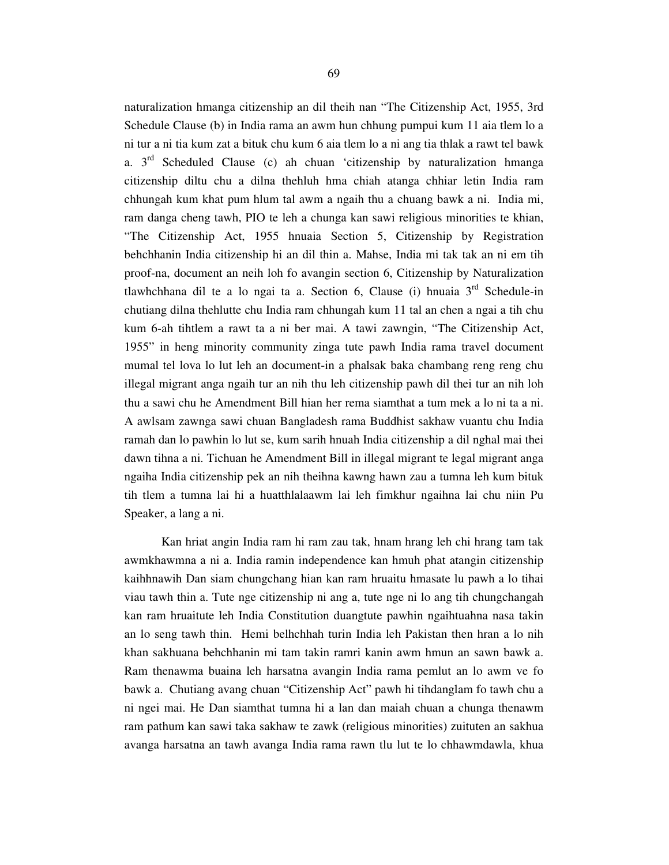naturalization hmanga citizenship an dil theih nan "The Citizenship Act, 1955, 3rd Schedule Clause (b) in India rama an awm hun chhung pumpui kum 11 aia tlem lo a ni tur a ni tia kum zat a bituk chu kum 6 aia tlem lo a ni ang tia thlak a rawt tel bawk a. 3rd Scheduled Clause (c) ah chuan 'citizenship by naturalization hmanga citizenship diltu chu a dilna thehluh hma chiah atanga chhiar letin India ram chhungah kum khat pum hlum tal awm a ngaih thu a chuang bawk a ni. India mi, ram danga cheng tawh, PIO te leh a chunga kan sawi religious minorities te khian, "The Citizenship Act, 1955 hnuaia Section 5, Citizenship by Registration behchhanin India citizenship hi an dil thin a. Mahse, India mi tak tak an ni em tih proof-na, document an neih loh fo avangin section 6, Citizenship by Naturalization tlawhchhana dil te a lo ngai ta a. Section 6, Clause (i) hnuaia  $3<sup>rd</sup>$  Schedule-in chutiang dilna thehlutte chu India ram chhungah kum 11 tal an chen a ngai a tih chu kum 6-ah tihtlem a rawt ta a ni ber mai. A tawi zawngin, "The Citizenship Act, 1955" in heng minority community zinga tute pawh India rama travel document mumal tel lova lo lut leh an document-in a phalsak baka chambang reng reng chu illegal migrant anga ngaih tur an nih thu leh citizenship pawh dil thei tur an nih loh thu a sawi chu he Amendment Bill hian her rema siamthat a tum mek a lo ni ta a ni. A awlsam zawnga sawi chuan Bangladesh rama Buddhist sakhaw vuantu chu India ramah dan lo pawhin lo lut se, kum sarih hnuah India citizenship a dil nghal mai thei dawn tihna a ni. Tichuan he Amendment Bill in illegal migrant te legal migrant anga ngaiha India citizenship pek an nih theihna kawng hawn zau a tumna leh kum bituk tih tlem a tumna lai hi a huatthlalaawm lai leh fimkhur ngaihna lai chu niin Pu Speaker, a lang a ni.

 Kan hriat angin India ram hi ram zau tak, hnam hrang leh chi hrang tam tak awmkhawmna a ni a. India ramin independence kan hmuh phat atangin citizenship kaihhnawih Dan siam chungchang hian kan ram hruaitu hmasate lu pawh a lo tihai viau tawh thin a. Tute nge citizenship ni ang a, tute nge ni lo ang tih chungchangah kan ram hruaitute leh India Constitution duangtute pawhin ngaihtuahna nasa takin an lo seng tawh thin. Hemi belhchhah turin India leh Pakistan then hran a lo nih khan sakhuana behchhanin mi tam takin ramri kanin awm hmun an sawn bawk a. Ram thenawma buaina leh harsatna avangin India rama pemlut an lo awm ve fo bawk a. Chutiang avang chuan "Citizenship Act" pawh hi tihdanglam fo tawh chu a ni ngei mai. He Dan siamthat tumna hi a lan dan maiah chuan a chunga thenawm ram pathum kan sawi taka sakhaw te zawk (religious minorities) zuituten an sakhua avanga harsatna an tawh avanga India rama rawn tlu lut te lo chhawmdawla, khua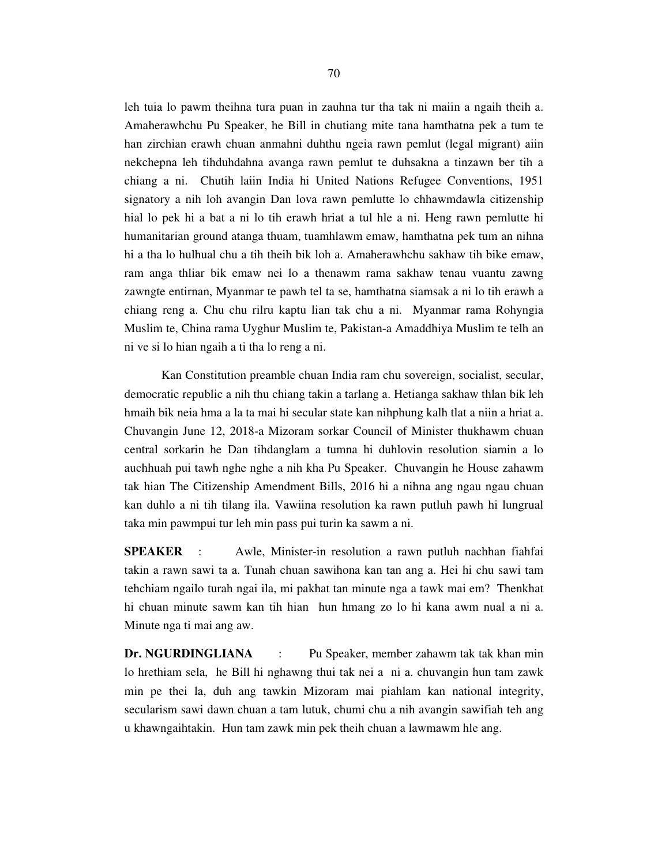leh tuia lo pawm theihna tura puan in zauhna tur tha tak ni maiin a ngaih theih a. Amaherawhchu Pu Speaker, he Bill in chutiang mite tana hamthatna pek a tum te han zirchian erawh chuan anmahni duhthu ngeia rawn pemlut (legal migrant) aiin nekchepna leh tihduhdahna avanga rawn pemlut te duhsakna a tinzawn ber tih a chiang a ni. Chutih laiin India hi United Nations Refugee Conventions, 1951 signatory a nih loh avangin Dan lova rawn pemlutte lo chhawmdawla citizenship hial lo pek hi a bat a ni lo tih erawh hriat a tul hle a ni. Heng rawn pemlutte hi humanitarian ground atanga thuam, tuamhlawm emaw, hamthatna pek tum an nihna hi a tha lo hulhual chu a tih theih bik loh a. Amaherawhchu sakhaw tih bike emaw, ram anga thliar bik emaw nei lo a thenawm rama sakhaw tenau vuantu zawng zawngte entirnan, Myanmar te pawh tel ta se, hamthatna siamsak a ni lo tih erawh a chiang reng a. Chu chu rilru kaptu lian tak chu a ni. Myanmar rama Rohyngia Muslim te, China rama Uyghur Muslim te, Pakistan-a Amaddhiya Muslim te telh an ni ve si lo hian ngaih a ti tha lo reng a ni.

 Kan Constitution preamble chuan India ram chu sovereign, socialist, secular, democratic republic a nih thu chiang takin a tarlang a. Hetianga sakhaw thlan bik leh hmaih bik neia hma a la ta mai hi secular state kan nihphung kalh tlat a niin a hriat a. Chuvangin June 12, 2018-a Mizoram sorkar Council of Minister thukhawm chuan central sorkarin he Dan tihdanglam a tumna hi duhlovin resolution siamin a lo auchhuah pui tawh nghe nghe a nih kha Pu Speaker. Chuvangin he House zahawm tak hian The Citizenship Amendment Bills, 2016 hi a nihna ang ngau ngau chuan kan duhlo a ni tih tilang ila. Vawiina resolution ka rawn putluh pawh hi lungrual taka min pawmpui tur leh min pass pui turin ka sawm a ni.

**SPEAKER** : Awle, Minister-in resolution a rawn putluh nachhan fiahfai takin a rawn sawi ta a. Tunah chuan sawihona kan tan ang a. Hei hi chu sawi tam tehchiam ngailo turah ngai ila, mi pakhat tan minute nga a tawk mai em? Thenkhat hi chuan minute sawm kan tih hian hun hmang zo lo hi kana awm nual a ni a. Minute nga ti mai ang aw.

**Dr. NGURDINGLIANA** : Pu Speaker, member zahawm tak tak khan min lo hrethiam sela, he Bill hi nghawng thui tak nei a ni a. chuvangin hun tam zawk min pe thei la, duh ang tawkin Mizoram mai piahlam kan national integrity, secularism sawi dawn chuan a tam lutuk, chumi chu a nih avangin sawifiah teh ang u khawngaihtakin. Hun tam zawk min pek theih chuan a lawmawm hle ang.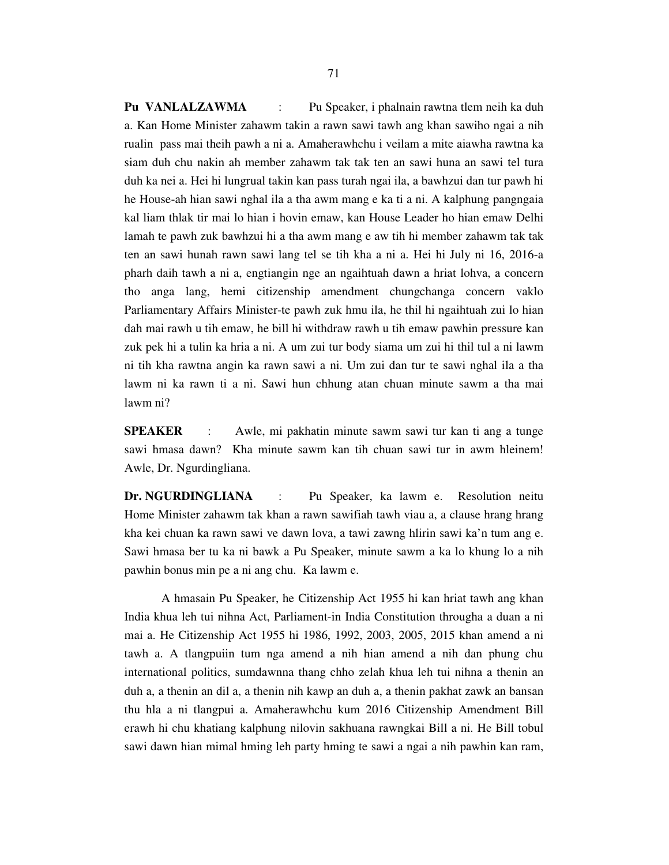**Pu VANLALZAWMA** : Pu Speaker, i phalnain rawtna tlem neih ka duh a. Kan Home Minister zahawm takin a rawn sawi tawh ang khan sawiho ngai a nih rualin pass mai theih pawh a ni a. Amaherawhchu i veilam a mite aiawha rawtna ka siam duh chu nakin ah member zahawm tak tak ten an sawi huna an sawi tel tura duh ka nei a. Hei hi lungrual takin kan pass turah ngai ila, a bawhzui dan tur pawh hi he House-ah hian sawi nghal ila a tha awm mang e ka ti a ni. A kalphung pangngaia kal liam thlak tir mai lo hian i hovin emaw, kan House Leader ho hian emaw Delhi lamah te pawh zuk bawhzui hi a tha awm mang e aw tih hi member zahawm tak tak ten an sawi hunah rawn sawi lang tel se tih kha a ni a. Hei hi July ni 16, 2016-a pharh daih tawh a ni a, engtiangin nge an ngaihtuah dawn a hriat lohva, a concern tho anga lang, hemi citizenship amendment chungchanga concern vaklo Parliamentary Affairs Minister-te pawh zuk hmu ila, he thil hi ngaihtuah zui lo hian dah mai rawh u tih emaw, he bill hi withdraw rawh u tih emaw pawhin pressure kan zuk pek hi a tulin ka hria a ni. A um zui tur body siama um zui hi thil tul a ni lawm ni tih kha rawtna angin ka rawn sawi a ni. Um zui dan tur te sawi nghal ila a tha lawm ni ka rawn ti a ni. Sawi hun chhung atan chuan minute sawm a tha mai lawm ni?

**SPEAKER** : Awle, mi pakhatin minute sawm sawi tur kan ti ang a tunge sawi hmasa dawn? Kha minute sawm kan tih chuan sawi tur in awm hleinem! Awle, Dr. Ngurdingliana.

**Dr. NGURDINGLIANA** : Pu Speaker, ka lawm e. Resolution neitu Home Minister zahawm tak khan a rawn sawifiah tawh viau a, a clause hrang hrang kha kei chuan ka rawn sawi ve dawn lova, a tawi zawng hlirin sawi ka'n tum ang e. Sawi hmasa ber tu ka ni bawk a Pu Speaker, minute sawm a ka lo khung lo a nih pawhin bonus min pe a ni ang chu. Ka lawm e.

 A hmasain Pu Speaker, he Citizenship Act 1955 hi kan hriat tawh ang khan India khua leh tui nihna Act, Parliament-in India Constitution througha a duan a ni mai a. He Citizenship Act 1955 hi 1986, 1992, 2003, 2005, 2015 khan amend a ni tawh a. A tlangpuiin tum nga amend a nih hian amend a nih dan phung chu international politics, sumdawnna thang chho zelah khua leh tui nihna a thenin an duh a, a thenin an dil a, a thenin nih kawp an duh a, a thenin pakhat zawk an bansan thu hla a ni tlangpui a. Amaherawhchu kum 2016 Citizenship Amendment Bill erawh hi chu khatiang kalphung nilovin sakhuana rawngkai Bill a ni. He Bill tobul sawi dawn hian mimal hming leh party hming te sawi a ngai a nih pawhin kan ram,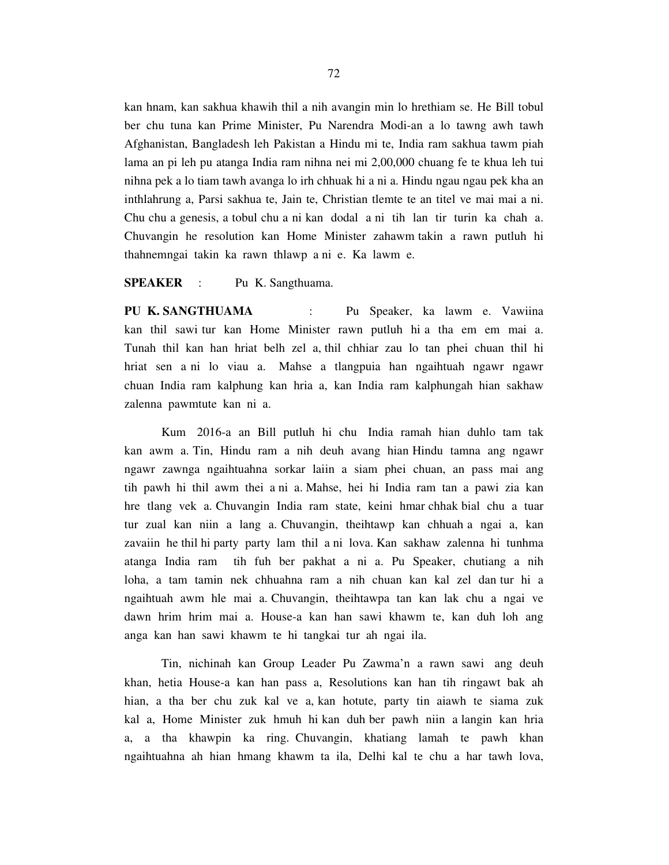kan hnam, kan sakhua khawih thil a nih avangin min lo hrethiam se. He Bill tobul ber chu tuna kan Prime Minister, Pu Narendra Modi-an a lo tawng awh tawh Afghanistan, Bangladesh leh Pakistan a Hindu mi te, India ram sakhua tawm piah lama an pi leh pu atanga India ram nihna nei mi 2,00,000 chuang fe te khua leh tui nihna pek a lo tiam tawh avanga lo irh chhuak hi a ni a. Hindu ngau ngau pek kha an inthlahrung a, Parsi sakhua te, Jain te, Christian tlemte te an titel ve mai mai a ni. Chu chu a genesis, a tobul chu a ni kan dodal a ni tih lan tir turin ka chah a. Chuvangin he resolution kan Home Minister zahawm takin a rawn putluh hi thahnemngai takin ka rawn thlawp a ni e. Ka lawm e.

**SPEAKER** : Pu K. Sangthuama.

**PU K. SANGTHUAMA** : Pu Speaker, ka lawm e. Vawiina kan thil sawi tur kan Home Minister rawn putluh hi a tha em em mai a. Tunah thil kan han hriat belh zel a, thil chhiar zau lo tan phei chuan thil hi hriat sen a ni lo viau a. Mahse a tlangpuia han ngaihtuah ngawr ngawr chuan India ram kalphung kan hria a, kan India ram kalphungah hian sakhaw zalenna pawmtute kan ni a.

 Kum 2016-a an Bill putluh hi chu India ramah hian duhlo tam tak kan awm a. Tin, Hindu ram a nih deuh avang hian Hindu tamna ang ngawr ngawr zawnga ngaihtuahna sorkar laiin a siam phei chuan, an pass mai ang tih pawh hi thil awm thei a ni a. Mahse, hei hi India ram tan a pawi zia kan hre tlang vek a. Chuvangin India ram state, keini hmar chhak bial chu a tuar tur zual kan niin a lang a. Chuvangin, theihtawp kan chhuah a ngai a, kan zavaiin he thil hi party party lam thil a ni lova. Kan sakhaw zalenna hi tunhma atanga India ram tih fuh ber pakhat a ni a. Pu Speaker, chutiang a nih loha, a tam tamin nek chhuahna ram a nih chuan kan kal zel dan tur hi a ngaihtuah awm hle mai a. Chuvangin, theihtawpa tan kan lak chu a ngai ve dawn hrim hrim mai a. House-a kan han sawi khawm te, kan duh loh ang anga kan han sawi khawm te hi tangkai tur ah ngai ila.

 Tin, nichinah kan Group Leader Pu Zawma'n a rawn sawi ang deuh khan, hetia House-a kan han pass a, Resolutions kan han tih ringawt bak ah hian, a tha ber chu zuk kal ve a, kan hotute, party tin aiawh te siama zuk kal a, Home Minister zuk hmuh hi kan duh ber pawh niin a langin kan hria a, a tha khawpin ka ring. Chuvangin, khatiang lamah te pawh khan ngaihtuahna ah hian hmang khawm ta ila, Delhi kal te chu a har tawh lova,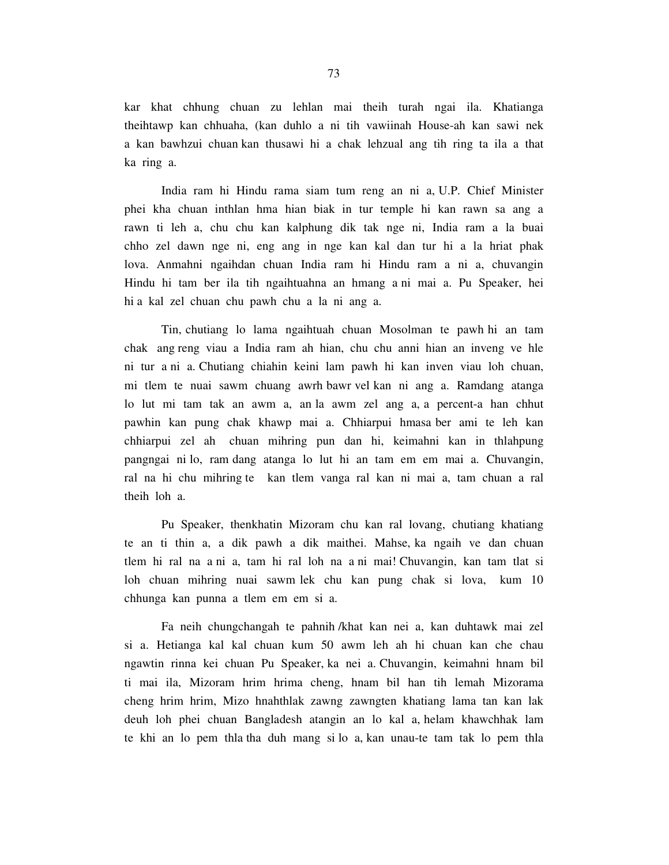kar khat chhung chuan zu lehlan mai theih turah ngai ila. Khatianga theihtawp kan chhuaha, (kan duhlo a ni tih vawiinah House-ah kan sawi nek a kan bawhzui chuan kan thusawi hi a chak lehzual ang tih ring ta ila a that ka ring a.

 India ram hi Hindu rama siam tum reng an ni a, U.P. Chief Minister phei kha chuan inthlan hma hian biak in tur temple hi kan rawn sa ang a rawn ti leh a, chu chu kan kalphung dik tak nge ni, India ram a la buai chho zel dawn nge ni, eng ang in nge kan kal dan tur hi a la hriat phak lova. Anmahni ngaihdan chuan India ram hi Hindu ram a ni a, chuvangin Hindu hi tam ber ila tih ngaihtuahna an hmang a ni mai a. Pu Speaker, hei hi a kal zel chuan chu pawh chu a la ni ang a.

 Tin, chutiang lo lama ngaihtuah chuan Mosolman te pawh hi an tam chak ang reng viau a India ram ah hian, chu chu anni hian an inveng ve hle ni tur a ni a. Chutiang chiahin keini lam pawh hi kan inven viau loh chuan, mi tlem te nuai sawm chuang awrh bawr vel kan ni ang a. Ramdang atanga lo lut mi tam tak an awm a, an la awm zel ang a, a percent-a han chhut pawhin kan pung chak khawp mai a. Chhiarpui hmasa ber ami te leh kan chhiarpui zel ah chuan mihring pun dan hi, keimahni kan in thlahpung pangngai ni lo, ram dang atanga lo lut hi an tam em em mai a. Chuvangin, ral na hi chu mihring te kan tlem vanga ral kan ni mai a, tam chuan a ral theih loh a.

 Pu Speaker, thenkhatin Mizoram chu kan ral lovang, chutiang khatiang te an ti thin a, a dik pawh a dik maithei. Mahse, ka ngaih ve dan chuan tlem hi ral na a ni a, tam hi ral loh na a ni mai! Chuvangin, kan tam tlat si loh chuan mihring nuai sawm lek chu kan pung chak si lova, kum 10 chhunga kan punna a tlem em em si a.

 Fa neih chungchangah te pahnih /khat kan nei a, kan duhtawk mai zel si a. Hetianga kal kal chuan kum 50 awm leh ah hi chuan kan che chau ngawtin rinna kei chuan Pu Speaker, ka nei a. Chuvangin, keimahni hnam bil ti mai ila, Mizoram hrim hrima cheng, hnam bil han tih lemah Mizorama cheng hrim hrim, Mizo hnahthlak zawng zawngten khatiang lama tan kan lak deuh loh phei chuan Bangladesh atangin an lo kal a, helam khawchhak lam te khi an lo pem thla tha duh mang si lo a, kan unau-te tam tak lo pem thla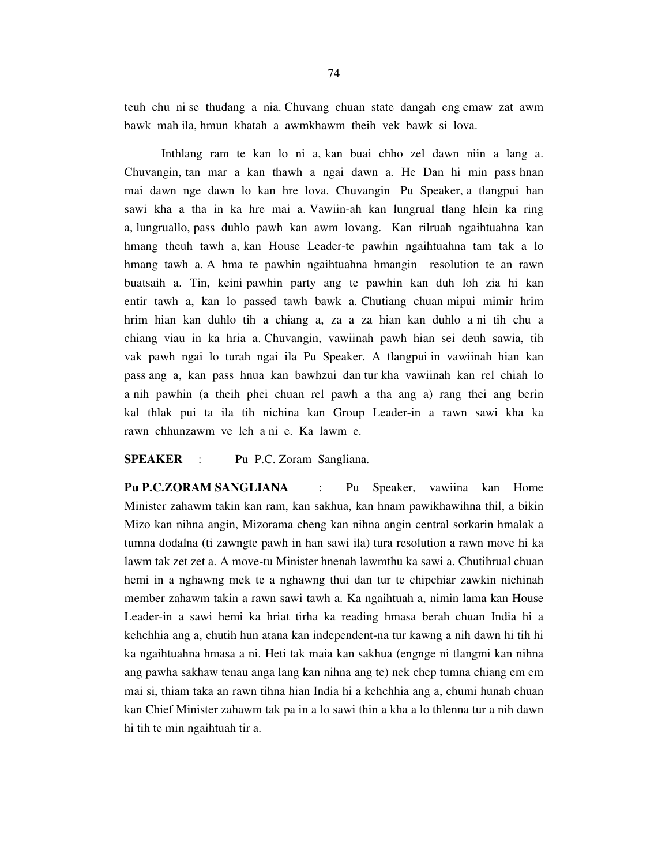teuh chu ni se thudang a nia. Chuvang chuan state dangah eng emaw zat awm bawk mah ila, hmun khatah a awmkhawm theih vek bawk si lova.

 Inthlang ram te kan lo ni a, kan buai chho zel dawn niin a lang a. Chuvangin, tan mar a kan thawh a ngai dawn a. He Dan hi min pass hnan mai dawn nge dawn lo kan hre lova. Chuvangin Pu Speaker, a tlangpui han sawi kha a tha in ka hre mai a. Vawiin-ah kan lungrual tlang hlein ka ring a, lungruallo, pass duhlo pawh kan awm lovang. Kan rilruah ngaihtuahna kan hmang theuh tawh a, kan House Leader-te pawhin ngaihtuahna tam tak a lo hmang tawh a. A hma te pawhin ngaihtuahna hmangin resolution te an rawn buatsaih a. Tin, keini pawhin party ang te pawhin kan duh loh zia hi kan entir tawh a, kan lo passed tawh bawk a. Chutiang chuan mipui mimir hrim hrim hian kan duhlo tih a chiang a, za a za hian kan duhlo a ni tih chu a chiang viau in ka hria a. Chuvangin, vawiinah pawh hian sei deuh sawia, tih vak pawh ngai lo turah ngai ila Pu Speaker. A tlangpui in vawiinah hian kan pass ang a, kan pass hnua kan bawhzui dan tur kha vawiinah kan rel chiah lo a nih pawhin (a theih phei chuan rel pawh a tha ang a) rang thei ang berin kal thlak pui ta ila tih nichina kan Group Leader-in a rawn sawi kha ka rawn chhunzawm ve leh a ni e. Ka lawm e.

#### **SPEAKER** : Pu P.C. Zoram Sangliana.

**Pu P.C.ZORAM SANGLIANA** : Pu Speaker, vawiina kan Home Minister zahawm takin kan ram, kan sakhua, kan hnam pawikhawihna thil, a bikin Mizo kan nihna angin, Mizorama cheng kan nihna angin central sorkarin hmalak a tumna dodalna (ti zawngte pawh in han sawi ila) tura resolution a rawn move hi ka lawm tak zet zet a. A move-tu Minister hnenah lawmthu ka sawi a. Chutihrual chuan hemi in a nghawng mek te a nghawng thui dan tur te chipchiar zawkin nichinah member zahawm takin a rawn sawi tawh a. Ka ngaihtuah a, nimin lama kan House Leader-in a sawi hemi ka hriat tirha ka reading hmasa berah chuan India hi a kehchhia ang a, chutih hun atana kan independent-na tur kawng a nih dawn hi tih hi ka ngaihtuahna hmasa a ni. Heti tak maia kan sakhua (engnge ni tlangmi kan nihna ang pawha sakhaw tenau anga lang kan nihna ang te) nek chep tumna chiang em em mai si, thiam taka an rawn tihna hian India hi a kehchhia ang a, chumi hunah chuan kan Chief Minister zahawm tak pa in a lo sawi thin a kha a lo thlenna tur a nih dawn hi tih te min ngaihtuah tir a.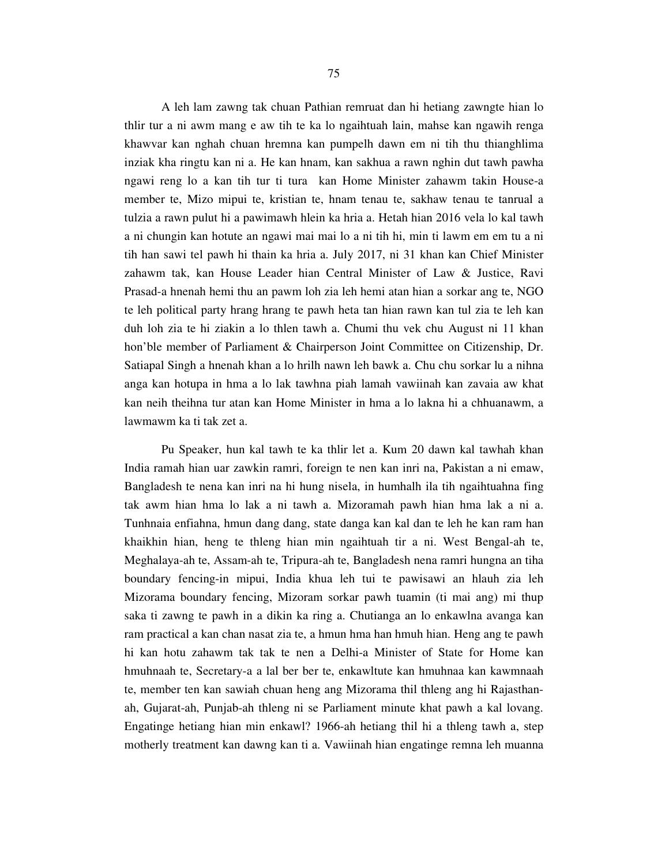A leh lam zawng tak chuan Pathian remruat dan hi hetiang zawngte hian lo thlir tur a ni awm mang e aw tih te ka lo ngaihtuah lain, mahse kan ngawih renga khawvar kan nghah chuan hremna kan pumpelh dawn em ni tih thu thianghlima inziak kha ringtu kan ni a. He kan hnam, kan sakhua a rawn nghin dut tawh pawha ngawi reng lo a kan tih tur ti tura kan Home Minister zahawm takin House-a member te, Mizo mipui te, kristian te, hnam tenau te, sakhaw tenau te tanrual a tulzia a rawn pulut hi a pawimawh hlein ka hria a. Hetah hian 2016 vela lo kal tawh a ni chungin kan hotute an ngawi mai mai lo a ni tih hi, min ti lawm em em tu a ni tih han sawi tel pawh hi thain ka hria a. July 2017, ni 31 khan kan Chief Minister zahawm tak, kan House Leader hian Central Minister of Law & Justice, Ravi Prasad-a hnenah hemi thu an pawm loh zia leh hemi atan hian a sorkar ang te, NGO te leh political party hrang hrang te pawh heta tan hian rawn kan tul zia te leh kan duh loh zia te hi ziakin a lo thlen tawh a. Chumi thu vek chu August ni 11 khan hon'ble member of Parliament & Chairperson Joint Committee on Citizenship, Dr. Satiapal Singh a hnenah khan a lo hrilh nawn leh bawk a. Chu chu sorkar lu a nihna anga kan hotupa in hma a lo lak tawhna piah lamah vawiinah kan zavaia aw khat kan neih theihna tur atan kan Home Minister in hma a lo lakna hi a chhuanawm, a lawmawm ka ti tak zet a.

 Pu Speaker, hun kal tawh te ka thlir let a. Kum 20 dawn kal tawhah khan India ramah hian uar zawkin ramri, foreign te nen kan inri na, Pakistan a ni emaw, Bangladesh te nena kan inri na hi hung nisela, in humhalh ila tih ngaihtuahna fing tak awm hian hma lo lak a ni tawh a. Mizoramah pawh hian hma lak a ni a. Tunhnaia enfiahna, hmun dang dang, state danga kan kal dan te leh he kan ram han khaikhin hian, heng te thleng hian min ngaihtuah tir a ni. West Bengal-ah te, Meghalaya-ah te, Assam-ah te, Tripura-ah te, Bangladesh nena ramri hungna an tiha boundary fencing-in mipui, India khua leh tui te pawisawi an hlauh zia leh Mizorama boundary fencing, Mizoram sorkar pawh tuamin (ti mai ang) mi thup saka ti zawng te pawh in a dikin ka ring a. Chutianga an lo enkawlna avanga kan ram practical a kan chan nasat zia te, a hmun hma han hmuh hian. Heng ang te pawh hi kan hotu zahawm tak tak te nen a Delhi-a Minister of State for Home kan hmuhnaah te, Secretary-a a lal ber ber te, enkawltute kan hmuhnaa kan kawmnaah te, member ten kan sawiah chuan heng ang Mizorama thil thleng ang hi Rajasthanah, Gujarat-ah, Punjab-ah thleng ni se Parliament minute khat pawh a kal lovang. Engatinge hetiang hian min enkawl? 1966-ah hetiang thil hi a thleng tawh a, step motherly treatment kan dawng kan ti a. Vawiinah hian engatinge remna leh muanna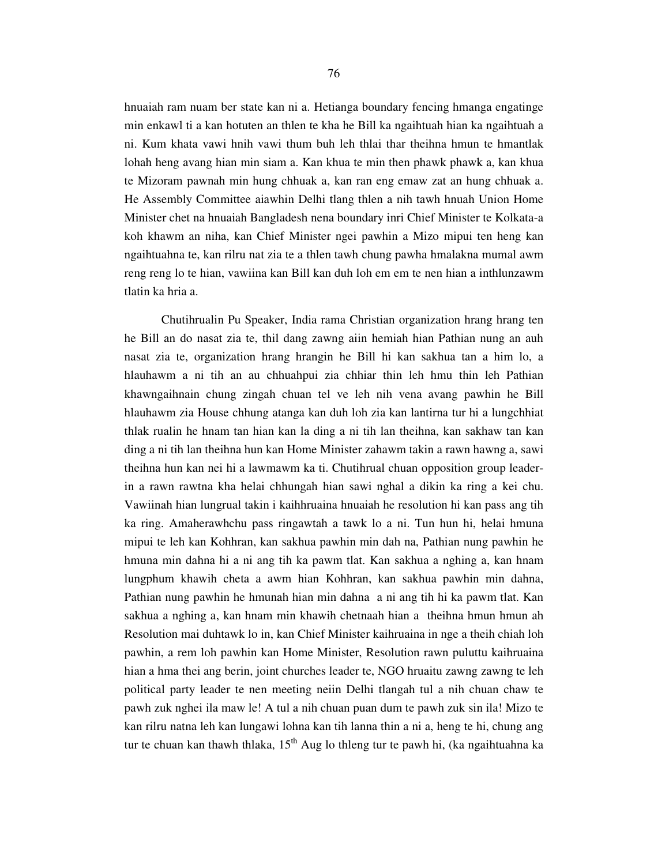hnuaiah ram nuam ber state kan ni a. Hetianga boundary fencing hmanga engatinge min enkawl ti a kan hotuten an thlen te kha he Bill ka ngaihtuah hian ka ngaihtuah a ni. Kum khata vawi hnih vawi thum buh leh thlai thar theihna hmun te hmantlak lohah heng avang hian min siam a. Kan khua te min then phawk phawk a, kan khua te Mizoram pawnah min hung chhuak a, kan ran eng emaw zat an hung chhuak a. He Assembly Committee aiawhin Delhi tlang thlen a nih tawh hnuah Union Home Minister chet na hnuaiah Bangladesh nena boundary inri Chief Minister te Kolkata-a koh khawm an niha, kan Chief Minister ngei pawhin a Mizo mipui ten heng kan ngaihtuahna te, kan rilru nat zia te a thlen tawh chung pawha hmalakna mumal awm reng reng lo te hian, vawiina kan Bill kan duh loh em em te nen hian a inthlunzawm tlatin ka hria a.

 Chutihrualin Pu Speaker, India rama Christian organization hrang hrang ten he Bill an do nasat zia te, thil dang zawng aiin hemiah hian Pathian nung an auh nasat zia te, organization hrang hrangin he Bill hi kan sakhua tan a him lo, a hlauhawm a ni tih an au chhuahpui zia chhiar thin leh hmu thin leh Pathian khawngaihnain chung zingah chuan tel ve leh nih vena avang pawhin he Bill hlauhawm zia House chhung atanga kan duh loh zia kan lantirna tur hi a lungchhiat thlak rualin he hnam tan hian kan la ding a ni tih lan theihna, kan sakhaw tan kan ding a ni tih lan theihna hun kan Home Minister zahawm takin a rawn hawng a, sawi theihna hun kan nei hi a lawmawm ka ti. Chutihrual chuan opposition group leaderin a rawn rawtna kha helai chhungah hian sawi nghal a dikin ka ring a kei chu. Vawiinah hian lungrual takin i kaihhruaina hnuaiah he resolution hi kan pass ang tih ka ring. Amaherawhchu pass ringawtah a tawk lo a ni. Tun hun hi, helai hmuna mipui te leh kan Kohhran, kan sakhua pawhin min dah na, Pathian nung pawhin he hmuna min dahna hi a ni ang tih ka pawm tlat. Kan sakhua a nghing a, kan hnam lungphum khawih cheta a awm hian Kohhran, kan sakhua pawhin min dahna, Pathian nung pawhin he hmunah hian min dahna a ni ang tih hi ka pawm tlat. Kan sakhua a nghing a, kan hnam min khawih chetnaah hian a theihna hmun hmun ah Resolution mai duhtawk lo in, kan Chief Minister kaihruaina in nge a theih chiah loh pawhin, a rem loh pawhin kan Home Minister, Resolution rawn puluttu kaihruaina hian a hma thei ang berin, joint churches leader te, NGO hruaitu zawng zawng te leh political party leader te nen meeting neiin Delhi tlangah tul a nih chuan chaw te pawh zuk nghei ila maw le! A tul a nih chuan puan dum te pawh zuk sin ila! Mizo te kan rilru natna leh kan lungawi lohna kan tih lanna thin a ni a, heng te hi, chung ang tur te chuan kan thawh thlaka,  $15<sup>th</sup>$  Aug lo thleng tur te pawh hi, (ka ngaihtuahna ka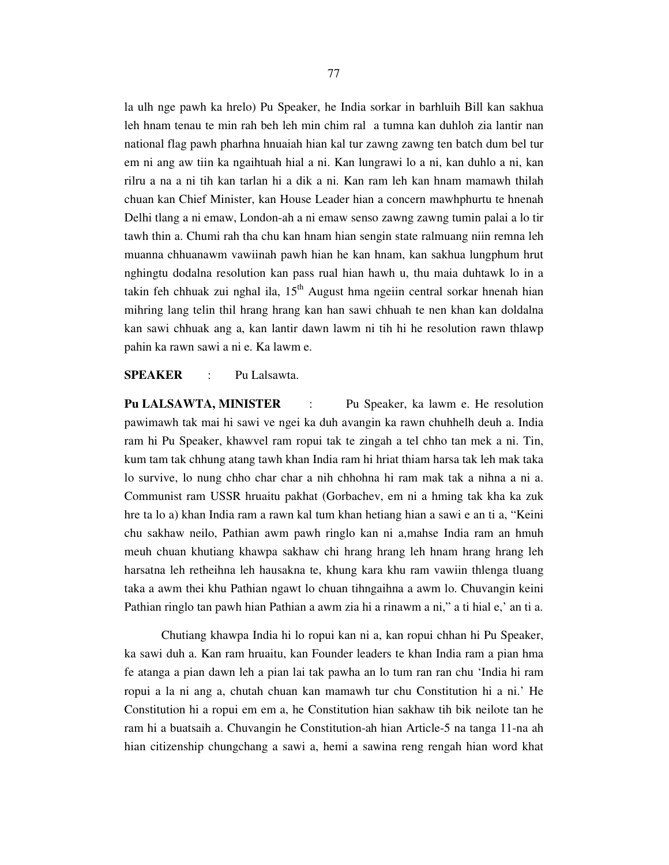la ulh nge pawh ka hrelo) Pu Speaker, he India sorkar in barhluih Bill kan sakhua leh hnam tenau te min rah beh leh min chim ral a tumna kan duhloh zia lantir nan national flag pawh pharhna hnuaiah hian kal tur zawng zawng ten batch dum bel tur em ni ang aw tiin ka ngaihtuah hial a ni. Kan lungrawi lo a ni, kan duhlo a ni, kan rilru a na a ni tih kan tarlan hi a dik a ni. Kan ram leh kan hnam mamawh thilah chuan kan Chief Minister, kan House Leader hian a concern mawhphurtu te hnenah Delhi tlang a ni emaw, London-ah a ni emaw senso zawng zawng tumin palai a lo tir tawh thin a. Chumi rah tha chu kan hnam hian sengin state ralmuang niin remna leh muanna chhuanawm vawiinah pawh hian he kan hnam, kan sakhua lungphum hrut nghingtu dodalna resolution kan pass rual hian hawh u, thu maia duhtawk lo in a takin feh chhuak zui nghal ila,  $15<sup>th</sup>$  August hma ngeiin central sorkar hnenah hian mihring lang telin thil hrang hrang kan han sawi chhuah te nen khan kan doldalna kan sawi chhuak ang a, kan lantir dawn lawm ni tih hi he resolution rawn thlawp pahin ka rawn sawi a ni e. Ka lawm e.

**SPEAKER** : Pu Lalsawta.

**Pu LALSAWTA, MINISTER** : Pu Speaker, ka lawm e. He resolution pawimawh tak mai hi sawi ve ngei ka duh avangin ka rawn chuhhelh deuh a. India ram hi Pu Speaker, khawvel ram ropui tak te zingah a tel chho tan mek a ni. Tin, kum tam tak chhung atang tawh khan India ram hi hriat thiam harsa tak leh mak taka lo survive, lo nung chho char char a nih chhohna hi ram mak tak a nihna a ni a. Communist ram USSR hruaitu pakhat (Gorbachev, em ni a hming tak kha ka zuk hre ta lo a) khan India ram a rawn kal tum khan hetiang hian a sawi e an ti a, "Keini chu sakhaw neilo, Pathian awm pawh ringlo kan ni a,mahse India ram an hmuh meuh chuan khutiang khawpa sakhaw chi hrang hrang leh hnam hrang hrang leh harsatna leh retheihna leh hausakna te, khung kara khu ram vawiin thlenga tluang taka a awm thei khu Pathian ngawt lo chuan tihngaihna a awm lo. Chuvangin keini Pathian ringlo tan pawh hian Pathian a awm zia hi a rinawm a ni," a ti hial e,' an ti a.

 Chutiang khawpa India hi lo ropui kan ni a, kan ropui chhan hi Pu Speaker, ka sawi duh a. Kan ram hruaitu, kan Founder leaders te khan India ram a pian hma fe atanga a pian dawn leh a pian lai tak pawha an lo tum ran ran chu 'India hi ram ropui a la ni ang a, chutah chuan kan mamawh tur chu Constitution hi a ni.' He Constitution hi a ropui em em a, he Constitution hian sakhaw tih bik neilote tan he ram hi a buatsaih a. Chuvangin he Constitution-ah hian Article-5 na tanga 11-na ah hian citizenship chungchang a sawi a, hemi a sawina reng rengah hian word khat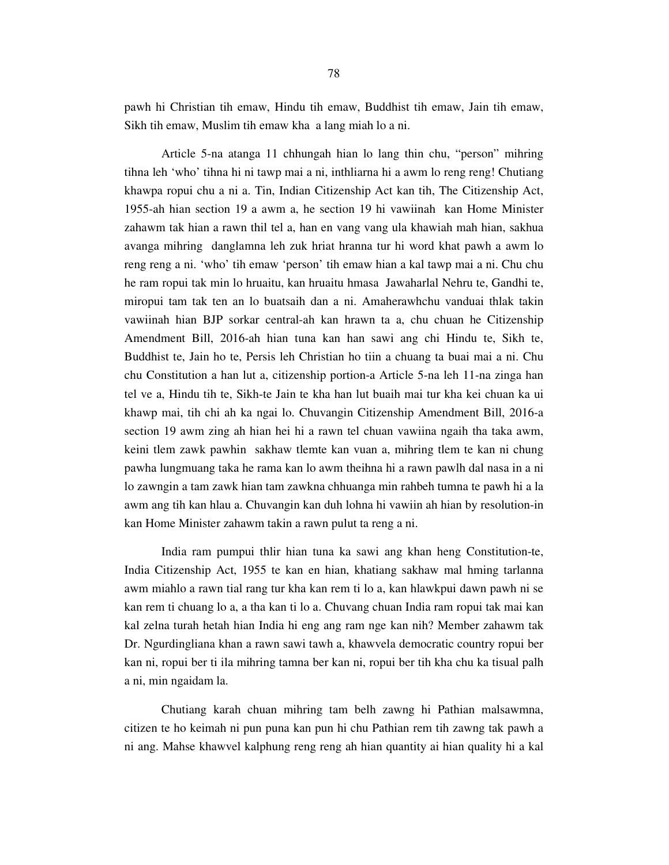pawh hi Christian tih emaw, Hindu tih emaw, Buddhist tih emaw, Jain tih emaw, Sikh tih emaw, Muslim tih emaw kha a lang miah lo a ni.

 Article 5-na atanga 11 chhungah hian lo lang thin chu, "person" mihring tihna leh 'who' tihna hi ni tawp mai a ni, inthliarna hi a awm lo reng reng! Chutiang khawpa ropui chu a ni a. Tin, Indian Citizenship Act kan tih, The Citizenship Act, 1955-ah hian section 19 a awm a, he section 19 hi vawiinah kan Home Minister zahawm tak hian a rawn thil tel a, han en vang vang ula khawiah mah hian, sakhua avanga mihring danglamna leh zuk hriat hranna tur hi word khat pawh a awm lo reng reng a ni. 'who' tih emaw 'person' tih emaw hian a kal tawp mai a ni. Chu chu he ram ropui tak min lo hruaitu, kan hruaitu hmasa Jawaharlal Nehru te, Gandhi te, miropui tam tak ten an lo buatsaih dan a ni. Amaherawhchu vanduai thlak takin vawiinah hian BJP sorkar central-ah kan hrawn ta a, chu chuan he Citizenship Amendment Bill, 2016-ah hian tuna kan han sawi ang chi Hindu te, Sikh te, Buddhist te, Jain ho te, Persis leh Christian ho tiin a chuang ta buai mai a ni. Chu chu Constitution a han lut a, citizenship portion-a Article 5-na leh 11-na zinga han tel ve a, Hindu tih te, Sikh-te Jain te kha han lut buaih mai tur kha kei chuan ka ui khawp mai, tih chi ah ka ngai lo. Chuvangin Citizenship Amendment Bill, 2016-a section 19 awm zing ah hian hei hi a rawn tel chuan vawiina ngaih tha taka awm, keini tlem zawk pawhin sakhaw tlemte kan vuan a, mihring tlem te kan ni chung pawha lungmuang taka he rama kan lo awm theihna hi a rawn pawlh dal nasa in a ni lo zawngin a tam zawk hian tam zawkna chhuanga min rahbeh tumna te pawh hi a la awm ang tih kan hlau a. Chuvangin kan duh lohna hi vawiin ah hian by resolution-in kan Home Minister zahawm takin a rawn pulut ta reng a ni.

 India ram pumpui thlir hian tuna ka sawi ang khan heng Constitution-te, India Citizenship Act, 1955 te kan en hian, khatiang sakhaw mal hming tarlanna awm miahlo a rawn tial rang tur kha kan rem ti lo a, kan hlawkpui dawn pawh ni se kan rem ti chuang lo a, a tha kan ti lo a. Chuvang chuan India ram ropui tak mai kan kal zelna turah hetah hian India hi eng ang ram nge kan nih? Member zahawm tak Dr. Ngurdingliana khan a rawn sawi tawh a, khawvela democratic country ropui ber kan ni, ropui ber ti ila mihring tamna ber kan ni, ropui ber tih kha chu ka tisual palh a ni, min ngaidam la.

 Chutiang karah chuan mihring tam belh zawng hi Pathian malsawmna, citizen te ho keimah ni pun puna kan pun hi chu Pathian rem tih zawng tak pawh a ni ang. Mahse khawvel kalphung reng reng ah hian quantity ai hian quality hi a kal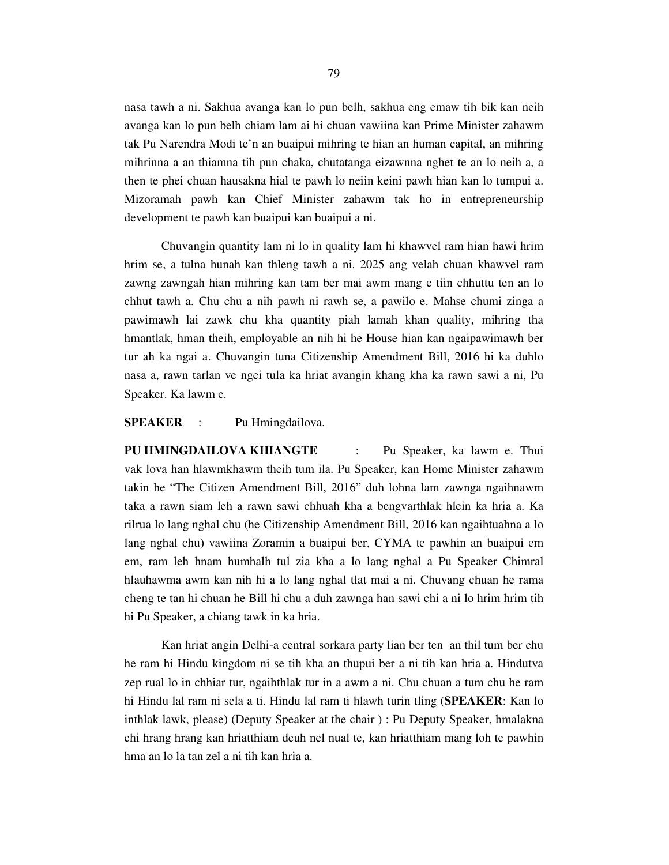nasa tawh a ni. Sakhua avanga kan lo pun belh, sakhua eng emaw tih bik kan neih avanga kan lo pun belh chiam lam ai hi chuan vawiina kan Prime Minister zahawm tak Pu Narendra Modi te'n an buaipui mihring te hian an human capital, an mihring mihrinna a an thiamna tih pun chaka, chutatanga eizawnna nghet te an lo neih a, a then te phei chuan hausakna hial te pawh lo neiin keini pawh hian kan lo tumpui a. Mizoramah pawh kan Chief Minister zahawm tak ho in entrepreneurship development te pawh kan buaipui kan buaipui a ni.

 Chuvangin quantity lam ni lo in quality lam hi khawvel ram hian hawi hrim hrim se, a tulna hunah kan thleng tawh a ni. 2025 ang velah chuan khawvel ram zawng zawngah hian mihring kan tam ber mai awm mang e tiin chhuttu ten an lo chhut tawh a. Chu chu a nih pawh ni rawh se, a pawilo e. Mahse chumi zinga a pawimawh lai zawk chu kha quantity piah lamah khan quality, mihring tha hmantlak, hman theih, employable an nih hi he House hian kan ngaipawimawh ber tur ah ka ngai a. Chuvangin tuna Citizenship Amendment Bill, 2016 hi ka duhlo nasa a, rawn tarlan ve ngei tula ka hriat avangin khang kha ka rawn sawi a ni, Pu Speaker. Ka lawm e.

**SPEAKER** : Pu Hmingdailova.

**PU HMINGDAILOVA KHIANGTE** : Pu Speaker, ka lawm e. Thui vak lova han hlawmkhawm theih tum ila. Pu Speaker, kan Home Minister zahawm takin he "The Citizen Amendment Bill, 2016" duh lohna lam zawnga ngaihnawm taka a rawn siam leh a rawn sawi chhuah kha a bengvarthlak hlein ka hria a. Ka rilrua lo lang nghal chu (he Citizenship Amendment Bill, 2016 kan ngaihtuahna a lo lang nghal chu) vawiina Zoramin a buaipui ber, CYMA te pawhin an buaipui em em, ram leh hnam humhalh tul zia kha a lo lang nghal a Pu Speaker Chimral hlauhawma awm kan nih hi a lo lang nghal tlat mai a ni. Chuvang chuan he rama cheng te tan hi chuan he Bill hi chu a duh zawnga han sawi chi a ni lo hrim hrim tih hi Pu Speaker, a chiang tawk in ka hria.

 Kan hriat angin Delhi-a central sorkara party lian ber ten an thil tum ber chu he ram hi Hindu kingdom ni se tih kha an thupui ber a ni tih kan hria a. Hindutva zep rual lo in chhiar tur, ngaihthlak tur in a awm a ni. Chu chuan a tum chu he ram hi Hindu lal ram ni sela a ti. Hindu lal ram ti hlawh turin tling (**SPEAKER**: Kan lo inthlak lawk, please) (Deputy Speaker at the chair ) : Pu Deputy Speaker, hmalakna chi hrang hrang kan hriatthiam deuh nel nual te, kan hriatthiam mang loh te pawhin hma an lo la tan zel a ni tih kan hria a.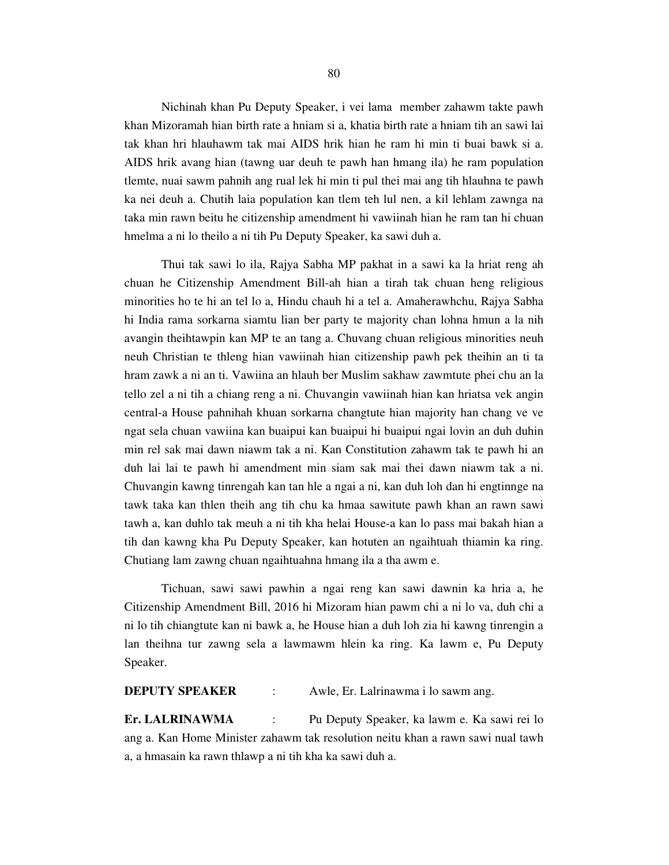Nichinah khan Pu Deputy Speaker, i vei lama member zahawm takte pawh khan Mizoramah hian birth rate a hniam si a, khatia birth rate a hniam tih an sawi lai tak khan hri hlauhawm tak mai AIDS hrik hian he ram hi min ti buai bawk si a. AIDS hrik avang hian (tawng uar deuh te pawh han hmang ila) he ram population tlemte, nuai sawm pahnih ang rual lek hi min ti pul thei mai ang tih hlauhna te pawh ka nei deuh a. Chutih laia population kan tlem teh lul nen, a kil lehlam zawnga na taka min rawn beitu he citizenship amendment hi vawiinah hian he ram tan hi chuan

hmelma a ni lo theilo a ni tih Pu Deputy Speaker, ka sawi duh a.

 Thui tak sawi lo ila, Rajya Sabha MP pakhat in a sawi ka la hriat reng ah chuan he Citizenship Amendment Bill-ah hian a tirah tak chuan heng religious minorities ho te hi an tel lo a, Hindu chauh hi a tel a. Amaherawhchu, Rajya Sabha hi India rama sorkarna siamtu lian ber party te majority chan lohna hmun a la nih avangin theihtawpin kan MP te an tang a. Chuvang chuan religious minorities neuh neuh Christian te thleng hian vawiinah hian citizenship pawh pek theihin an ti ta hram zawk a ni an ti. Vawiina an hlauh ber Muslim sakhaw zawmtute phei chu an la tello zel a ni tih a chiang reng a ni. Chuvangin vawiinah hian kan hriatsa vek angin central-a House pahnihah khuan sorkarna changtute hian majority han chang ve ve ngat sela chuan vawiina kan buaipui kan buaipui hi buaipui ngai lovin an duh duhin min rel sak mai dawn niawm tak a ni. Kan Constitution zahawm tak te pawh hi an duh lai lai te pawh hi amendment min siam sak mai thei dawn niawm tak a ni. Chuvangin kawng tinrengah kan tan hle a ngai a ni, kan duh loh dan hi engtinnge na tawk taka kan thlen theih ang tih chu ka hmaa sawitute pawh khan an rawn sawi tawh a, kan duhlo tak meuh a ni tih kha helai House-a kan lo pass mai bakah hian a tih dan kawng kha Pu Deputy Speaker, kan hotuten an ngaihtuah thiamin ka ring. Chutiang lam zawng chuan ngaihtuahna hmang ila a tha awm e.

 Tichuan, sawi sawi pawhin a ngai reng kan sawi dawnin ka hria a, he Citizenship Amendment Bill, 2016 hi Mizoram hian pawm chi a ni lo va, duh chi a ni lo tih chiangtute kan ni bawk a, he House hian a duh loh zia hi kawng tinrengin a lan theihna tur zawng sela a lawmawm hlein ka ring. Ka lawm e, Pu Deputy Speaker.

#### **DEPUTY SPEAKER** : Awle, Er. Lalrinawma i lo sawm ang.

**Er. LALRINAWMA** : Pu Deputy Speaker, ka lawm e. Ka sawi rei lo ang a. Kan Home Minister zahawm tak resolution neitu khan a rawn sawi nual tawh a, a hmasain ka rawn thlawp a ni tih kha ka sawi duh a.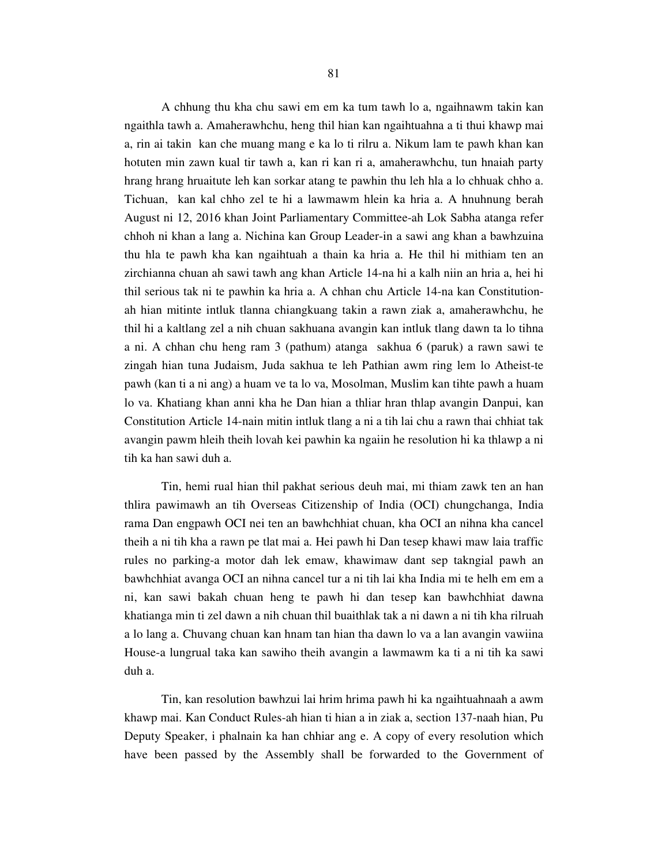A chhung thu kha chu sawi em em ka tum tawh lo a, ngaihnawm takin kan ngaithla tawh a. Amaherawhchu, heng thil hian kan ngaihtuahna a ti thui khawp mai a, rin ai takin kan che muang mang e ka lo ti rilru a. Nikum lam te pawh khan kan hotuten min zawn kual tir tawh a, kan ri kan ri a, amaherawhchu, tun hnaiah party hrang hrang hruaitute leh kan sorkar atang te pawhin thu leh hla a lo chhuak chho a. Tichuan, kan kal chho zel te hi a lawmawm hlein ka hria a. A hnuhnung berah August ni 12, 2016 khan Joint Parliamentary Committee-ah Lok Sabha atanga refer chhoh ni khan a lang a. Nichina kan Group Leader-in a sawi ang khan a bawhzuina thu hla te pawh kha kan ngaihtuah a thain ka hria a. He thil hi mithiam ten an zirchianna chuan ah sawi tawh ang khan Article 14-na hi a kalh niin an hria a, hei hi thil serious tak ni te pawhin ka hria a. A chhan chu Article 14-na kan Constitutionah hian mitinte intluk tlanna chiangkuang takin a rawn ziak a, amaherawhchu, he thil hi a kaltlang zel a nih chuan sakhuana avangin kan intluk tlang dawn ta lo tihna a ni. A chhan chu heng ram 3 (pathum) atanga sakhua 6 (paruk) a rawn sawi te zingah hian tuna Judaism, Juda sakhua te leh Pathian awm ring lem lo Atheist-te pawh (kan ti a ni ang) a huam ve ta lo va, Mosolman, Muslim kan tihte pawh a huam lo va. Khatiang khan anni kha he Dan hian a thliar hran thlap avangin Danpui, kan Constitution Article 14-nain mitin intluk tlang a ni a tih lai chu a rawn thai chhiat tak avangin pawm hleih theih lovah kei pawhin ka ngaiin he resolution hi ka thlawp a ni tih ka han sawi duh a.

 Tin, hemi rual hian thil pakhat serious deuh mai, mi thiam zawk ten an han thlira pawimawh an tih Overseas Citizenship of India (OCI) chungchanga, India rama Dan engpawh OCI nei ten an bawhchhiat chuan, kha OCI an nihna kha cancel theih a ni tih kha a rawn pe tlat mai a. Hei pawh hi Dan tesep khawi maw laia traffic rules no parking-a motor dah lek emaw, khawimaw dant sep takngial pawh an bawhchhiat avanga OCI an nihna cancel tur a ni tih lai kha India mi te helh em em a ni, kan sawi bakah chuan heng te pawh hi dan tesep kan bawhchhiat dawna khatianga min ti zel dawn a nih chuan thil buaithlak tak a ni dawn a ni tih kha rilruah a lo lang a. Chuvang chuan kan hnam tan hian tha dawn lo va a lan avangin vawiina House-a lungrual taka kan sawiho theih avangin a lawmawm ka ti a ni tih ka sawi duh a.

 Tin, kan resolution bawhzui lai hrim hrima pawh hi ka ngaihtuahnaah a awm khawp mai. Kan Conduct Rules-ah hian ti hian a in ziak a, section 137-naah hian, Pu Deputy Speaker, i phalnain ka han chhiar ang e. A copy of every resolution which have been passed by the Assembly shall be forwarded to the Government of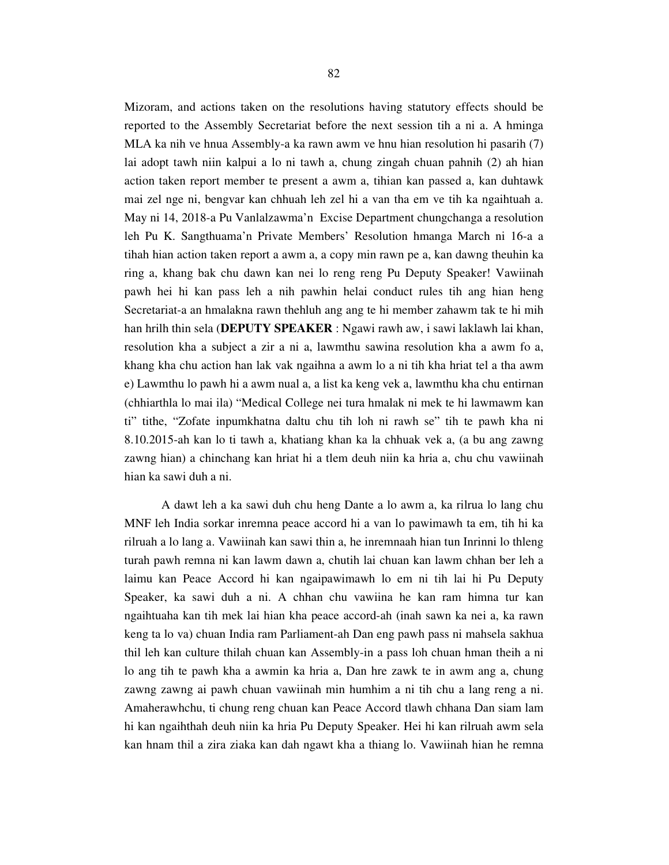Mizoram, and actions taken on the resolutions having statutory effects should be reported to the Assembly Secretariat before the next session tih a ni a. A hminga MLA ka nih ve hnua Assembly-a ka rawn awm ve hnu hian resolution hi pasarih (7) lai adopt tawh niin kalpui a lo ni tawh a, chung zingah chuan pahnih (2) ah hian action taken report member te present a awm a, tihian kan passed a, kan duhtawk mai zel nge ni, bengvar kan chhuah leh zel hi a van tha em ve tih ka ngaihtuah a. May ni 14, 2018-a Pu Vanlalzawma'n Excise Department chungchanga a resolution leh Pu K. Sangthuama'n Private Members' Resolution hmanga March ni 16-a a tihah hian action taken report a awm a, a copy min rawn pe a, kan dawng theuhin ka ring a, khang bak chu dawn kan nei lo reng reng Pu Deputy Speaker! Vawiinah pawh hei hi kan pass leh a nih pawhin helai conduct rules tih ang hian heng Secretariat-a an hmalakna rawn thehluh ang ang te hi member zahawm tak te hi mih han hrilh thin sela (**DEPUTY SPEAKER** : Ngawi rawh aw, i sawi laklawh lai khan, resolution kha a subject a zir a ni a, lawmthu sawina resolution kha a awm fo a, khang kha chu action han lak vak ngaihna a awm lo a ni tih kha hriat tel a tha awm e) Lawmthu lo pawh hi a awm nual a, a list ka keng vek a, lawmthu kha chu entirnan (chhiarthla lo mai ila) "Medical College nei tura hmalak ni mek te hi lawmawm kan ti" tithe, "Zofate inpumkhatna daltu chu tih loh ni rawh se" tih te pawh kha ni 8.10.2015-ah kan lo ti tawh a, khatiang khan ka la chhuak vek a, (a bu ang zawng zawng hian) a chinchang kan hriat hi a tlem deuh niin ka hria a, chu chu vawiinah hian ka sawi duh a ni.

 A dawt leh a ka sawi duh chu heng Dante a lo awm a, ka rilrua lo lang chu MNF leh India sorkar inremna peace accord hi a van lo pawimawh ta em, tih hi ka rilruah a lo lang a. Vawiinah kan sawi thin a, he inremnaah hian tun Inrinni lo thleng turah pawh remna ni kan lawm dawn a, chutih lai chuan kan lawm chhan ber leh a laimu kan Peace Accord hi kan ngaipawimawh lo em ni tih lai hi Pu Deputy Speaker, ka sawi duh a ni. A chhan chu vawiina he kan ram himna tur kan ngaihtuaha kan tih mek lai hian kha peace accord-ah (inah sawn ka nei a, ka rawn keng ta lo va) chuan India ram Parliament-ah Dan eng pawh pass ni mahsela sakhua thil leh kan culture thilah chuan kan Assembly-in a pass loh chuan hman theih a ni lo ang tih te pawh kha a awmin ka hria a, Dan hre zawk te in awm ang a, chung zawng zawng ai pawh chuan vawiinah min humhim a ni tih chu a lang reng a ni. Amaherawhchu, ti chung reng chuan kan Peace Accord tlawh chhana Dan siam lam hi kan ngaihthah deuh niin ka hria Pu Deputy Speaker. Hei hi kan rilruah awm sela kan hnam thil a zira ziaka kan dah ngawt kha a thiang lo. Vawiinah hian he remna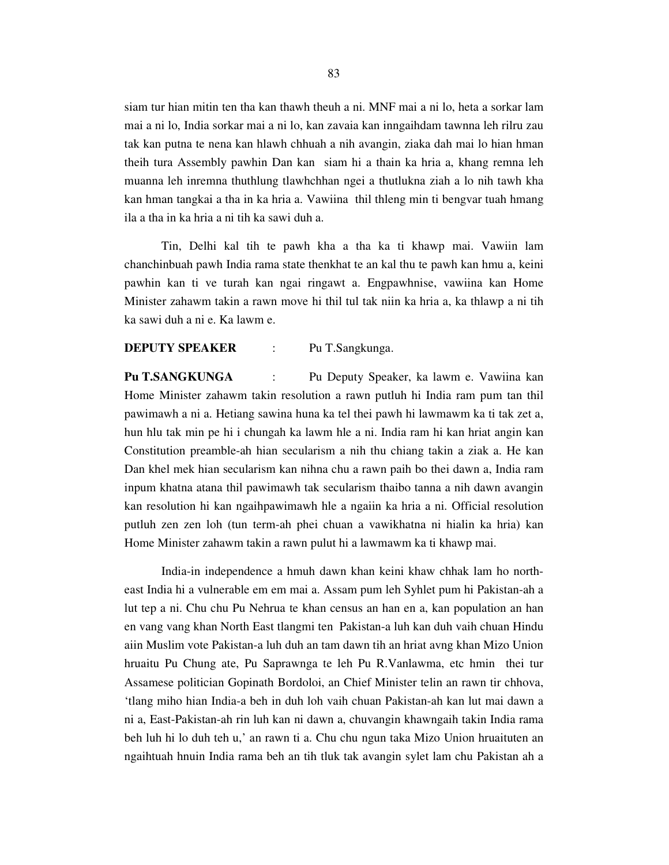siam tur hian mitin ten tha kan thawh theuh a ni. MNF mai a ni lo, heta a sorkar lam mai a ni lo, India sorkar mai a ni lo, kan zavaia kan inngaihdam tawnna leh rilru zau tak kan putna te nena kan hlawh chhuah a nih avangin, ziaka dah mai lo hian hman theih tura Assembly pawhin Dan kan siam hi a thain ka hria a, khang remna leh muanna leh inremna thuthlung tlawhchhan ngei a thutlukna ziah a lo nih tawh kha kan hman tangkai a tha in ka hria a. Vawiina thil thleng min ti bengvar tuah hmang ila a tha in ka hria a ni tih ka sawi duh a.

 Tin, Delhi kal tih te pawh kha a tha ka ti khawp mai. Vawiin lam chanchinbuah pawh India rama state thenkhat te an kal thu te pawh kan hmu a, keini pawhin kan ti ve turah kan ngai ringawt a. Engpawhnise, vawiina kan Home Minister zahawm takin a rawn move hi thil tul tak niin ka hria a, ka thlawp a ni tih ka sawi duh a ni e. Ka lawm e.

#### **DEPUTY SPEAKER** : Pu T.Sangkunga.

**Pu T.SANGKUNGA** : Pu Deputy Speaker, ka lawm e. Vawiina kan Home Minister zahawm takin resolution a rawn putluh hi India ram pum tan thil pawimawh a ni a. Hetiang sawina huna ka tel thei pawh hi lawmawm ka ti tak zet a, hun hlu tak min pe hi i chungah ka lawm hle a ni. India ram hi kan hriat angin kan Constitution preamble-ah hian secularism a nih thu chiang takin a ziak a. He kan Dan khel mek hian secularism kan nihna chu a rawn paih bo thei dawn a, India ram inpum khatna atana thil pawimawh tak secularism thaibo tanna a nih dawn avangin kan resolution hi kan ngaihpawimawh hle a ngaiin ka hria a ni. Official resolution putluh zen zen loh (tun term-ah phei chuan a vawikhatna ni hialin ka hria) kan Home Minister zahawm takin a rawn pulut hi a lawmawm ka ti khawp mai.

 India-in independence a hmuh dawn khan keini khaw chhak lam ho northeast India hi a vulnerable em em mai a. Assam pum leh Syhlet pum hi Pakistan-ah a lut tep a ni. Chu chu Pu Nehrua te khan census an han en a, kan population an han en vang vang khan North East tlangmi ten Pakistan-a luh kan duh vaih chuan Hindu aiin Muslim vote Pakistan-a luh duh an tam dawn tih an hriat avng khan Mizo Union hruaitu Pu Chung ate, Pu Saprawnga te leh Pu R.Vanlawma, etc hmin thei tur Assamese politician Gopinath Bordoloi, an Chief Minister telin an rawn tir chhova, 'tlang miho hian India-a beh in duh loh vaih chuan Pakistan-ah kan lut mai dawn a ni a, East-Pakistan-ah rin luh kan ni dawn a, chuvangin khawngaih takin India rama beh luh hi lo duh teh u,' an rawn ti a. Chu chu ngun taka Mizo Union hruaituten an ngaihtuah hnuin India rama beh an tih tluk tak avangin sylet lam chu Pakistan ah a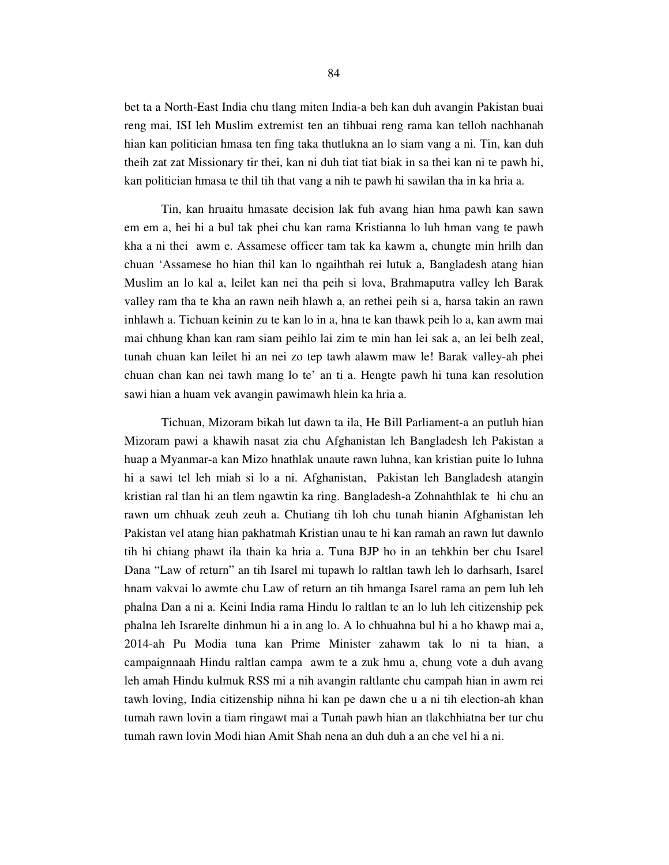bet ta a North-East India chu tlang miten India-a beh kan duh avangin Pakistan buai reng mai, ISI leh Muslim extremist ten an tihbuai reng rama kan telloh nachhanah hian kan politician hmasa ten fing taka thutlukna an lo siam vang a ni. Tin, kan duh theih zat zat Missionary tir thei, kan ni duh tiat tiat biak in sa thei kan ni te pawh hi, kan politician hmasa te thil tih that vang a nih te pawh hi sawilan tha in ka hria a.

 Tin, kan hruaitu hmasate decision lak fuh avang hian hma pawh kan sawn em em a, hei hi a bul tak phei chu kan rama Kristianna lo luh hman vang te pawh kha a ni thei awm e. Assamese officer tam tak ka kawm a, chungte min hrilh dan chuan 'Assamese ho hian thil kan lo ngaihthah rei lutuk a, Bangladesh atang hian Muslim an lo kal a, leilet kan nei tha peih si lova, Brahmaputra valley leh Barak valley ram tha te kha an rawn neih hlawh a, an rethei peih si a, harsa takin an rawn inhlawh a. Tichuan keinin zu te kan lo in a, hna te kan thawk peih lo a, kan awm mai mai chhung khan kan ram siam peihlo lai zim te min han lei sak a, an lei belh zeal, tunah chuan kan leilet hi an nei zo tep tawh alawm maw le! Barak valley-ah phei chuan chan kan nei tawh mang lo te' an ti a. Hengte pawh hi tuna kan resolution sawi hian a huam vek avangin pawimawh hlein ka hria a.

 Tichuan, Mizoram bikah lut dawn ta ila, He Bill Parliament-a an putluh hian Mizoram pawi a khawih nasat zia chu Afghanistan leh Bangladesh leh Pakistan a huap a Myanmar-a kan Mizo hnathlak unaute rawn luhna, kan kristian puite lo luhna hi a sawi tel leh miah si lo a ni. Afghanistan, Pakistan leh Bangladesh atangin kristian ral tlan hi an tlem ngawtin ka ring. Bangladesh-a Zohnahthlak te hi chu an rawn um chhuak zeuh zeuh a. Chutiang tih loh chu tunah hianin Afghanistan leh Pakistan vel atang hian pakhatmah Kristian unau te hi kan ramah an rawn lut dawnlo tih hi chiang phawt ila thain ka hria a. Tuna BJP ho in an tehkhin ber chu Isarel Dana "Law of return" an tih Isarel mi tupawh lo raltlan tawh leh lo darhsarh, Isarel hnam vakvai lo awmte chu Law of return an tih hmanga Isarel rama an pem luh leh phalna Dan a ni a. Keini India rama Hindu lo raltlan te an lo luh leh citizenship pek phalna leh Israrelte dinhmun hi a in ang lo. A lo chhuahna bul hi a ho khawp mai a, 2014-ah Pu Modia tuna kan Prime Minister zahawm tak lo ni ta hian, a campaignnaah Hindu raltlan campa awm te a zuk hmu a, chung vote a duh avang leh amah Hindu kulmuk RSS mi a nih avangin raltlante chu campah hian in awm rei tawh loving, India citizenship nihna hi kan pe dawn che u a ni tih election-ah khan tumah rawn lovin a tiam ringawt mai a Tunah pawh hian an tlakchhiatna ber tur chu tumah rawn lovin Modi hian Amit Shah nena an duh duh a an che vel hi a ni.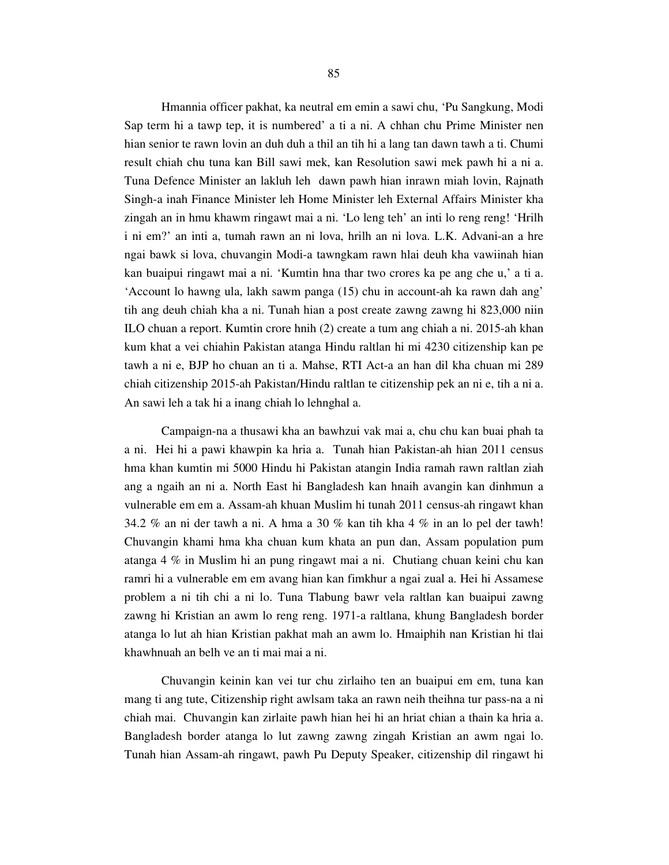Hmannia officer pakhat, ka neutral em emin a sawi chu, 'Pu Sangkung, Modi Sap term hi a tawp tep, it is numbered' a ti a ni. A chhan chu Prime Minister nen hian senior te rawn lovin an duh duh a thil an tih hi a lang tan dawn tawh a ti. Chumi result chiah chu tuna kan Bill sawi mek, kan Resolution sawi mek pawh hi a ni a. Tuna Defence Minister an lakluh leh dawn pawh hian inrawn miah lovin, Rajnath Singh-a inah Finance Minister leh Home Minister leh External Affairs Minister kha zingah an in hmu khawm ringawt mai a ni. 'Lo leng teh' an inti lo reng reng! 'Hrilh i ni em?' an inti a, tumah rawn an ni lova, hrilh an ni lova. L.K. Advani-an a hre ngai bawk si lova, chuvangin Modi-a tawngkam rawn hlai deuh kha vawiinah hian kan buaipui ringawt mai a ni. 'Kumtin hna thar two crores ka pe ang che u,' a ti a. 'Account lo hawng ula, lakh sawm panga (15) chu in account-ah ka rawn dah ang' tih ang deuh chiah kha a ni. Tunah hian a post create zawng zawng hi 823,000 niin ILO chuan a report. Kumtin crore hnih (2) create a tum ang chiah a ni. 2015-ah khan kum khat a vei chiahin Pakistan atanga Hindu raltlan hi mi 4230 citizenship kan pe tawh a ni e, BJP ho chuan an ti a. Mahse, RTI Act-a an han dil kha chuan mi 289 chiah citizenship 2015-ah Pakistan/Hindu raltlan te citizenship pek an ni e, tih a ni a. An sawi leh a tak hi a inang chiah lo lehnghal a.

 Campaign-na a thusawi kha an bawhzui vak mai a, chu chu kan buai phah ta a ni. Hei hi a pawi khawpin ka hria a. Tunah hian Pakistan-ah hian 2011 census hma khan kumtin mi 5000 Hindu hi Pakistan atangin India ramah rawn raltlan ziah ang a ngaih an ni a. North East hi Bangladesh kan hnaih avangin kan dinhmun a vulnerable em em a. Assam-ah khuan Muslim hi tunah 2011 census-ah ringawt khan 34.2 % an ni der tawh a ni. A hma a 30 % kan tih kha 4 % in an lo pel der tawh! Chuvangin khami hma kha chuan kum khata an pun dan, Assam population pum atanga 4 % in Muslim hi an pung ringawt mai a ni. Chutiang chuan keini chu kan ramri hi a vulnerable em em avang hian kan fimkhur a ngai zual a. Hei hi Assamese problem a ni tih chi a ni lo. Tuna Tlabung bawr vela raltlan kan buaipui zawng zawng hi Kristian an awm lo reng reng. 1971-a raltlana, khung Bangladesh border atanga lo lut ah hian Kristian pakhat mah an awm lo. Hmaiphih nan Kristian hi tlai khawhnuah an belh ve an ti mai mai a ni.

 Chuvangin keinin kan vei tur chu zirlaiho ten an buaipui em em, tuna kan mang ti ang tute, Citizenship right awlsam taka an rawn neih theihna tur pass-na a ni chiah mai. Chuvangin kan zirlaite pawh hian hei hi an hriat chian a thain ka hria a. Bangladesh border atanga lo lut zawng zawng zingah Kristian an awm ngai lo. Tunah hian Assam-ah ringawt, pawh Pu Deputy Speaker, citizenship dil ringawt hi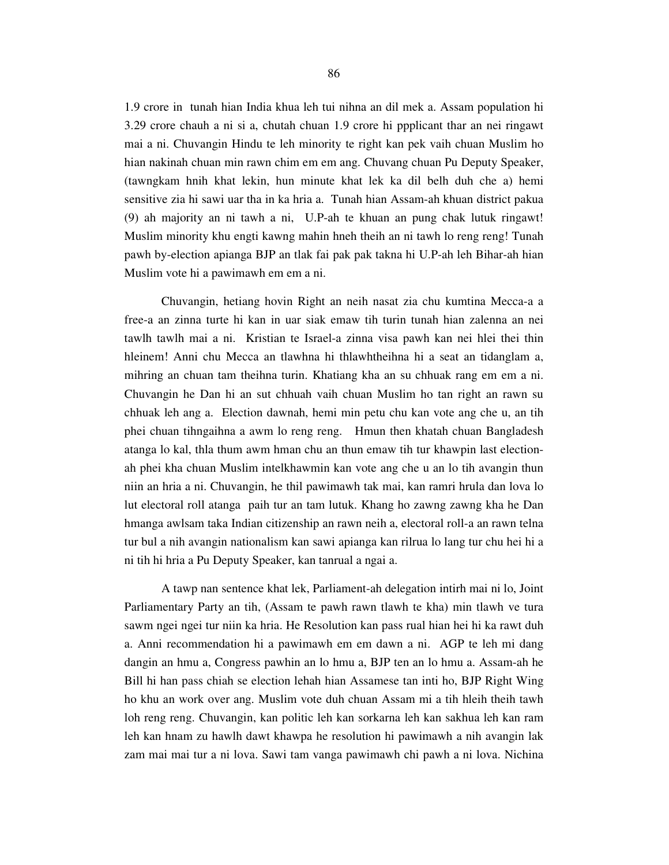1.9 crore in tunah hian India khua leh tui nihna an dil mek a. Assam population hi 3.29 crore chauh a ni si a, chutah chuan 1.9 crore hi ppplicant thar an nei ringawt mai a ni. Chuvangin Hindu te leh minority te right kan pek vaih chuan Muslim ho hian nakinah chuan min rawn chim em em ang. Chuvang chuan Pu Deputy Speaker, (tawngkam hnih khat lekin, hun minute khat lek ka dil belh duh che a) hemi sensitive zia hi sawi uar tha in ka hria a. Tunah hian Assam-ah khuan district pakua (9) ah majority an ni tawh a ni, U.P-ah te khuan an pung chak lutuk ringawt! Muslim minority khu engti kawng mahin hneh theih an ni tawh lo reng reng! Tunah pawh by-election apianga BJP an tlak fai pak pak takna hi U.P-ah leh Bihar-ah hian Muslim vote hi a pawimawh em em a ni.

 Chuvangin, hetiang hovin Right an neih nasat zia chu kumtina Mecca-a a free-a an zinna turte hi kan in uar siak emaw tih turin tunah hian zalenna an nei tawlh tawlh mai a ni. Kristian te Israel-a zinna visa pawh kan nei hlei thei thin hleinem! Anni chu Mecca an tlawhna hi thlawhtheihna hi a seat an tidanglam a, mihring an chuan tam theihna turin. Khatiang kha an su chhuak rang em em a ni. Chuvangin he Dan hi an sut chhuah vaih chuan Muslim ho tan right an rawn su chhuak leh ang a. Election dawnah, hemi min petu chu kan vote ang che u, an tih phei chuan tihngaihna a awm lo reng reng. Hmun then khatah chuan Bangladesh atanga lo kal, thla thum awm hman chu an thun emaw tih tur khawpin last electionah phei kha chuan Muslim intelkhawmin kan vote ang che u an lo tih avangin thun niin an hria a ni. Chuvangin, he thil pawimawh tak mai, kan ramri hrula dan lova lo lut electoral roll atanga paih tur an tam lutuk. Khang ho zawng zawng kha he Dan hmanga awlsam taka Indian citizenship an rawn neih a, electoral roll-a an rawn telna tur bul a nih avangin nationalism kan sawi apianga kan rilrua lo lang tur chu hei hi a ni tih hi hria a Pu Deputy Speaker, kan tanrual a ngai a.

 A tawp nan sentence khat lek, Parliament-ah delegation intirh mai ni lo, Joint Parliamentary Party an tih, (Assam te pawh rawn tlawh te kha) min tlawh ve tura sawm ngei ngei tur niin ka hria. He Resolution kan pass rual hian hei hi ka rawt duh a. Anni recommendation hi a pawimawh em em dawn a ni. AGP te leh mi dang dangin an hmu a, Congress pawhin an lo hmu a, BJP ten an lo hmu a. Assam-ah he Bill hi han pass chiah se election lehah hian Assamese tan inti ho, BJP Right Wing ho khu an work over ang. Muslim vote duh chuan Assam mi a tih hleih theih tawh loh reng reng. Chuvangin, kan politic leh kan sorkarna leh kan sakhua leh kan ram leh kan hnam zu hawlh dawt khawpa he resolution hi pawimawh a nih avangin lak zam mai mai tur a ni lova. Sawi tam vanga pawimawh chi pawh a ni lova. Nichina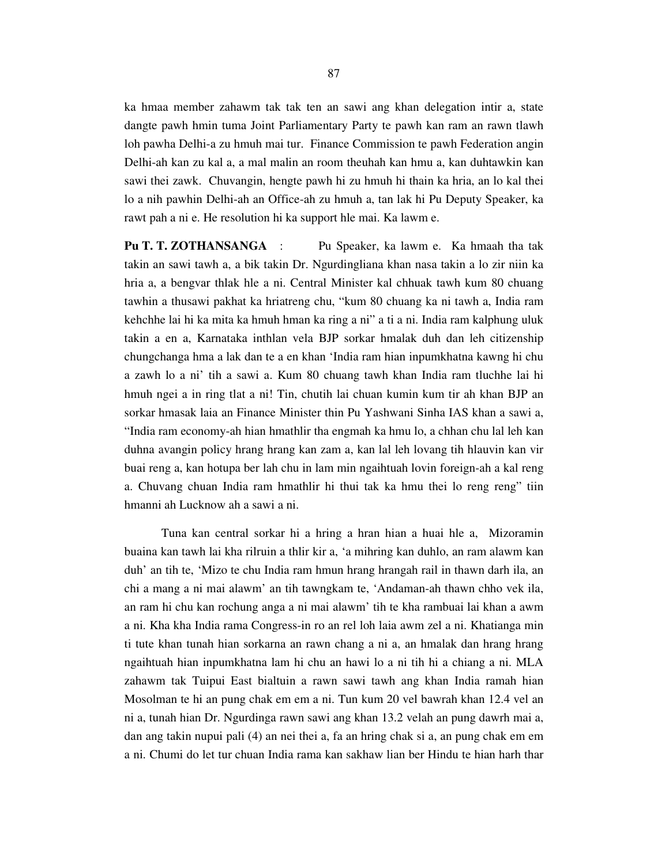ka hmaa member zahawm tak tak ten an sawi ang khan delegation intir a, state dangte pawh hmin tuma Joint Parliamentary Party te pawh kan ram an rawn tlawh loh pawha Delhi-a zu hmuh mai tur. Finance Commission te pawh Federation angin Delhi-ah kan zu kal a, a mal malin an room theuhah kan hmu a, kan duhtawkin kan sawi thei zawk. Chuvangin, hengte pawh hi zu hmuh hi thain ka hria, an lo kal thei lo a nih pawhin Delhi-ah an Office-ah zu hmuh a, tan lak hi Pu Deputy Speaker, ka rawt pah a ni e. He resolution hi ka support hle mai. Ka lawm e.

**Pu T. T. ZOTHANSANGA** : Pu Speaker, ka lawm e. Ka hmaah tha tak takin an sawi tawh a, a bik takin Dr. Ngurdingliana khan nasa takin a lo zir niin ka hria a, a bengvar thlak hle a ni. Central Minister kal chhuak tawh kum 80 chuang tawhin a thusawi pakhat ka hriatreng chu, "kum 80 chuang ka ni tawh a, India ram kehchhe lai hi ka mita ka hmuh hman ka ring a ni" a ti a ni. India ram kalphung uluk takin a en a, Karnataka inthlan vela BJP sorkar hmalak duh dan leh citizenship chungchanga hma a lak dan te a en khan 'India ram hian inpumkhatna kawng hi chu a zawh lo a ni' tih a sawi a. Kum 80 chuang tawh khan India ram tluchhe lai hi hmuh ngei a in ring tlat a ni! Tin, chutih lai chuan kumin kum tir ah khan BJP an sorkar hmasak laia an Finance Minister thin Pu Yashwani Sinha IAS khan a sawi a, "India ram economy-ah hian hmathlir tha engmah ka hmu lo, a chhan chu lal leh kan duhna avangin policy hrang hrang kan zam a, kan lal leh lovang tih hlauvin kan vir buai reng a, kan hotupa ber lah chu in lam min ngaihtuah lovin foreign-ah a kal reng a. Chuvang chuan India ram hmathlir hi thui tak ka hmu thei lo reng reng" tiin hmanni ah Lucknow ah a sawi a ni.

 Tuna kan central sorkar hi a hring a hran hian a huai hle a, Mizoramin buaina kan tawh lai kha rilruin a thlir kir a, 'a mihring kan duhlo, an ram alawm kan duh' an tih te, 'Mizo te chu India ram hmun hrang hrangah rail in thawn darh ila, an chi a mang a ni mai alawm' an tih tawngkam te, 'Andaman-ah thawn chho vek ila, an ram hi chu kan rochung anga a ni mai alawm' tih te kha rambuai lai khan a awm a ni. Kha kha India rama Congress-in ro an rel loh laia awm zel a ni. Khatianga min ti tute khan tunah hian sorkarna an rawn chang a ni a, an hmalak dan hrang hrang ngaihtuah hian inpumkhatna lam hi chu an hawi lo a ni tih hi a chiang a ni. MLA zahawm tak Tuipui East bialtuin a rawn sawi tawh ang khan India ramah hian Mosolman te hi an pung chak em em a ni. Tun kum 20 vel bawrah khan 12.4 vel an ni a, tunah hian Dr. Ngurdinga rawn sawi ang khan 13.2 velah an pung dawrh mai a, dan ang takin nupui pali (4) an nei thei a, fa an hring chak si a, an pung chak em em a ni. Chumi do let tur chuan India rama kan sakhaw lian ber Hindu te hian harh thar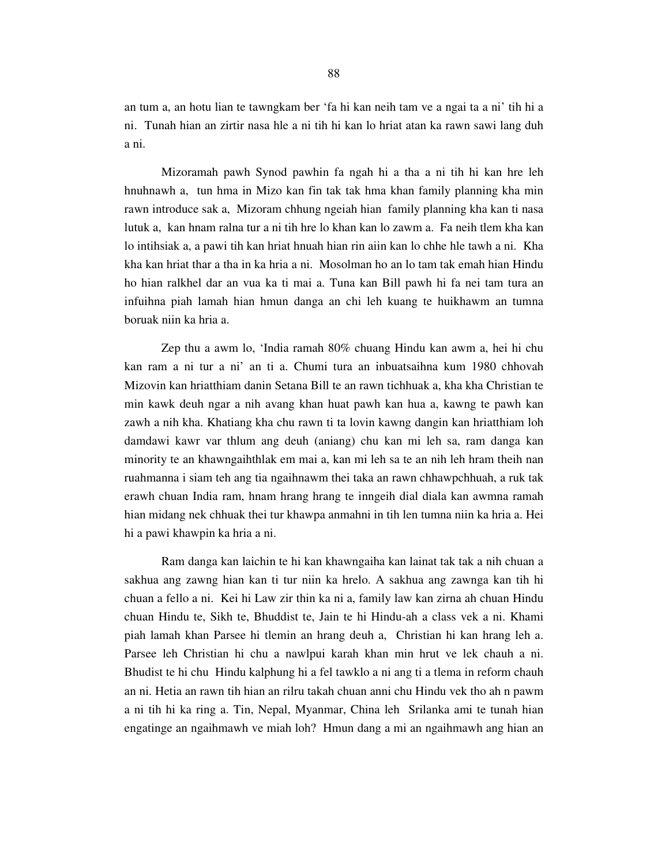an tum a, an hotu lian te tawngkam ber 'fa hi kan neih tam ve a ngai ta a ni' tih hi a ni. Tunah hian an zirtir nasa hle a ni tih hi kan lo hriat atan ka rawn sawi lang duh a ni.

 Mizoramah pawh Synod pawhin fa ngah hi a tha a ni tih hi kan hre leh hnuhnawh a, tun hma in Mizo kan fin tak tak hma khan family planning kha min rawn introduce sak a, Mizoram chhung ngeiah hian family planning kha kan ti nasa lutuk a, kan hnam ralna tur a ni tih hre lo khan kan lo zawm a. Fa neih tlem kha kan lo intihsiak a, a pawi tih kan hriat hnuah hian rin aiin kan lo chhe hle tawh a ni. Kha kha kan hriat thar a tha in ka hria a ni. Mosolman ho an lo tam tak emah hian Hindu ho hian ralkhel dar an vua ka ti mai a. Tuna kan Bill pawh hi fa nei tam tura an infuihna piah lamah hian hmun danga an chi leh kuang te huikhawm an tumna boruak niin ka hria a.

 Zep thu a awm lo, 'India ramah 80% chuang Hindu kan awm a, hei hi chu kan ram a ni tur a ni' an ti a. Chumi tura an inbuatsaihna kum 1980 chhovah Mizovin kan hriatthiam danin Setana Bill te an rawn tichhuak a, kha kha Christian te min kawk deuh ngar a nih avang khan huat pawh kan hua a, kawng te pawh kan zawh a nih kha. Khatiang kha chu rawn ti ta lovin kawng dangin kan hriatthiam loh damdawi kawr var thlum ang deuh (aniang) chu kan mi leh sa, ram danga kan minority te an khawngaihthlak em mai a, kan mi leh sa te an nih leh hram theih nan ruahmanna i siam teh ang tia ngaihnawm thei taka an rawn chhawpchhuah, a ruk tak erawh chuan India ram, hnam hrang hrang te inngeih dial diala kan awmna ramah hian midang nek chhuak thei tur khawpa anmahni in tih len tumna niin ka hria a. Hei hi a pawi khawpin ka hria a ni.

 Ram danga kan laichin te hi kan khawngaiha kan lainat tak tak a nih chuan a sakhua ang zawng hian kan ti tur niin ka hrelo. A sakhua ang zawnga kan tih hi chuan a fello a ni. Kei hi Law zir thin ka ni a, family law kan zirna ah chuan Hindu chuan Hindu te, Sikh te, Bhuddist te, Jain te hi Hindu-ah a class vek a ni. Khami piah lamah khan Parsee hi tlemin an hrang deuh a, Christian hi kan hrang leh a. Parsee leh Christian hi chu a nawlpui karah khan min hrut ve lek chauh a ni. Bhudist te hi chu Hindu kalphung hi a fel tawklo a ni ang ti a tlema in reform chauh an ni. Hetia an rawn tih hian an rilru takah chuan anni chu Hindu vek tho ah n pawm a ni tih hi ka ring a. Tin, Nepal, Myanmar, China leh Srilanka ami te tunah hian engatinge an ngaihmawh ve miah loh? Hmun dang a mi an ngaihmawh ang hian an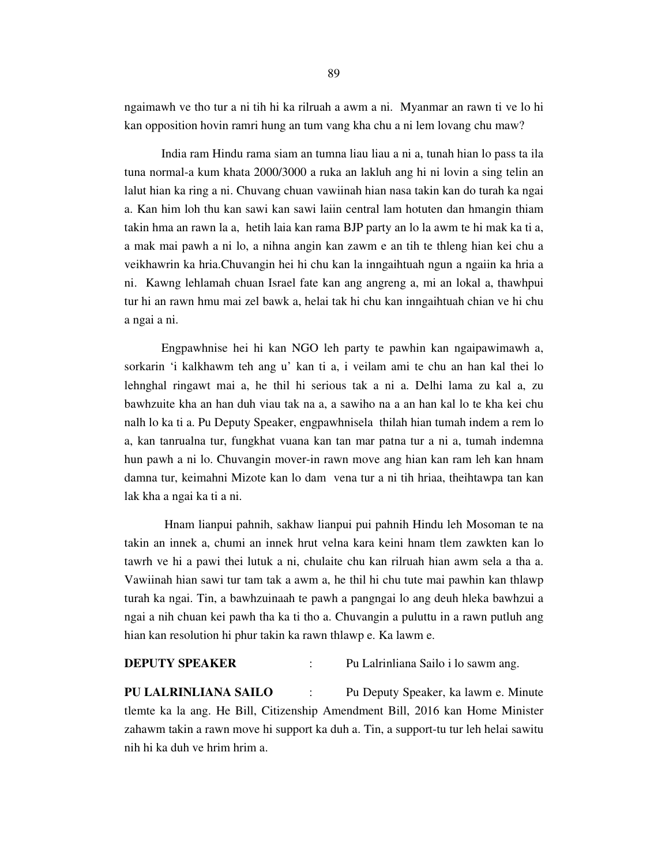ngaimawh ve tho tur a ni tih hi ka rilruah a awm a ni. Myanmar an rawn ti ve lo hi kan opposition hovin ramri hung an tum vang kha chu a ni lem lovang chu maw?

 India ram Hindu rama siam an tumna liau liau a ni a, tunah hian lo pass ta ila tuna normal-a kum khata 2000/3000 a ruka an lakluh ang hi ni lovin a sing telin an lalut hian ka ring a ni. Chuvang chuan vawiinah hian nasa takin kan do turah ka ngai a. Kan him loh thu kan sawi kan sawi laiin central lam hotuten dan hmangin thiam takin hma an rawn la a, hetih laia kan rama BJP party an lo la awm te hi mak ka ti a, a mak mai pawh a ni lo, a nihna angin kan zawm e an tih te thleng hian kei chu a veikhawrin ka hria.Chuvangin hei hi chu kan la inngaihtuah ngun a ngaiin ka hria a ni. Kawng lehlamah chuan Israel fate kan ang angreng a, mi an lokal a, thawhpui tur hi an rawn hmu mai zel bawk a, helai tak hi chu kan inngaihtuah chian ve hi chu a ngai a ni.

 Engpawhnise hei hi kan NGO leh party te pawhin kan ngaipawimawh a, sorkarin 'i kalkhawm teh ang u' kan ti a, i veilam ami te chu an han kal thei lo lehnghal ringawt mai a, he thil hi serious tak a ni a. Delhi lama zu kal a, zu bawhzuite kha an han duh viau tak na a, a sawiho na a an han kal lo te kha kei chu nalh lo ka ti a. Pu Deputy Speaker, engpawhnisela thilah hian tumah indem a rem lo a, kan tanrualna tur, fungkhat vuana kan tan mar patna tur a ni a, tumah indemna hun pawh a ni lo. Chuvangin mover-in rawn move ang hian kan ram leh kan hnam damna tur, keimahni Mizote kan lo dam vena tur a ni tih hriaa, theihtawpa tan kan lak kha a ngai ka ti a ni.

 Hnam lianpui pahnih, sakhaw lianpui pui pahnih Hindu leh Mosoman te na takin an innek a, chumi an innek hrut velna kara keini hnam tlem zawkten kan lo tawrh ve hi a pawi thei lutuk a ni, chulaite chu kan rilruah hian awm sela a tha a. Vawiinah hian sawi tur tam tak a awm a, he thil hi chu tute mai pawhin kan thlawp turah ka ngai. Tin, a bawhzuinaah te pawh a pangngai lo ang deuh hleka bawhzui a ngai a nih chuan kei pawh tha ka ti tho a. Chuvangin a puluttu in a rawn putluh ang hian kan resolution hi phur takin ka rawn thlawp e. Ka lawm e.

**DEPUTY SPEAKER** : Pu Lalrinliana Sailo i lo sawm ang.

**PU LALRINLIANA SAILO** : Pu Deputy Speaker, ka lawm e. Minute tlemte ka la ang. He Bill, Citizenship Amendment Bill, 2016 kan Home Minister zahawm takin a rawn move hi support ka duh a. Tin, a support-tu tur leh helai sawitu nih hi ka duh ve hrim hrim a.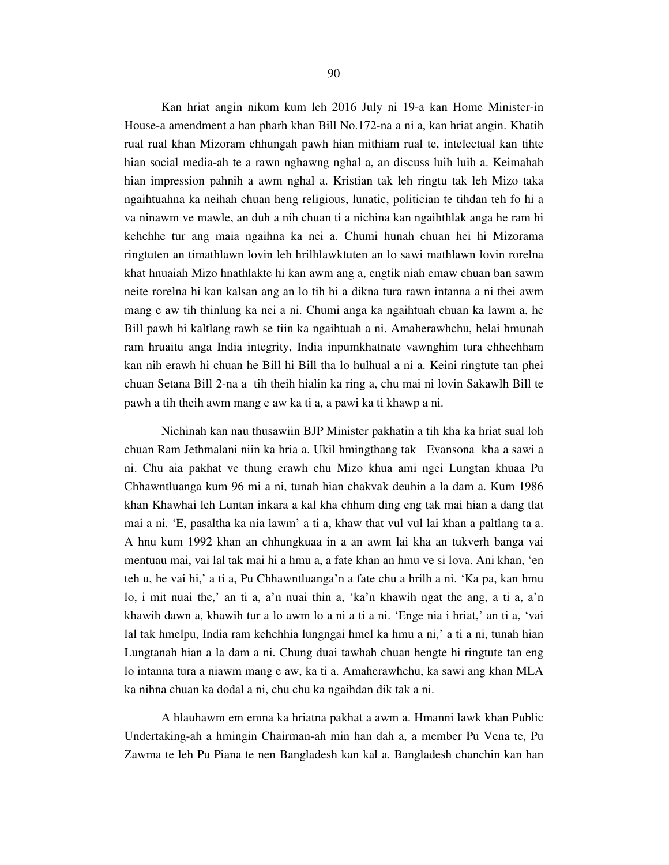Kan hriat angin nikum kum leh 2016 July ni 19-a kan Home Minister-in House-a amendment a han pharh khan Bill No.172-na a ni a, kan hriat angin. Khatih rual rual khan Mizoram chhungah pawh hian mithiam rual te, intelectual kan tihte hian social media-ah te a rawn nghawng nghal a, an discuss luih luih a. Keimahah hian impression pahnih a awm nghal a. Kristian tak leh ringtu tak leh Mizo taka ngaihtuahna ka neihah chuan heng religious, lunatic, politician te tihdan teh fo hi a va ninawm ve mawle, an duh a nih chuan ti a nichina kan ngaihthlak anga he ram hi kehchhe tur ang maia ngaihna ka nei a. Chumi hunah chuan hei hi Mizorama ringtuten an timathlawn lovin leh hrilhlawktuten an lo sawi mathlawn lovin rorelna khat hnuaiah Mizo hnathlakte hi kan awm ang a, engtik niah emaw chuan ban sawm neite rorelna hi kan kalsan ang an lo tih hi a dikna tura rawn intanna a ni thei awm mang e aw tih thinlung ka nei a ni. Chumi anga ka ngaihtuah chuan ka lawm a, he Bill pawh hi kaltlang rawh se tiin ka ngaihtuah a ni. Amaherawhchu, helai hmunah ram hruaitu anga India integrity, India inpumkhatnate vawnghim tura chhechham kan nih erawh hi chuan he Bill hi Bill tha lo hulhual a ni a. Keini ringtute tan phei chuan Setana Bill 2-na a tih theih hialin ka ring a, chu mai ni lovin Sakawlh Bill te pawh a tih theih awm mang e aw ka ti a, a pawi ka ti khawp a ni.

 Nichinah kan nau thusawiin BJP Minister pakhatin a tih kha ka hriat sual loh chuan Ram Jethmalani niin ka hria a. Ukil hmingthang tak Evansona kha a sawi a ni. Chu aia pakhat ve thung erawh chu Mizo khua ami ngei Lungtan khuaa Pu Chhawntluanga kum 96 mi a ni, tunah hian chakvak deuhin a la dam a. Kum 1986 khan Khawhai leh Luntan inkara a kal kha chhum ding eng tak mai hian a dang tlat mai a ni. 'E, pasaltha ka nia lawm' a ti a, khaw that vul vul lai khan a paltlang ta a. A hnu kum 1992 khan an chhungkuaa in a an awm lai kha an tukverh banga vai mentuau mai, vai lal tak mai hi a hmu a, a fate khan an hmu ve si lova. Ani khan, 'en teh u, he vai hi,' a ti a, Pu Chhawntluanga'n a fate chu a hrilh a ni. 'Ka pa, kan hmu lo, i mit nuai the,' an ti a, a'n nuai thin a, 'ka'n khawih ngat the ang, a ti a, a'n khawih dawn a, khawih tur a lo awm lo a ni a ti a ni. 'Enge nia i hriat,' an ti a, 'vai lal tak hmelpu, India ram kehchhia lungngai hmel ka hmu a ni,' a ti a ni, tunah hian Lungtanah hian a la dam a ni. Chung duai tawhah chuan hengte hi ringtute tan eng lo intanna tura a niawm mang e aw, ka ti a. Amaherawhchu, ka sawi ang khan MLA ka nihna chuan ka dodal a ni, chu chu ka ngaihdan dik tak a ni.

 A hlauhawm em emna ka hriatna pakhat a awm a. Hmanni lawk khan Public Undertaking-ah a hmingin Chairman-ah min han dah a, a member Pu Vena te, Pu Zawma te leh Pu Piana te nen Bangladesh kan kal a. Bangladesh chanchin kan han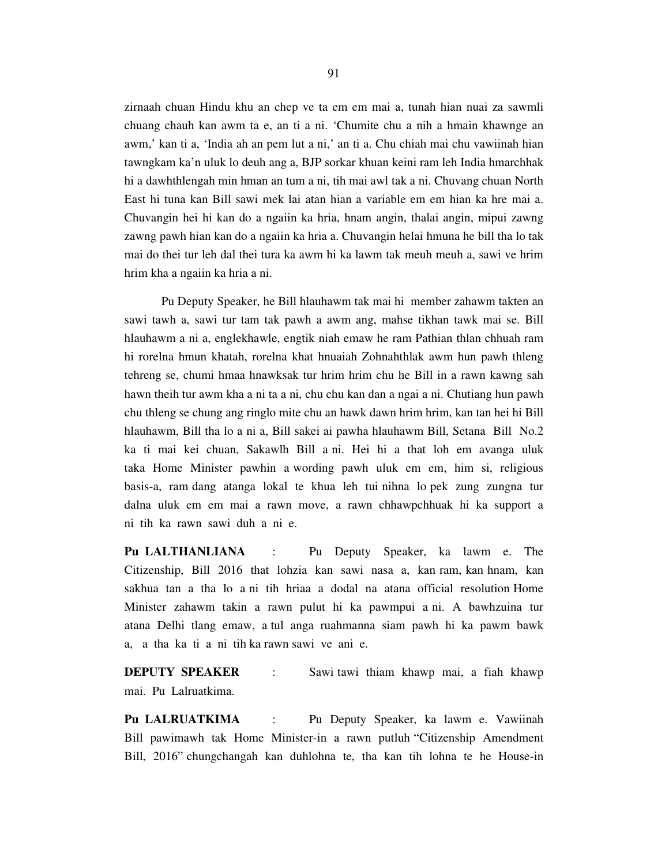zirnaah chuan Hindu khu an chep ve ta em em mai a, tunah hian nuai za sawmli chuang chauh kan awm ta e, an ti a ni. 'Chumite chu a nih a hmain khawnge an awm,' kan ti a, 'India ah an pem lut a ni,' an ti a. Chu chiah mai chu vawiinah hian tawngkam ka'n uluk lo deuh ang a, BJP sorkar khuan keini ram leh India hmarchhak hi a dawhthlengah min hman an tum a ni, tih mai awl tak a ni. Chuvang chuan North East hi tuna kan Bill sawi mek lai atan hian a variable em em hian ka hre mai a. Chuvangin hei hi kan do a ngaiin ka hria, hnam angin, thalai angin, mipui zawng zawng pawh hian kan do a ngaiin ka hria a. Chuvangin helai hmuna he bill tha lo tak mai do thei tur leh dal thei tura ka awm hi ka lawm tak meuh meuh a, sawi ve hrim hrim kha a ngaiin ka hria a ni.

 Pu Deputy Speaker, he Bill hlauhawm tak mai hi member zahawm takten an sawi tawh a, sawi tur tam tak pawh a awm ang, mahse tikhan tawk mai se. Bill hlauhawm a ni a, englekhawle, engtik niah emaw he ram Pathian thlan chhuah ram hi rorelna hmun khatah, rorelna khat hnuaiah Zohnahthlak awm hun pawh thleng tehreng se, chumi hmaa hnawksak tur hrim hrim chu he Bill in a rawn kawng sah hawn theih tur awm kha a ni ta a ni, chu chu kan dan a ngai a ni. Chutiang hun pawh chu thleng se chung ang ringlo mite chu an hawk dawn hrim hrim, kan tan hei hi Bill hlauhawm, Bill tha lo a ni a, Bill sakei ai pawha hlauhawm Bill, Setana Bill No.2 ka ti mai kei chuan, Sakawlh Bill a ni. Hei hi a that loh em avanga uluk taka Home Minister pawhin a wording pawh uluk em em, him si, religious basis-a, ram dang atanga lokal te khua leh tui nihna lo pek zung zungna tur dalna uluk em em mai a rawn move, a rawn chhawpchhuak hi ka support a ni tih ka rawn sawi duh a ni e.

**Pu LALTHANLIANA** : Pu Deputy Speaker, ka lawm e. The Citizenship, Bill 2016 that lohzia kan sawi nasa a, kan ram, kan hnam, kan sakhua tan a tha lo a ni tih hriaa a dodal na atana official resolution Home Minister zahawm takin a rawn pulut hi ka pawmpui a ni. A bawhzuina tur atana Delhi tlang emaw, a tul anga ruahmanna siam pawh hi ka pawm bawk a, a tha ka ti a ni tih ka rawn sawi ve ani e.

**DEPUTY SPEAKER** : Sawi tawi thiam khawp mai, a fiah khawp mai. Pu Lalruatkima.

**Pu LALRUATKIMA** : Pu Deputy Speaker, ka lawm e. Vawiinah Bill pawimawh tak Home Minister-in a rawn putluh "Citizenship Amendment Bill, 2016" chungchangah kan duhlohna te, tha kan tih lohna te he House-in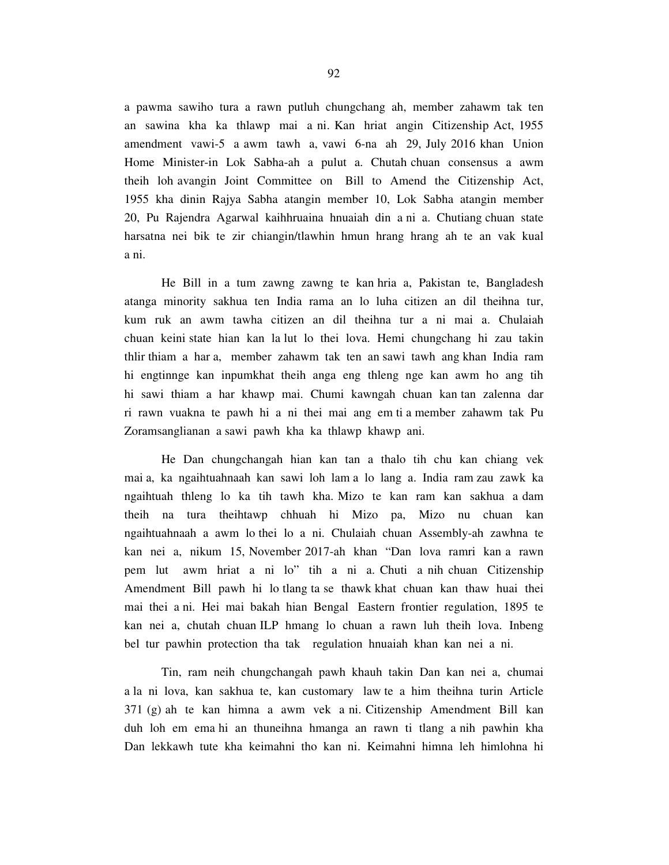a pawma sawiho tura a rawn putluh chungchang ah, member zahawm tak ten an sawina kha ka thlawp mai a ni. Kan hriat angin Citizenship Act, 1955 amendment vawi-5 a awm tawh a, vawi 6-na ah 29, July 2016 khan Union Home Minister-in Lok Sabha-ah a pulut a. Chutah chuan consensus a awm theih loh avangin Joint Committee on Bill to Amend the Citizenship Act, 1955 kha dinin Rajya Sabha atangin member 10, Lok Sabha atangin member 20, Pu Rajendra Agarwal kaihhruaina hnuaiah din a ni a. Chutiang chuan state harsatna nei bik te zir chiangin/tlawhin hmun hrang hrang ah te an vak kual a ni.

 He Bill in a tum zawng zawng te kan hria a, Pakistan te, Bangladesh atanga minority sakhua ten India rama an lo luha citizen an dil theihna tur, kum ruk an awm tawha citizen an dil theihna tur a ni mai a. Chulaiah chuan keini state hian kan la lut lo thei lova. Hemi chungchang hi zau takin thlir thiam a har a, member zahawm tak ten an sawi tawh ang khan India ram hi engtinnge kan inpumkhat theih anga eng thleng nge kan awm ho ang tih hi sawi thiam a har khawp mai. Chumi kawngah chuan kan tan zalenna dar ri rawn vuakna te pawh hi a ni thei mai ang em ti a member zahawm tak Pu Zoramsanglianan a sawi pawh kha ka thlawp khawp ani.

 He Dan chungchangah hian kan tan a thalo tih chu kan chiang vek mai a, ka ngaihtuahnaah kan sawi loh lam a lo lang a. India ram zau zawk ka ngaihtuah thleng lo ka tih tawh kha. Mizo te kan ram kan sakhua a dam theih na tura theihtawp chhuah hi Mizo pa, Mizo nu chuan kan ngaihtuahnaah a awm lo thei lo a ni. Chulaiah chuan Assembly-ah zawhna te kan nei a, nikum 15, November 2017-ah khan "Dan lova ramri kan a rawn pem lut awm hriat a ni lo" tih a ni a. Chuti a nih chuan Citizenship Amendment Bill pawh hi lo tlang ta se thawk khat chuan kan thaw huai thei mai thei a ni. Hei mai bakah hian Bengal Eastern frontier regulation, 1895 te kan nei a, chutah chuan ILP hmang lo chuan a rawn luh theih lova. Inbeng bel tur pawhin protection tha tak regulation hnuaiah khan kan nei a ni.

 Tin, ram neih chungchangah pawh khauh takin Dan kan nei a, chumai a la ni lova, kan sakhua te, kan customary law te a him theihna turin Article 371 (g) ah te kan himna a awm vek a ni. Citizenship Amendment Bill kan duh loh em ema hi an thuneihna hmanga an rawn ti tlang a nih pawhin kha Dan lekkawh tute kha keimahni tho kan ni. Keimahni himna leh himlohna hi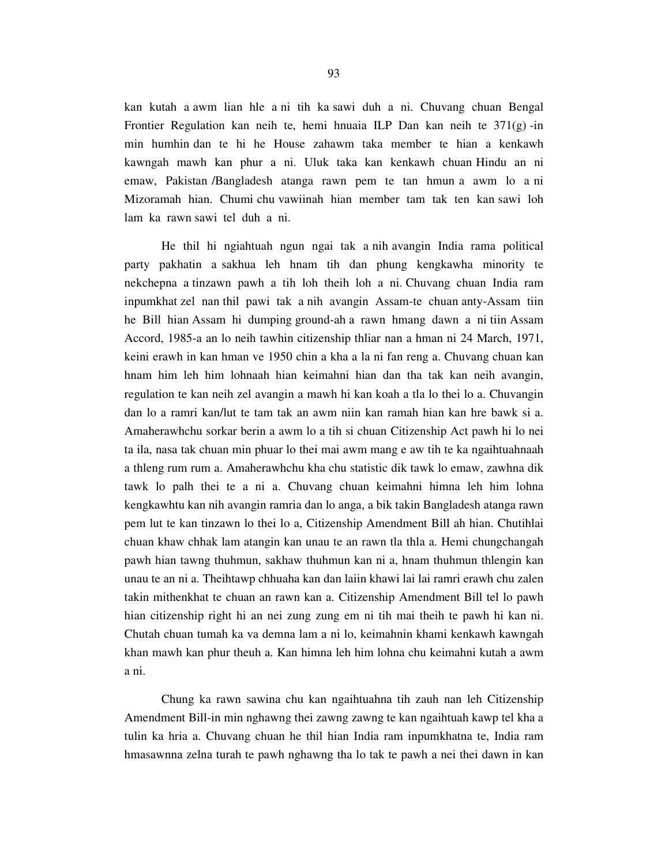kan kutah a awm lian hle a ni tih ka sawi duh a ni. Chuvang chuan Bengal Frontier Regulation kan neih te, hemi hnuaia ILP Dan kan neih te 371(g) -in min humhin dan te hi he House zahawm taka member te hian a kenkawh kawngah mawh kan phur a ni. Uluk taka kan kenkawh chuan Hindu an ni emaw, Pakistan /Bangladesh atanga rawn pem te tan hmun a awm lo a ni Mizoramah hian. Chumi chu vawiinah hian member tam tak ten kan sawi loh lam ka rawn sawi tel duh a ni.

 He thil hi ngiahtuah ngun ngai tak a nih avangin India rama political party pakhatin a sakhua leh hnam tih dan phung kengkawha minority te nekchepna a tinzawn pawh a tih loh theih loh a ni. Chuvang chuan India ram inpumkhat zel nan thil pawi tak a nih avangin Assam-te chuan anty-Assam tiin he Bill hian Assam hi dumping ground-ah a rawn hmang dawn a ni tiin Assam Accord, 1985-a an lo neih tawhin citizenship thliar nan a hman ni 24 March, 1971, keini erawh in kan hman ve 1950 chin a kha a la ni fan reng a. Chuvang chuan kan hnam him leh him lohnaah hian keimahni hian dan tha tak kan neih avangin, regulation te kan neih zel avangin a mawh hi kan koah a tla lo thei lo a. Chuvangin dan lo a ramri kan/lut te tam tak an awm niin kan ramah hian kan hre bawk si a. Amaherawhchu sorkar berin a awm lo a tih si chuan Citizenship Act pawh hi lo nei ta ila, nasa tak chuan min phuar lo thei mai awm mang e aw tih te ka ngaihtuahnaah a thleng rum rum a. Amaherawhchu kha chu statistic dik tawk lo emaw, zawhna dik tawk lo palh thei te a ni a. Chuvang chuan keimahni himna leh him lohna kengkawhtu kan nih avangin ramria dan lo anga, a bik takin Bangladesh atanga rawn pem lut te kan tinzawn lo thei lo a, Citizenship Amendment Bill ah hian. Chutihlai chuan khaw chhak lam atangin kan unau te an rawn tla thla a. Hemi chungchangah pawh hian tawng thuhmun, sakhaw thuhmun kan ni a, hnam thuhmun thlengin kan unau te an ni a. Theihtawp chhuaha kan dan laiin khawi lai lai ramri erawh chu zalen takin mithenkhat te chuan an rawn kan a. Citizenship Amendment Bill tel lo pawh hian citizenship right hi an nei zung zung em ni tih mai theih te pawh hi kan ni. Chutah chuan tumah ka va demna lam a ni lo, keimahnin khami kenkawh kawngah khan mawh kan phur theuh a. Kan himna leh him lohna chu keimahni kutah a awm a ni.

 Chung ka rawn sawina chu kan ngaihtuahna tih zauh nan leh Citizenship Amendment Bill-in min nghawng thei zawng zawng te kan ngaihtuah kawp tel kha a tulin ka hria a. Chuvang chuan he thil hian India ram inpumkhatna te, India ram hmasawnna zelna turah te pawh nghawng tha lo tak te pawh a nei thei dawn in kan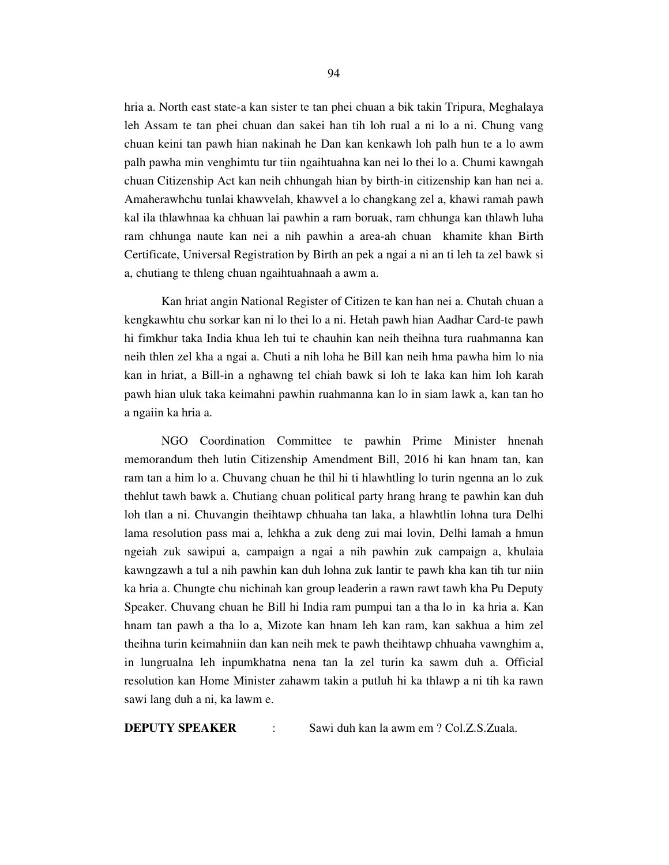hria a. North east state-a kan sister te tan phei chuan a bik takin Tripura, Meghalaya leh Assam te tan phei chuan dan sakei han tih loh rual a ni lo a ni. Chung vang chuan keini tan pawh hian nakinah he Dan kan kenkawh loh palh hun te a lo awm palh pawha min venghimtu tur tiin ngaihtuahna kan nei lo thei lo a. Chumi kawngah chuan Citizenship Act kan neih chhungah hian by birth-in citizenship kan han nei a. Amaherawhchu tunlai khawvelah, khawvel a lo changkang zel a, khawi ramah pawh kal ila thlawhnaa ka chhuan lai pawhin a ram boruak, ram chhunga kan thlawh luha ram chhunga naute kan nei a nih pawhin a area-ah chuan khamite khan Birth Certificate, Universal Registration by Birth an pek a ngai a ni an ti leh ta zel bawk si a, chutiang te thleng chuan ngaihtuahnaah a awm a.

 Kan hriat angin National Register of Citizen te kan han nei a. Chutah chuan a kengkawhtu chu sorkar kan ni lo thei lo a ni. Hetah pawh hian Aadhar Card-te pawh hi fimkhur taka India khua leh tui te chauhin kan neih theihna tura ruahmanna kan neih thlen zel kha a ngai a. Chuti a nih loha he Bill kan neih hma pawha him lo nia kan in hriat, a Bill-in a nghawng tel chiah bawk si loh te laka kan him loh karah pawh hian uluk taka keimahni pawhin ruahmanna kan lo in siam lawk a, kan tan ho a ngaiin ka hria a.

 NGO Coordination Committee te pawhin Prime Minister hnenah memorandum theh lutin Citizenship Amendment Bill, 2016 hi kan hnam tan, kan ram tan a him lo a. Chuvang chuan he thil hi ti hlawhtling lo turin ngenna an lo zuk thehlut tawh bawk a. Chutiang chuan political party hrang hrang te pawhin kan duh loh tlan a ni. Chuvangin theihtawp chhuaha tan laka, a hlawhtlin lohna tura Delhi lama resolution pass mai a, lehkha a zuk deng zui mai lovin, Delhi lamah a hmun ngeiah zuk sawipui a, campaign a ngai a nih pawhin zuk campaign a, khulaia kawngzawh a tul a nih pawhin kan duh lohna zuk lantir te pawh kha kan tih tur niin ka hria a. Chungte chu nichinah kan group leaderin a rawn rawt tawh kha Pu Deputy Speaker. Chuvang chuan he Bill hi India ram pumpui tan a tha lo in ka hria a. Kan hnam tan pawh a tha lo a, Mizote kan hnam leh kan ram, kan sakhua a him zel theihna turin keimahniin dan kan neih mek te pawh theihtawp chhuaha vawnghim a, in lungrualna leh inpumkhatna nena tan la zel turin ka sawm duh a. Official resolution kan Home Minister zahawm takin a putluh hi ka thlawp a ni tih ka rawn sawi lang duh a ni, ka lawm e.

**DEPUTY SPEAKER** : Sawi duh kan la awm em ? Col.Z.S.Zuala.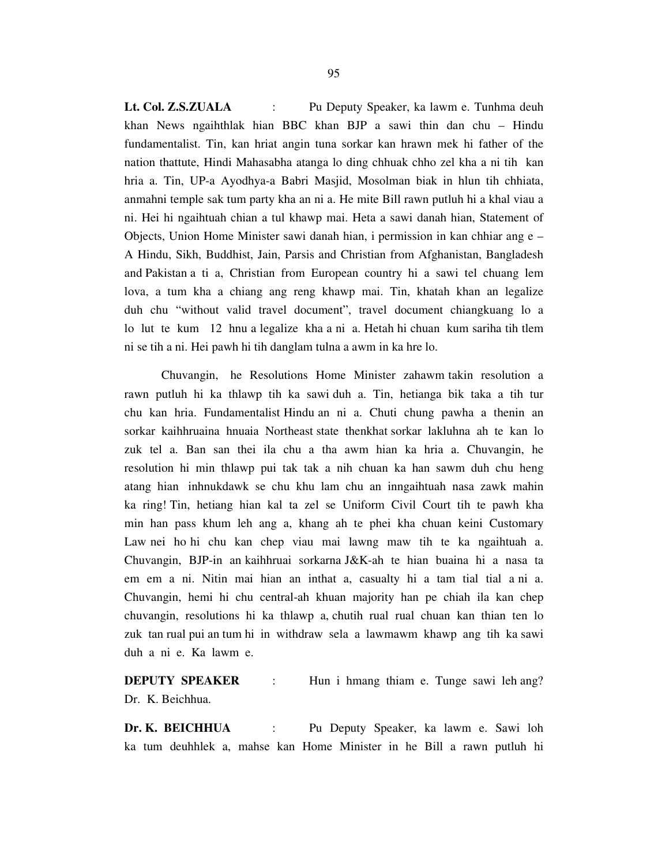**Lt. Col. Z.S.ZUALA** : Pu Deputy Speaker, ka lawm e. Tunhma deuh khan News ngaihthlak hian BBC khan BJP a sawi thin dan chu – Hindu fundamentalist. Tin, kan hriat angin tuna sorkar kan hrawn mek hi father of the nation thattute, Hindi Mahasabha atanga lo ding chhuak chho zel kha a ni tih kan hria a. Tin, UP-a Ayodhya-a Babri Masjid, Mosolman biak in hlun tih chhiata, anmahni temple sak tum party kha an ni a. He mite Bill rawn putluh hi a khal viau a ni. Hei hi ngaihtuah chian a tul khawp mai. Heta a sawi danah hian, Statement of Objects, Union Home Minister sawi danah hian, i permission in kan chhiar ang  $e -$ A Hindu, Sikh, Buddhist, Jain, Parsis and Christian from Afghanistan, Bangladesh and Pakistan a ti a, Christian from European country hi a sawi tel chuang lem lova, a tum kha a chiang ang reng khawp mai. Tin, khatah khan an legalize duh chu "without valid travel document", travel document chiangkuang lo a lo lut te kum 12 hnu a legalize kha a ni a. Hetah hi chuan kum sariha tih tlem ni se tih a ni. Hei pawh hi tih danglam tulna a awm in ka hre lo.

 Chuvangin, he Resolutions Home Minister zahawm takin resolution a rawn putluh hi ka thlawp tih ka sawi duh a. Tin, hetianga bik taka a tih tur chu kan hria. Fundamentalist Hindu an ni a. Chuti chung pawha a thenin an sorkar kaihhruaina hnuaia Northeast state thenkhat sorkar lakluhna ah te kan lo zuk tel a. Ban san thei ila chu a tha awm hian ka hria a. Chuvangin, he resolution hi min thlawp pui tak tak a nih chuan ka han sawm duh chu heng atang hian inhnukdawk se chu khu lam chu an inngaihtuah nasa zawk mahin ka ring! Tin, hetiang hian kal ta zel se Uniform Civil Court tih te pawh kha min han pass khum leh ang a, khang ah te phei kha chuan keini Customary Law nei ho hi chu kan chep viau mai lawng maw tih te ka ngaihtuah a. Chuvangin, BJP-in an kaihhruai sorkarna J&K-ah te hian buaina hi a nasa ta em em a ni. Nitin mai hian an inthat a, casualty hi a tam tial tial a ni a. Chuvangin, hemi hi chu central-ah khuan majority han pe chiah ila kan chep chuvangin, resolutions hi ka thlawp a, chutih rual rual chuan kan thian ten lo zuk tan rual pui an tum hi in withdraw sela a lawmawm khawp ang tih ka sawi duh a ni e. Ka lawm e.

**DEPUTY SPEAKER** : Hun i hmang thiam e. Tunge sawi leh ang? Dr. K. Beichhua.

**Dr. K. BEICHHUA** : Pu Deputy Speaker, ka lawm e. Sawi loh ka tum deuhhlek a, mahse kan Home Minister in he Bill a rawn putluh hi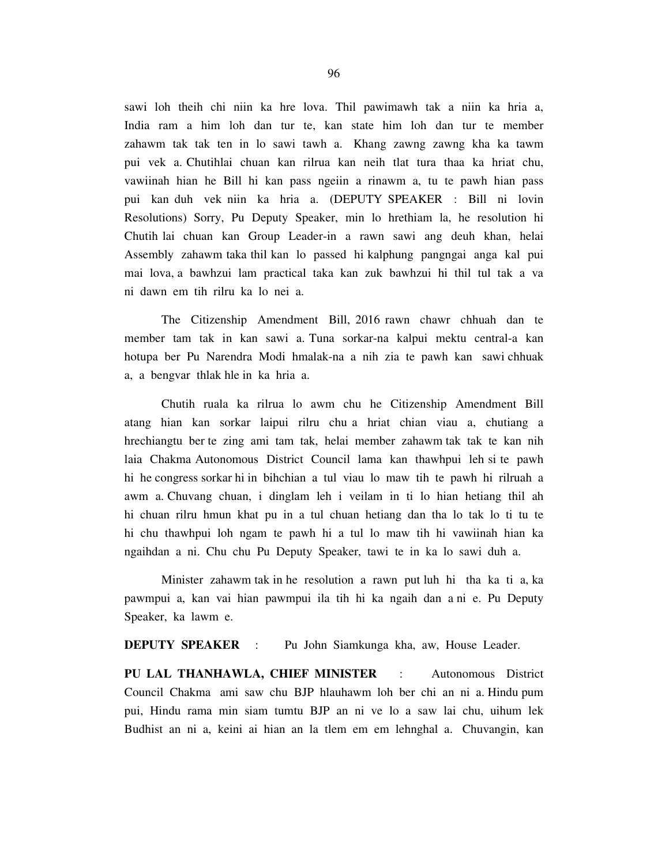sawi loh theih chi niin ka hre lova. Thil pawimawh tak a niin ka hria a, India ram a him loh dan tur te, kan state him loh dan tur te member zahawm tak tak ten in lo sawi tawh a. Khang zawng zawng kha ka tawm pui vek a. Chutihlai chuan kan rilrua kan neih tlat tura thaa ka hriat chu, vawiinah hian he Bill hi kan pass ngeiin a rinawm a, tu te pawh hian pass pui kan duh vek niin ka hria a. (DEPUTY SPEAKER : Bill ni lovin Resolutions) Sorry, Pu Deputy Speaker, min lo hrethiam la, he resolution hi Chutih lai chuan kan Group Leader-in a rawn sawi ang deuh khan, helai Assembly zahawm taka thil kan lo passed hi kalphung pangngai anga kal pui mai lova, a bawhzui lam practical taka kan zuk bawhzui hi thil tul tak a va ni dawn em tih rilru ka lo nei a.

 The Citizenship Amendment Bill, 2016 rawn chawr chhuah dan te member tam tak in kan sawi a. Tuna sorkar-na kalpui mektu central-a kan hotupa ber Pu Narendra Modi hmalak-na a nih zia te pawh kan sawi chhuak a, a bengvar thlak hle in ka hria a.

 Chutih ruala ka rilrua lo awm chu he Citizenship Amendment Bill atang hian kan sorkar laipui rilru chu a hriat chian viau a, chutiang a hrechiangtu ber te zing ami tam tak, helai member zahawm tak tak te kan nih laia Chakma Autonomous District Council lama kan thawhpui leh si te pawh hi he congress sorkar hi in bihchian a tul viau lo maw tih te pawh hi rilruah a awm a. Chuvang chuan, i dinglam leh i veilam in ti lo hian hetiang thil ah hi chuan rilru hmun khat pu in a tul chuan hetiang dan tha lo tak lo ti tu te hi chu thawhpui loh ngam te pawh hi a tul lo maw tih hi vawiinah hian ka ngaihdan a ni. Chu chu Pu Deputy Speaker, tawi te in ka lo sawi duh a.

 Minister zahawm tak in he resolution a rawn put luh hi tha ka ti a, ka pawmpui a, kan vai hian pawmpui ila tih hi ka ngaih dan a ni e. Pu Deputy Speaker, ka lawm e.

**DEPUTY SPEAKER** : Pu John Siamkunga kha, aw, House Leader.

**PU LAL THANHAWLA, CHIEF MINISTER** : Autonomous District Council Chakma ami saw chu BJP hlauhawm loh ber chi an ni a. Hindu pum pui, Hindu rama min siam tumtu BJP an ni ve lo a saw lai chu, uihum lek Budhist an ni a, keini ai hian an la tlem em em lehnghal a. Chuvangin, kan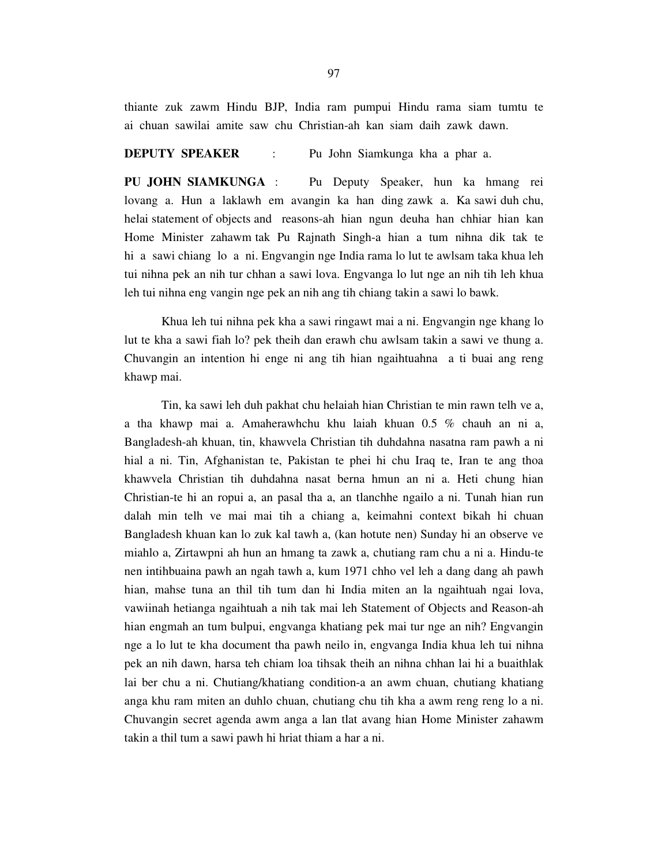thiante zuk zawm Hindu BJP, India ram pumpui Hindu rama siam tumtu te ai chuan sawilai amite saw chu Christian-ah kan siam daih zawk dawn.

**DEPUTY SPEAKER** : Pu John Siamkunga kha a phar a.

**PU JOHN SIAMKUNGA** : Pu Deputy Speaker, hun ka hmang rei lovang a. Hun a laklawh em avangin ka han ding zawk a. Ka sawi duh chu, helai statement of objects and reasons-ah hian ngun deuha han chhiar hian kan Home Minister zahawm tak Pu Rajnath Singh-a hian a tum nihna dik tak te hi a sawi chiang lo a ni. Engvangin nge India rama lo lut te awlsam taka khua leh tui nihna pek an nih tur chhan a sawi lova. Engvanga lo lut nge an nih tih leh khua leh tui nihna eng vangin nge pek an nih ang tih chiang takin a sawi lo bawk.

 Khua leh tui nihna pek kha a sawi ringawt mai a ni. Engvangin nge khang lo lut te kha a sawi fiah lo? pek theih dan erawh chu awlsam takin a sawi ve thung a. Chuvangin an intention hi enge ni ang tih hian ngaihtuahna a ti buai ang reng khawp mai.

 Tin, ka sawi leh duh pakhat chu helaiah hian Christian te min rawn telh ve a, a tha khawp mai a. Amaherawhchu khu laiah khuan 0.5 % chauh an ni a, Bangladesh-ah khuan, tin, khawvela Christian tih duhdahna nasatna ram pawh a ni hial a ni. Tin, Afghanistan te, Pakistan te phei hi chu Iraq te, Iran te ang thoa khawvela Christian tih duhdahna nasat berna hmun an ni a. Heti chung hian Christian-te hi an ropui a, an pasal tha a, an tlanchhe ngailo a ni. Tunah hian run dalah min telh ve mai mai tih a chiang a, keimahni context bikah hi chuan Bangladesh khuan kan lo zuk kal tawh a, (kan hotute nen) Sunday hi an observe ve miahlo a, Zirtawpni ah hun an hmang ta zawk a, chutiang ram chu a ni a. Hindu-te nen intihbuaina pawh an ngah tawh a, kum 1971 chho vel leh a dang dang ah pawh hian, mahse tuna an thil tih tum dan hi India miten an la ngaihtuah ngai lova, vawiinah hetianga ngaihtuah a nih tak mai leh Statement of Objects and Reason-ah hian engmah an tum bulpui, engvanga khatiang pek mai tur nge an nih? Engvangin nge a lo lut te kha document tha pawh neilo in, engvanga India khua leh tui nihna pek an nih dawn, harsa teh chiam loa tihsak theih an nihna chhan lai hi a buaithlak lai ber chu a ni. Chutiang/khatiang condition-a an awm chuan, chutiang khatiang anga khu ram miten an duhlo chuan, chutiang chu tih kha a awm reng reng lo a ni. Chuvangin secret agenda awm anga a lan tlat avang hian Home Minister zahawm takin a thil tum a sawi pawh hi hriat thiam a har a ni.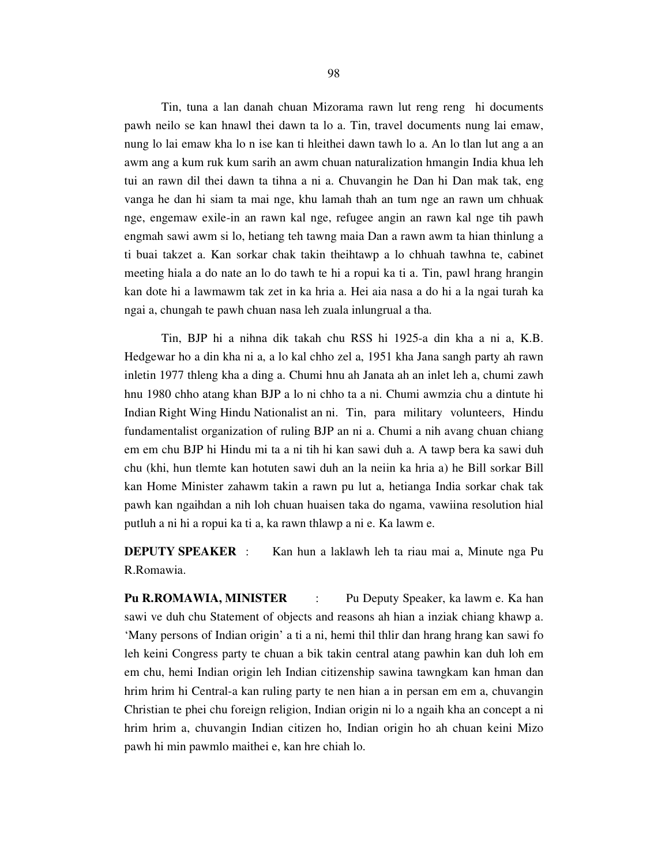Tin, tuna a lan danah chuan Mizorama rawn lut reng reng hi documents pawh neilo se kan hnawl thei dawn ta lo a. Tin, travel documents nung lai emaw, nung lo lai emaw kha lo n ise kan ti hleithei dawn tawh lo a. An lo tlan lut ang a an awm ang a kum ruk kum sarih an awm chuan naturalization hmangin India khua leh tui an rawn dil thei dawn ta tihna a ni a. Chuvangin he Dan hi Dan mak tak, eng vanga he dan hi siam ta mai nge, khu lamah thah an tum nge an rawn um chhuak nge, engemaw exile-in an rawn kal nge, refugee angin an rawn kal nge tih pawh engmah sawi awm si lo, hetiang teh tawng maia Dan a rawn awm ta hian thinlung a ti buai takzet a. Kan sorkar chak takin theihtawp a lo chhuah tawhna te, cabinet meeting hiala a do nate an lo do tawh te hi a ropui ka ti a. Tin, pawl hrang hrangin kan dote hi a lawmawm tak zet in ka hria a. Hei aia nasa a do hi a la ngai turah ka ngai a, chungah te pawh chuan nasa leh zuala inlungrual a tha.

 Tin, BJP hi a nihna dik takah chu RSS hi 1925-a din kha a ni a, K.B. Hedgewar ho a din kha ni a, a lo kal chho zel a, 1951 kha Jana sangh party ah rawn inletin 1977 thleng kha a ding a. Chumi hnu ah Janata ah an inlet leh a, chumi zawh hnu 1980 chho atang khan BJP a lo ni chho ta a ni. Chumi awmzia chu a dintute hi Indian Right Wing Hindu Nationalist an ni. Tin, para military volunteers, Hindu fundamentalist organization of ruling BJP an ni a. Chumi a nih avang chuan chiang em em chu BJP hi Hindu mi ta a ni tih hi kan sawi duh a. A tawp bera ka sawi duh chu (khi, hun tlemte kan hotuten sawi duh an la neiin ka hria a) he Bill sorkar Bill kan Home Minister zahawm takin a rawn pu lut a, hetianga India sorkar chak tak pawh kan ngaihdan a nih loh chuan huaisen taka do ngama, vawiina resolution hial putluh a ni hi a ropui ka ti a, ka rawn thlawp a ni e. Ka lawm e.

**DEPUTY SPEAKER** : Kan hun a laklawh leh ta riau mai a, Minute nga Pu R.Romawia.

**Pu R.ROMAWIA, MINISTER** : Pu Deputy Speaker, ka lawm e. Ka han sawi ve duh chu Statement of objects and reasons ah hian a inziak chiang khawp a. 'Many persons of Indian origin' a ti a ni, hemi thil thlir dan hrang hrang kan sawi fo leh keini Congress party te chuan a bik takin central atang pawhin kan duh loh em em chu, hemi Indian origin leh Indian citizenship sawina tawngkam kan hman dan hrim hrim hi Central-a kan ruling party te nen hian a in persan em em a, chuvangin Christian te phei chu foreign religion, Indian origin ni lo a ngaih kha an concept a ni hrim hrim a, chuvangin Indian citizen ho, Indian origin ho ah chuan keini Mizo pawh hi min pawmlo maithei e, kan hre chiah lo.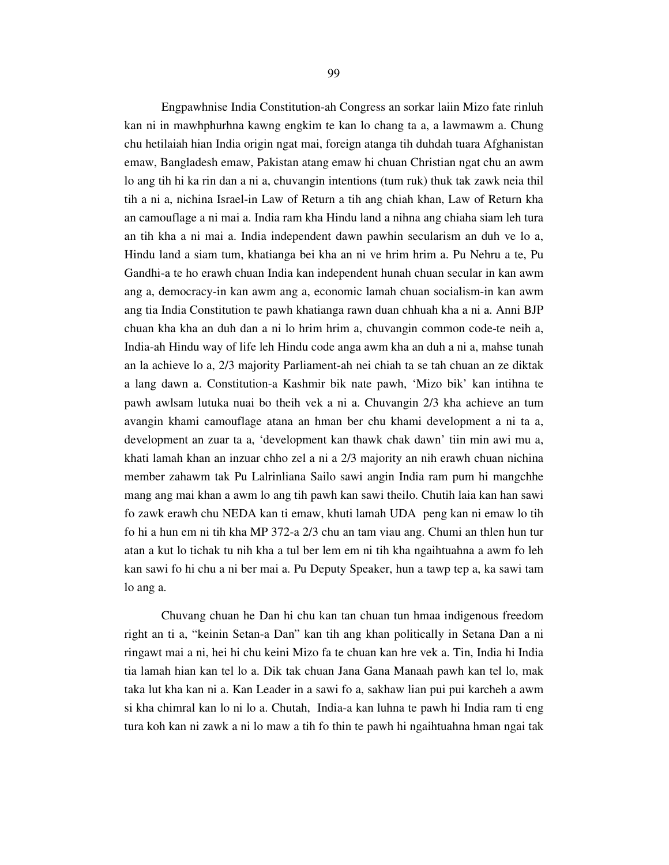Engpawhnise India Constitution-ah Congress an sorkar laiin Mizo fate rinluh kan ni in mawhphurhna kawng engkim te kan lo chang ta a, a lawmawm a. Chung chu hetilaiah hian India origin ngat mai, foreign atanga tih duhdah tuara Afghanistan emaw, Bangladesh emaw, Pakistan atang emaw hi chuan Christian ngat chu an awm lo ang tih hi ka rin dan a ni a, chuvangin intentions (tum ruk) thuk tak zawk neia thil tih a ni a, nichina Israel-in Law of Return a tih ang chiah khan, Law of Return kha an camouflage a ni mai a. India ram kha Hindu land a nihna ang chiaha siam leh tura an tih kha a ni mai a. India independent dawn pawhin secularism an duh ve lo a, Hindu land a siam tum, khatianga bei kha an ni ve hrim hrim a. Pu Nehru a te, Pu Gandhi-a te ho erawh chuan India kan independent hunah chuan secular in kan awm ang a, democracy-in kan awm ang a, economic lamah chuan socialism-in kan awm ang tia India Constitution te pawh khatianga rawn duan chhuah kha a ni a. Anni BJP chuan kha kha an duh dan a ni lo hrim hrim a, chuvangin common code-te neih a, India-ah Hindu way of life leh Hindu code anga awm kha an duh a ni a, mahse tunah an la achieve lo a, 2/3 majority Parliament-ah nei chiah ta se tah chuan an ze diktak a lang dawn a. Constitution-a Kashmir bik nate pawh, 'Mizo bik' kan intihna te pawh awlsam lutuka nuai bo theih vek a ni a. Chuvangin 2/3 kha achieve an tum avangin khami camouflage atana an hman ber chu khami development a ni ta a, development an zuar ta a, 'development kan thawk chak dawn' tiin min awi mu a, khati lamah khan an inzuar chho zel a ni a 2/3 majority an nih erawh chuan nichina member zahawm tak Pu Lalrinliana Sailo sawi angin India ram pum hi mangchhe mang ang mai khan a awm lo ang tih pawh kan sawi theilo. Chutih laia kan han sawi fo zawk erawh chu NEDA kan ti emaw, khuti lamah UDA peng kan ni emaw lo tih fo hi a hun em ni tih kha MP 372-a 2/3 chu an tam viau ang. Chumi an thlen hun tur atan a kut lo tichak tu nih kha a tul ber lem em ni tih kha ngaihtuahna a awm fo leh kan sawi fo hi chu a ni ber mai a. Pu Deputy Speaker, hun a tawp tep a, ka sawi tam lo ang a.

 Chuvang chuan he Dan hi chu kan tan chuan tun hmaa indigenous freedom right an ti a, "keinin Setan-a Dan" kan tih ang khan politically in Setana Dan a ni ringawt mai a ni, hei hi chu keini Mizo fa te chuan kan hre vek a. Tin, India hi India tia lamah hian kan tel lo a. Dik tak chuan Jana Gana Manaah pawh kan tel lo, mak taka lut kha kan ni a. Kan Leader in a sawi fo a, sakhaw lian pui pui karcheh a awm si kha chimral kan lo ni lo a. Chutah, India-a kan luhna te pawh hi India ram ti eng tura koh kan ni zawk a ni lo maw a tih fo thin te pawh hi ngaihtuahna hman ngai tak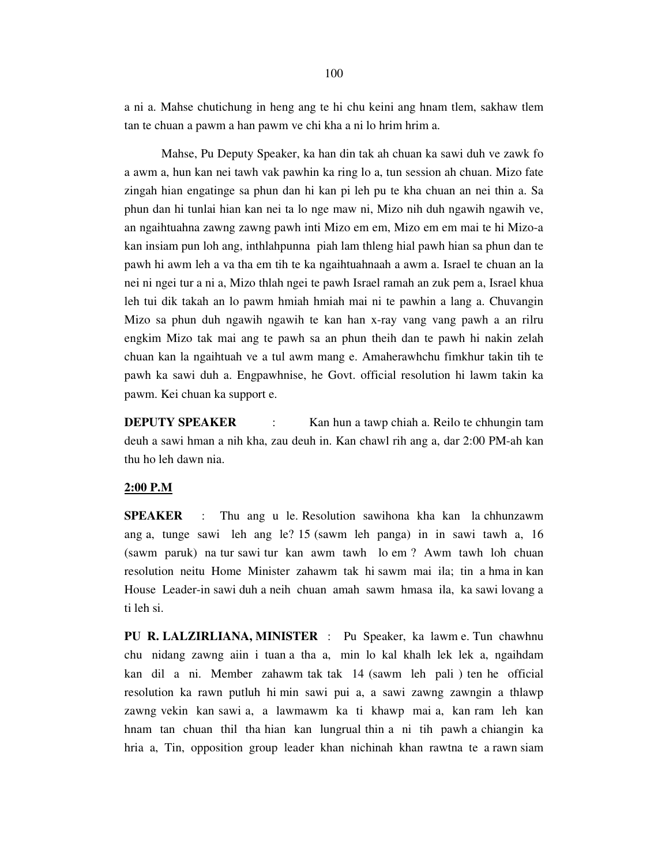a ni a. Mahse chutichung in heng ang te hi chu keini ang hnam tlem, sakhaw tlem tan te chuan a pawm a han pawm ve chi kha a ni lo hrim hrim a.

 Mahse, Pu Deputy Speaker, ka han din tak ah chuan ka sawi duh ve zawk fo a awm a, hun kan nei tawh vak pawhin ka ring lo a, tun session ah chuan. Mizo fate zingah hian engatinge sa phun dan hi kan pi leh pu te kha chuan an nei thin a. Sa phun dan hi tunlai hian kan nei ta lo nge maw ni, Mizo nih duh ngawih ngawih ve, an ngaihtuahna zawng zawng pawh inti Mizo em em, Mizo em em mai te hi Mizo-a kan insiam pun loh ang, inthlahpunna piah lam thleng hial pawh hian sa phun dan te pawh hi awm leh a va tha em tih te ka ngaihtuahnaah a awm a. Israel te chuan an la nei ni ngei tur a ni a, Mizo thlah ngei te pawh Israel ramah an zuk pem a, Israel khua leh tui dik takah an lo pawm hmiah hmiah mai ni te pawhin a lang a. Chuvangin Mizo sa phun duh ngawih ngawih te kan han x-ray vang vang pawh a an rilru engkim Mizo tak mai ang te pawh sa an phun theih dan te pawh hi nakin zelah chuan kan la ngaihtuah ve a tul awm mang e. Amaherawhchu fimkhur takin tih te pawh ka sawi duh a. Engpawhnise, he Govt. official resolution hi lawm takin ka pawm. Kei chuan ka support e.

**DEPUTY SPEAKER** : Kan hun a tawp chiah a. Reilo te chhungin tam deuh a sawi hman a nih kha, zau deuh in. Kan chawl rih ang a, dar 2:00 PM-ah kan thu ho leh dawn nia.

#### **2:00 P.M**

**SPEAKER** : Thu ang u le. Resolution sawihona kha kan la chhunzawm ang a, tunge sawi leh ang le? 15 (sawm leh panga) in in sawi tawh a, 16 (sawm paruk) na tur sawi tur kan awm tawh lo em ? Awm tawh loh chuan resolution neitu Home Minister zahawm tak hi sawm mai ila; tin a hma in kan House Leader-in sawi duh a neih chuan amah sawm hmasa ila, ka sawi lovang a ti leh si.

**PU R. LALZIRLIANA, MINISTER** : Pu Speaker, ka lawm e. Tun chawhnu chu nidang zawng aiin i tuan a tha a, min lo kal khalh lek lek a, ngaihdam kan dil a ni. Member zahawm tak tak 14 (sawm leh pali ) ten he official resolution ka rawn putluh hi min sawi pui a, a sawi zawng zawngin a thlawp zawng vekin kan sawi a, a lawmawm ka ti khawp mai a, kan ram leh kan hnam tan chuan thil tha hian kan lungrual thin a ni tih pawh a chiangin ka hria a, Tin, opposition group leader khan nichinah khan rawtna te a rawn siam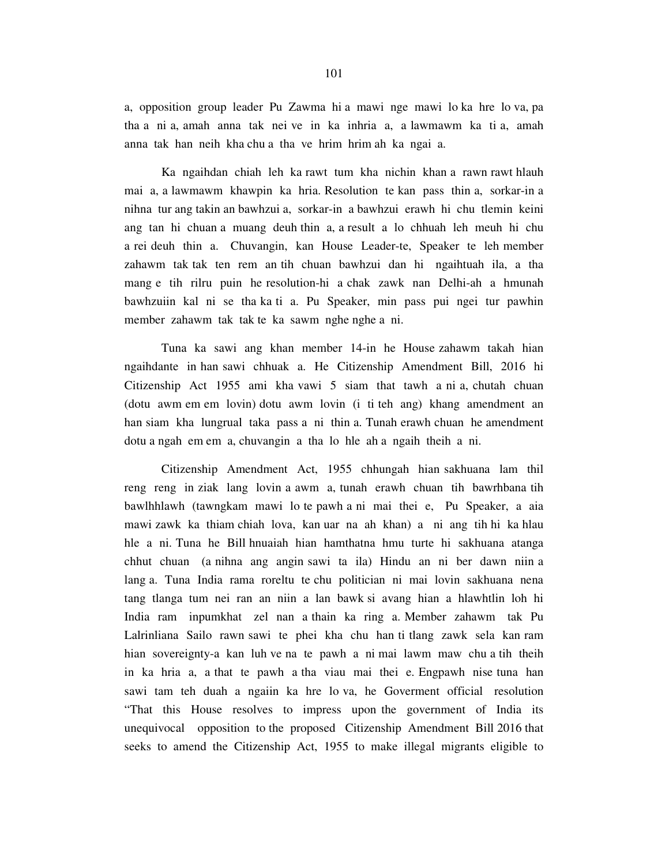a, opposition group leader Pu Zawma hi a mawi nge mawi lo ka hre lo va, pa tha a ni a, amah anna tak nei ve in ka inhria a, a lawmawm ka ti a, amah anna tak han neih kha chu a tha ve hrim hrim ah ka ngai a.

 Ka ngaihdan chiah leh ka rawt tum kha nichin khan a rawn rawt hlauh mai a, a lawmawm khawpin ka hria. Resolution te kan pass thin a, sorkar-in a nihna tur ang takin an bawhzui a, sorkar-in a bawhzui erawh hi chu tlemin keini ang tan hi chuan a muang deuh thin a, a result a lo chhuah leh meuh hi chu a rei deuh thin a. Chuvangin, kan House Leader-te, Speaker te leh member zahawm tak tak ten rem an tih chuan bawhzui dan hi ngaihtuah ila, a tha mang e tih rilru puin he resolution-hi a chak zawk nan Delhi-ah a hmunah bawhzuiin kal ni se tha ka ti a. Pu Speaker, min pass pui ngei tur pawhin member zahawm tak tak te ka sawm nghe nghe a ni.

 Tuna ka sawi ang khan member 14-in he House zahawm takah hian ngaihdante in han sawi chhuak a. He Citizenship Amendment Bill, 2016 hi Citizenship Act 1955 ami kha vawi 5 siam that tawh a ni a, chutah chuan (dotu awm em em lovin) dotu awm lovin (i ti teh ang) khang amendment an han siam kha lungrual taka pass a ni thin a. Tunah erawh chuan he amendment dotu a ngah em em a, chuvangin a tha lo hle ah a ngaih theih a ni.

 Citizenship Amendment Act, 1955 chhungah hian sakhuana lam thil reng reng in ziak lang lovin a awm a, tunah erawh chuan tih bawrhbana tih bawlhhlawh (tawngkam mawi lo te pawh a ni mai thei e, Pu Speaker, a aia mawi zawk ka thiam chiah lova, kan uar na ah khan) a ni ang tih hi ka hlau hle a ni. Tuna he Bill hnuaiah hian hamthatna hmu turte hi sakhuana atanga chhut chuan (a nihna ang angin sawi ta ila) Hindu an ni ber dawn niin a lang a. Tuna India rama roreltu te chu politician ni mai lovin sakhuana nena tang tlanga tum nei ran an niin a lan bawk si avang hian a hlawhtlin loh hi India ram inpumkhat zel nan a thain ka ring a. Member zahawm tak Pu Lalrinliana Sailo rawn sawi te phei kha chu han ti tlang zawk sela kan ram hian sovereignty-a kan luh ve na te pawh a ni mai lawm maw chu a tih theih in ka hria a, a that te pawh a tha viau mai thei e. Engpawh nise tuna han sawi tam teh duah a ngaiin ka hre lo va, he Goverment official resolution "That this House resolves to impress upon the government of India its unequivocal opposition to the proposed Citizenship Amendment Bill 2016 that seeks to amend the Citizenship Act, 1955 to make illegal migrants eligible to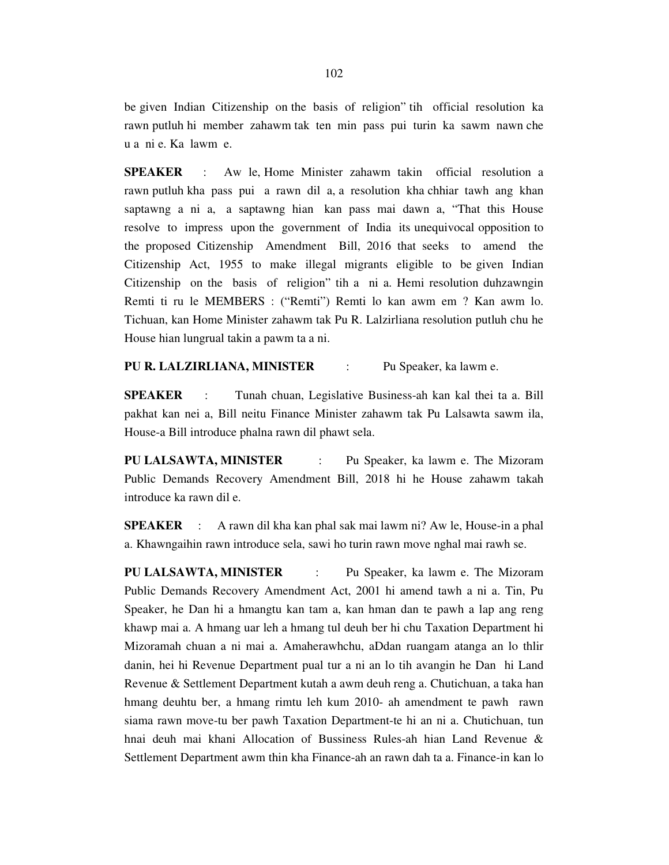be given Indian Citizenship on the basis of religion" tih official resolution ka rawn putluh hi member zahawm tak ten min pass pui turin ka sawm nawn che u a ni e. Ka lawm e.

**SPEAKER** : Aw le, Home Minister zahawm takin official resolution a rawn putluh kha pass pui a rawn dil a, a resolution kha chhiar tawh ang khan saptawng a ni a, a saptawng hian kan pass mai dawn a, "That this House resolve to impress upon the government of India its unequivocal opposition to the proposed Citizenship Amendment Bill, 2016 that seeks to amend the Citizenship Act, 1955 to make illegal migrants eligible to be given Indian Citizenship on the basis of religion" tih a ni a. Hemi resolution duhzawngin Remti ti ru le MEMBERS : ("Remti") Remti lo kan awm em ? Kan awm lo. Tichuan, kan Home Minister zahawm tak Pu R. Lalzirliana resolution putluh chu he House hian lungrual takin a pawm ta a ni.

#### **PU R. LALZIRLIANA, MINISTER** : Pu Speaker, ka lawm e.

**SPEAKER** : Tunah chuan, Legislative Business-ah kan kal thei ta a. Bill pakhat kan nei a, Bill neitu Finance Minister zahawm tak Pu Lalsawta sawm ila, House-a Bill introduce phalna rawn dil phawt sela.

**PU LALSAWTA, MINISTER** : Pu Speaker, ka lawm e. The Mizoram Public Demands Recovery Amendment Bill, 2018 hi he House zahawm takah introduce ka rawn dil e.

**SPEAKER** : A rawn dil kha kan phal sak mai lawm ni? Aw le, House-in a phal a. Khawngaihin rawn introduce sela, sawi ho turin rawn move nghal mai rawh se.

**PU LALSAWTA, MINISTER** : Pu Speaker, ka lawm e. The Mizoram Public Demands Recovery Amendment Act, 2001 hi amend tawh a ni a. Tin, Pu Speaker, he Dan hi a hmangtu kan tam a, kan hman dan te pawh a lap ang reng khawp mai a. A hmang uar leh a hmang tul deuh ber hi chu Taxation Department hi Mizoramah chuan a ni mai a. Amaherawhchu, aDdan ruangam atanga an lo thlir danin, hei hi Revenue Department pual tur a ni an lo tih avangin he Dan hi Land Revenue & Settlement Department kutah a awm deuh reng a. Chutichuan, a taka han hmang deuhtu ber, a hmang rimtu leh kum 2010- ah amendment te pawh rawn siama rawn move-tu ber pawh Taxation Department-te hi an ni a. Chutichuan, tun hnai deuh mai khani Allocation of Bussiness Rules-ah hian Land Revenue & Settlement Department awm thin kha Finance-ah an rawn dah ta a. Finance-in kan lo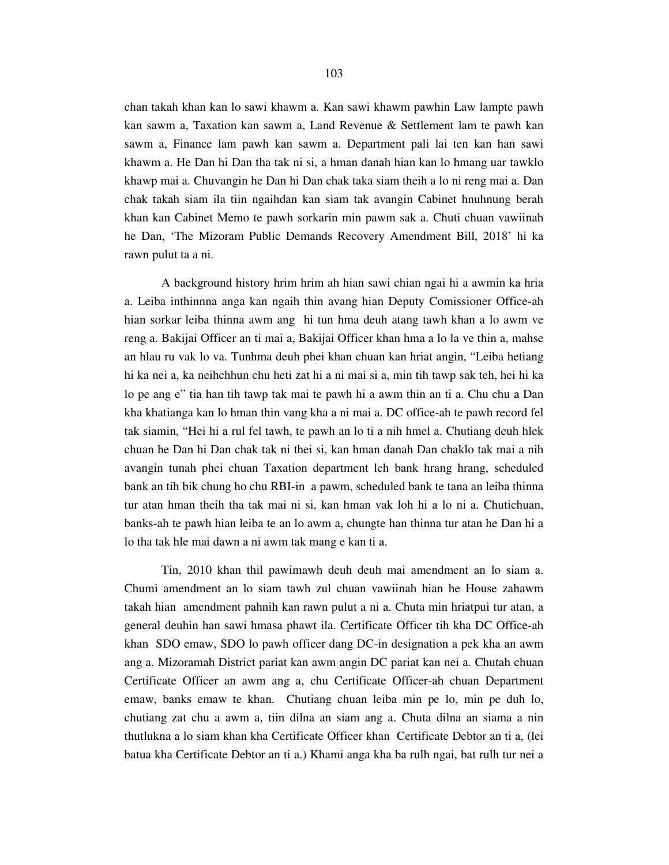chan takah khan kan lo sawi khawm a. Kan sawi khawm pawhin Law lampte pawh kan sawm a, Taxation kan sawm a, Land Revenue & Settlement lam te pawh kan sawm a, Finance lam pawh kan sawm a. Department pali lai ten kan han sawi khawm a. He Dan hi Dan tha tak ni si, a hman danah hian kan lo hmang uar tawklo khawp mai a. Chuvangin he Dan hi Dan chak taka siam theih a lo ni reng mai a. Dan chak takah siam ila tiin ngaihdan kan siam tak avangin Cabinet hnuhnung berah khan kan Cabinet Memo te pawh sorkarin min pawm sak a. Chuti chuan vawiinah he Dan, 'The Mizoram Public Demands Recovery Amendment Bill, 2018' hi ka rawn pulut ta a ni.

 A background history hrim hrim ah hian sawi chian ngai hi a awmin ka hria a. Leiba inthinnna anga kan ngaih thin avang hian Deputy Comissioner Office-ah hian sorkar leiba thinna awm ang hi tun hma deuh atang tawh khan a lo awm ve reng a. Bakijai Officer an ti mai a, Bakijai Officer khan hma a lo la ve thin a, mahse an hlau ru vak lo va. Tunhma deuh phei khan chuan kan hriat angin, "Leiba hetiang hi ka nei a, ka neihchhun chu heti zat hi a ni mai si a, min tih tawp sak teh, hei hi ka lo pe ang e" tia han tih tawp tak mai te pawh hi a awm thin an ti a. Chu chu a Dan kha khatianga kan lo hman thin vang kha a ni mai a. DC office-ah te pawh record fel tak siamin, "Hei hi a rul fel tawh, te pawh an lo ti a nih hmel a. Chutiang deuh hlek chuan he Dan hi Dan chak tak ni thei si, kan hman danah Dan chaklo tak mai a nih avangin tunah phei chuan Taxation department leh bank hrang hrang, scheduled bank an tih bik chung ho chu RBI-in a pawm, scheduled bank te tana an leiba thinna tur atan hman theih tha tak mai ni si, kan hman vak loh hi a lo ni a. Chutichuan, banks-ah te pawh hian leiba te an lo awm a, chungte han thinna tur atan he Dan hi a lo tha tak hle mai dawn a ni awm tak mang e kan ti a.

 Tin, 2010 khan thil pawimawh deuh deuh mai amendment an lo siam a. Chumi amendment an lo siam tawh zul chuan vawiinah hian he House zahawm takah hian amendment pahnih kan rawn pulut a ni a. Chuta min hriatpui tur atan, a general deuhin han sawi hmasa phawt ila. Certificate Officer tih kha DC Office-ah khan SDO emaw, SDO lo pawh officer dang DC-in designation a pek kha an awm ang a. Mizoramah District pariat kan awm angin DC pariat kan nei a. Chutah chuan Certificate Officer an awm ang a, chu Certificate Officer-ah chuan Department emaw, banks emaw te khan. Chutiang chuan leiba min pe lo, min pe duh lo, chutiang zat chu a awm a, tiin dilna an siam ang a. Chuta dilna an siama a nin thutlukna a lo siam khan kha Certificate Officer khan Certificate Debtor an ti a, (lei batua kha Certificate Debtor an ti a.) Khami anga kha ba rulh ngai, bat rulh tur nei a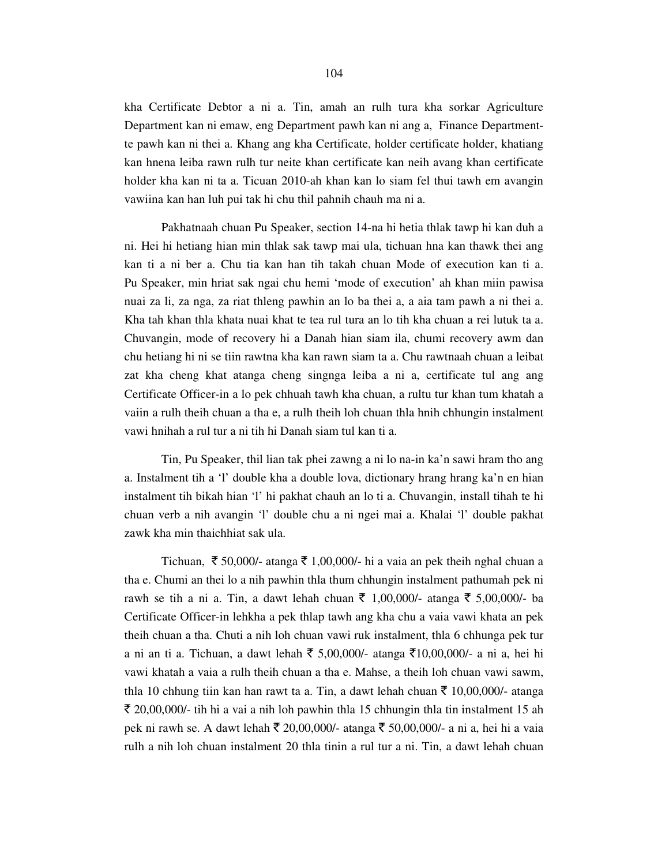kha Certificate Debtor a ni a. Tin, amah an rulh tura kha sorkar Agriculture Department kan ni emaw, eng Department pawh kan ni ang a, Finance Departmentte pawh kan ni thei a. Khang ang kha Certificate, holder certificate holder, khatiang kan hnena leiba rawn rulh tur neite khan certificate kan neih avang khan certificate holder kha kan ni ta a. Ticuan 2010-ah khan kan lo siam fel thui tawh em avangin vawiina kan han luh pui tak hi chu thil pahnih chauh ma ni a.

 Pakhatnaah chuan Pu Speaker, section 14-na hi hetia thlak tawp hi kan duh a ni. Hei hi hetiang hian min thlak sak tawp mai ula, tichuan hna kan thawk thei ang kan ti a ni ber a. Chu tia kan han tih takah chuan Mode of execution kan ti a. Pu Speaker, min hriat sak ngai chu hemi 'mode of execution' ah khan miin pawisa nuai za li, za nga, za riat thleng pawhin an lo ba thei a, a aia tam pawh a ni thei a. Kha tah khan thla khata nuai khat te tea rul tura an lo tih kha chuan a rei lutuk ta a. Chuvangin, mode of recovery hi a Danah hian siam ila, chumi recovery awm dan chu hetiang hi ni se tiin rawtna kha kan rawn siam ta a. Chu rawtnaah chuan a leibat zat kha cheng khat atanga cheng singnga leiba a ni a, certificate tul ang ang Certificate Officer-in a lo pek chhuah tawh kha chuan, a rultu tur khan tum khatah a vaiin a rulh theih chuan a tha e, a rulh theih loh chuan thla hnih chhungin instalment vawi hnihah a rul tur a ni tih hi Danah siam tul kan ti a.

 Tin, Pu Speaker, thil lian tak phei zawng a ni lo na-in ka'n sawi hram tho ang a. Instalment tih a 'l' double kha a double lova, dictionary hrang hrang ka'n en hian instalment tih bikah hian 'l' hi pakhat chauh an lo ti a. Chuvangin, install tihah te hi chuan verb a nih avangin 'l' double chu a ni ngei mai a. Khalai 'l' double pakhat zawk kha min thaichhiat sak ula.

Tichuan,  $\bar{\xi}$  50,000/- atanga  $\bar{\xi}$  1,00,000/- hi a vaia an pek theih nghal chuan a tha e. Chumi an thei lo a nih pawhin thla thum chhungin instalment pathumah pek ni rawh se tih a ni a. Tin, a dawt lehah chuan ₹ 1,00,000/- atanga ₹ 5,00,000/- ba Certificate Officer-in lehkha a pek thlap tawh ang kha chu a vaia vawi khata an pek theih chuan a tha. Chuti a nih loh chuan vawi ruk instalment, thla 6 chhunga pek tur a ni an ti a. Tichuan, a dawt lehah ₹ 5,00,000/- atanga ₹10,00,000/- a ni a, hei hi vawi khatah a vaia a rulh theih chuan a tha e. Mahse, a theih loh chuan vawi sawm, thla 10 chhung tiin kan han rawt ta a. Tin, a dawt lehah chuan  $\bar{\tau}$  10,00,000/- atanga  $\bar{\xi}$  20,00,000/- tih hi a vai a nih loh pawhin thla 15 chhungin thla tin instalment 15 ah pek ni rawh se. A dawt lehah ₹ 20,00,000/- atanga ₹ 50,00,000/- a ni a, hei hi a vaia rulh a nih loh chuan instalment 20 thla tinin a rul tur a ni. Tin, a dawt lehah chuan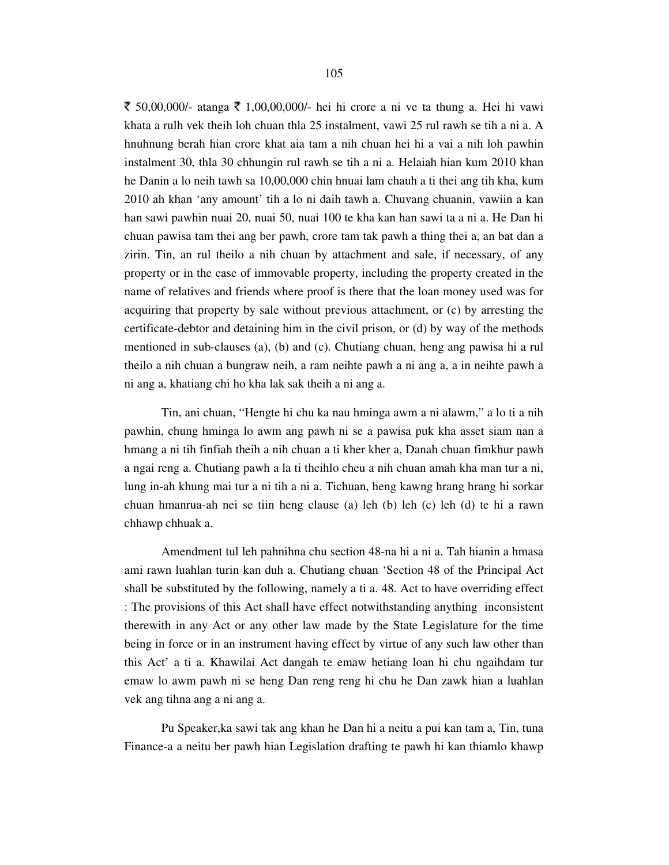₹ 50,00,000/- atanga ₹ 1,00,00,000/- hei hi crore a ni ve ta thung a. Hei hi vawi khata a rulh vek theih loh chuan thla 25 instalment, vawi 25 rul rawh se tih a ni a. A hnuhnung berah hian crore khat aia tam a nih chuan hei hi a vai a nih loh pawhin instalment 30, thla 30 chhungin rul rawh se tih a ni a. Helaiah hian kum 2010 khan he Danin a lo neih tawh sa 10,00,000 chin hnuai lam chauh a ti thei ang tih kha, kum 2010 ah khan 'any amount' tih a lo ni daih tawh a. Chuvang chuanin, vawiin a kan han sawi pawhin nuai 20, nuai 50, nuai 100 te kha kan han sawi ta a ni a. He Dan hi chuan pawisa tam thei ang ber pawh, crore tam tak pawh a thing thei a, an bat dan a zirin. Tin, an rul theilo a nih chuan by attachment and sale, if necessary, of any property or in the case of immovable property, including the property created in the name of relatives and friends where proof is there that the loan money used was for acquiring that property by sale without previous attachment, or (c) by arresting the certificate-debtor and detaining him in the civil prison, or (d) by way of the methods mentioned in sub-clauses (a), (b) and (c). Chutiang chuan, heng ang pawisa hi a rul theilo a nih chuan a bungraw neih, a ram neihte pawh a ni ang a, a in neihte pawh a ni ang a, khatiang chi ho kha lak sak theih a ni ang a.

 Tin, ani chuan, "Hengte hi chu ka nau hminga awm a ni alawm," a lo ti a nih pawhin, chung hminga lo awm ang pawh ni se a pawisa puk kha asset siam nan a hmang a ni tih finfiah theih a nih chuan a ti kher kher a, Danah chuan fimkhur pawh a ngai reng a. Chutiang pawh a la ti theihlo cheu a nih chuan amah kha man tur a ni, lung in-ah khung mai tur a ni tih a ni a. Tichuan, heng kawng hrang hrang hi sorkar chuan hmanrua-ah nei se tiin heng clause (a) leh (b) leh (c) leh (d) te hi a rawn chhawp chhuak a.

 Amendment tul leh pahnihna chu section 48-na hi a ni a. Tah hianin a hmasa ami rawn luahlan turin kan duh a. Chutiang chuan 'Section 48 of the Principal Act shall be substituted by the following, namely a ti a. 48. Act to have overriding effect : The provisions of this Act shall have effect notwithstanding anything inconsistent therewith in any Act or any other law made by the State Legislature for the time being in force or in an instrument having effect by virtue of any such law other than this Act' a ti a. Khawilai Act dangah te emaw hetiang loan hi chu ngaihdam tur emaw lo awm pawh ni se heng Dan reng reng hi chu he Dan zawk hian a luahlan vek ang tihna ang a ni ang a.

 Pu Speaker,ka sawi tak ang khan he Dan hi a neitu a pui kan tam a, Tin, tuna Finance-a a neitu ber pawh hian Legislation drafting te pawh hi kan thiamlo khawp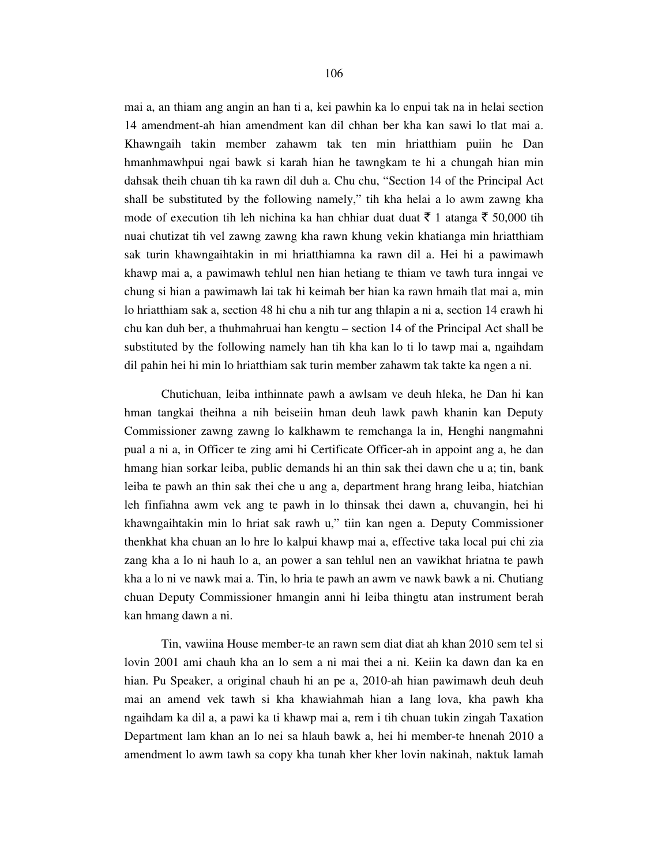mai a, an thiam ang angin an han ti a, kei pawhin ka lo enpui tak na in helai section 14 amendment-ah hian amendment kan dil chhan ber kha kan sawi lo tlat mai a. Khawngaih takin member zahawm tak ten min hriatthiam puiin he Dan hmanhmawhpui ngai bawk si karah hian he tawngkam te hi a chungah hian min dahsak theih chuan tih ka rawn dil duh a. Chu chu, "Section 14 of the Principal Act shall be substituted by the following namely," tih kha helai a lo awm zawng kha mode of execution tih leh nichina ka han chhiar duat duat  $\bar{\tau}$  1 atanga  $\bar{\tau}$  50,000 tih nuai chutizat tih vel zawng zawng kha rawn khung vekin khatianga min hriatthiam sak turin khawngaihtakin in mi hriatthiamna ka rawn dil a. Hei hi a pawimawh khawp mai a, a pawimawh tehlul nen hian hetiang te thiam ve tawh tura inngai ve chung si hian a pawimawh lai tak hi keimah ber hian ka rawn hmaih tlat mai a, min lo hriatthiam sak a, section 48 hi chu a nih tur ang thlapin a ni a, section 14 erawh hi chu kan duh ber, a thuhmahruai han kengtu – section 14 of the Principal Act shall be substituted by the following namely han tih kha kan lo ti lo tawp mai a, ngaihdam dil pahin hei hi min lo hriatthiam sak turin member zahawm tak takte ka ngen a ni.

 Chutichuan, leiba inthinnate pawh a awlsam ve deuh hleka, he Dan hi kan hman tangkai theihna a nih beiseiin hman deuh lawk pawh khanin kan Deputy Commissioner zawng zawng lo kalkhawm te remchanga la in, Henghi nangmahni pual a ni a, in Officer te zing ami hi Certificate Officer-ah in appoint ang a, he dan hmang hian sorkar leiba, public demands hi an thin sak thei dawn che u a; tin, bank leiba te pawh an thin sak thei che u ang a, department hrang hrang leiba, hiatchian leh finfiahna awm vek ang te pawh in lo thinsak thei dawn a, chuvangin, hei hi khawngaihtakin min lo hriat sak rawh u," tiin kan ngen a. Deputy Commissioner thenkhat kha chuan an lo hre lo kalpui khawp mai a, effective taka local pui chi zia zang kha a lo ni hauh lo a, an power a san tehlul nen an vawikhat hriatna te pawh kha a lo ni ve nawk mai a. Tin, lo hria te pawh an awm ve nawk bawk a ni. Chutiang chuan Deputy Commissioner hmangin anni hi leiba thingtu atan instrument berah kan hmang dawn a ni.

 Tin, vawiina House member-te an rawn sem diat diat ah khan 2010 sem tel si lovin 2001 ami chauh kha an lo sem a ni mai thei a ni. Keiin ka dawn dan ka en hian. Pu Speaker, a original chauh hi an pe a, 2010-ah hian pawimawh deuh deuh mai an amend vek tawh si kha khawiahmah hian a lang lova, kha pawh kha ngaihdam ka dil a, a pawi ka ti khawp mai a, rem i tih chuan tukin zingah Taxation Department lam khan an lo nei sa hlauh bawk a, hei hi member-te hnenah 2010 a amendment lo awm tawh sa copy kha tunah kher kher lovin nakinah, naktuk lamah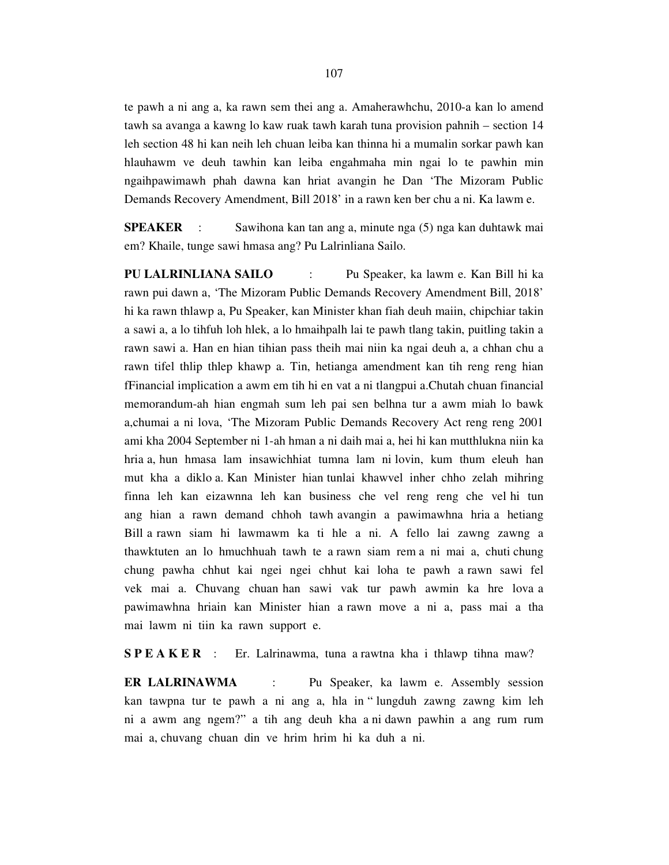te pawh a ni ang a, ka rawn sem thei ang a. Amaherawhchu, 2010-a kan lo amend tawh sa avanga a kawng lo kaw ruak tawh karah tuna provision pahnih – section 14 leh section 48 hi kan neih leh chuan leiba kan thinna hi a mumalin sorkar pawh kan hlauhawm ve deuh tawhin kan leiba engahmaha min ngai lo te pawhin min ngaihpawimawh phah dawna kan hriat avangin he Dan 'The Mizoram Public Demands Recovery Amendment, Bill 2018' in a rawn ken ber chu a ni. Ka lawm e.

**SPEAKER** : Sawihona kan tan ang a, minute nga (5) nga kan duhtawk mai em? Khaile, tunge sawi hmasa ang? Pu Lalrinliana Sailo.

**PU LALRINLIANA SAILO** : Pu Speaker, ka lawm e. Kan Bill hi ka rawn pui dawn a, 'The Mizoram Public Demands Recovery Amendment Bill, 2018' hi ka rawn thlawp a, Pu Speaker, kan Minister khan fiah deuh maiin, chipchiar takin a sawi a, a lo tihfuh loh hlek, a lo hmaihpalh lai te pawh tlang takin, puitling takin a rawn sawi a. Han en hian tihian pass theih mai niin ka ngai deuh a, a chhan chu a rawn tifel thlip thlep khawp a. Tin, hetianga amendment kan tih reng reng hian fFinancial implication a awm em tih hi en vat a ni tlangpui a.Chutah chuan financial memorandum-ah hian engmah sum leh pai sen belhna tur a awm miah lo bawk a,chumai a ni lova, 'The Mizoram Public Demands Recovery Act reng reng 2001 ami kha 2004 September ni 1-ah hman a ni daih mai a, hei hi kan mutthlukna niin ka hria a, hun hmasa lam insawichhiat tumna lam ni lovin, kum thum eleuh han mut kha a diklo a. Kan Minister hian tunlai khawvel inher chho zelah mihring finna leh kan eizawnna leh kan business che vel reng reng che vel hi tun ang hian a rawn demand chhoh tawh avangin a pawimawhna hria a hetiang Bill a rawn siam hi lawmawm ka ti hle a ni. A fello lai zawng zawng a thawktuten an lo hmuchhuah tawh te a rawn siam rem a ni mai a, chuti chung chung pawha chhut kai ngei ngei chhut kai loha te pawh a rawn sawi fel vek mai a. Chuvang chuan han sawi vak tur pawh awmin ka hre lova a pawimawhna hriain kan Minister hian a rawn move a ni a, pass mai a tha mai lawm ni tiin ka rawn support e.

**SPEAKER** : Er. Lalrinawma, tuna a rawtna kha i thlawp tihna maw?

**ER LALRINAWMA** : Pu Speaker, ka lawm e. Assembly session kan tawpna tur te pawh a ni ang a, hla in " lungduh zawng zawng kim leh ni a awm ang ngem?" a tih ang deuh kha a ni dawn pawhin a ang rum rum mai a, chuvang chuan din ve hrim hrim hi ka duh a ni.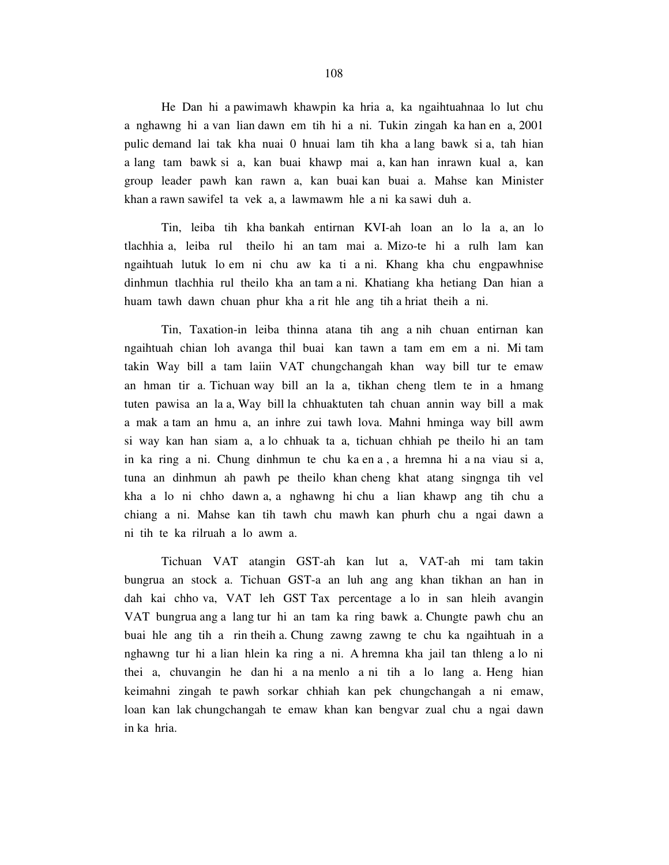He Dan hi a pawimawh khawpin ka hria a, ka ngaihtuahnaa lo lut chu a nghawng hi a van lian dawn em tih hi a ni. Tukin zingah ka han en a, 2001 pulic demand lai tak kha nuai 0 hnuai lam tih kha a lang bawk si a, tah hian a lang tam bawk si a, kan buai khawp mai a, kan han inrawn kual a, kan group leader pawh kan rawn a, kan buai kan buai a. Mahse kan Minister khan a rawn sawifel ta vek a, a lawmawm hle a ni ka sawi duh a.

 Tin, leiba tih kha bankah entirnan KVI-ah loan an lo la a, an lo tlachhia a, leiba rul theilo hi an tam mai a. Mizo-te hi a rulh lam kan ngaihtuah lutuk lo em ni chu aw ka ti a ni. Khang kha chu engpawhnise dinhmun tlachhia rul theilo kha an tam a ni. Khatiang kha hetiang Dan hian a huam tawh dawn chuan phur kha a rit hle ang tih a hriat theih a ni.

 Tin, Taxation-in leiba thinna atana tih ang a nih chuan entirnan kan ngaihtuah chian loh avanga thil buai kan tawn a tam em em a ni. Mi tam takin Way bill a tam laiin VAT chungchangah khan way bill tur te emaw an hman tir a. Tichuan way bill an la a, tikhan cheng tlem te in a hmang tuten pawisa an la a, Way bill la chhuaktuten tah chuan annin way bill a mak a mak a tam an hmu a, an inhre zui tawh lova. Mahni hminga way bill awm si way kan han siam a, a lo chhuak ta a, tichuan chhiah pe theilo hi an tam in ka ring a ni. Chung dinhmun te chu ka en a , a hremna hi a na viau si a, tuna an dinhmun ah pawh pe theilo khan cheng khat atang singnga tih vel kha a lo ni chho dawn a, a nghawng hi chu a lian khawp ang tih chu a chiang a ni. Mahse kan tih tawh chu mawh kan phurh chu a ngai dawn a ni tih te ka rilruah a lo awm a.

 Tichuan VAT atangin GST-ah kan lut a, VAT-ah mi tam takin bungrua an stock a. Tichuan GST-a an luh ang ang khan tikhan an han in dah kai chho va, VAT leh GST Tax percentage a lo in san hleih avangin VAT bungrua ang a lang tur hi an tam ka ring bawk a. Chungte pawh chu an buai hle ang tih a rin theih a. Chung zawng zawng te chu ka ngaihtuah in a nghawng tur hi a lian hlein ka ring a ni. A hremna kha jail tan thleng a lo ni thei a, chuvangin he dan hi a na menlo a ni tih a lo lang a. Heng hian keimahni zingah te pawh sorkar chhiah kan pek chungchangah a ni emaw, loan kan lak chungchangah te emaw khan kan bengvar zual chu a ngai dawn in ka hria.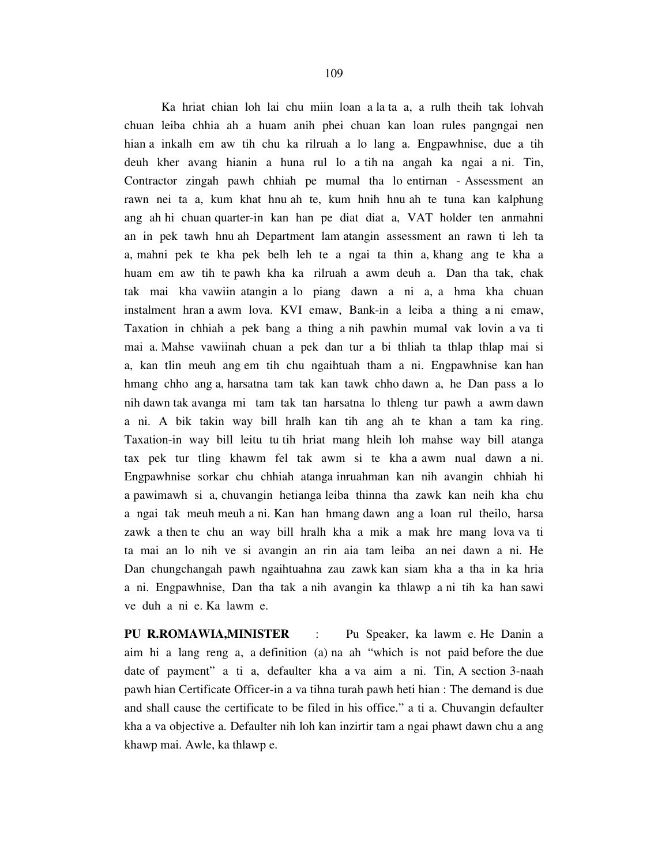Ka hriat chian loh lai chu miin loan a la ta a, a rulh theih tak lohvah chuan leiba chhia ah a huam anih phei chuan kan loan rules pangngai nen hian a inkalh em aw tih chu ka rilruah a lo lang a. Engpawhnise, due a tih deuh kher avang hianin a huna rul lo a tih na angah ka ngai a ni. Tin, Contractor zingah pawh chhiah pe mumal tha lo entirnan - Assessment an rawn nei ta a, kum khat hnu ah te, kum hnih hnu ah te tuna kan kalphung ang ah hi chuan quarter-in kan han pe diat diat a, VAT holder ten anmahni an in pek tawh hnu ah Department lam atangin assessment an rawn ti leh ta a, mahni pek te kha pek belh leh te a ngai ta thin a, khang ang te kha a huam em aw tih te pawh kha ka rilruah a awm deuh a. Dan tha tak, chak tak mai kha vawiin atangin a lo piang dawn a ni a, a hma kha chuan instalment hran a awm lova. KVI emaw, Bank-in a leiba a thing a ni emaw, Taxation in chhiah a pek bang a thing a nih pawhin mumal vak lovin a va ti mai a. Mahse vawiinah chuan a pek dan tur a bi thliah ta thlap thlap mai si a, kan tlin meuh ang em tih chu ngaihtuah tham a ni. Engpawhnise kan han hmang chho ang a, harsatna tam tak kan tawk chho dawn a, he Dan pass a lo nih dawn tak avanga mi tam tak tan harsatna lo thleng tur pawh a awm dawn a ni. A bik takin way bill hralh kan tih ang ah te khan a tam ka ring. Taxation-in way bill leitu tu tih hriat mang hleih loh mahse way bill atanga tax pek tur tling khawm fel tak awm si te kha a awm nual dawn a ni. Engpawhnise sorkar chu chhiah atanga inruahman kan nih avangin chhiah hi a pawimawh si a, chuvangin hetianga leiba thinna tha zawk kan neih kha chu a ngai tak meuh meuh a ni. Kan han hmang dawn ang a loan rul theilo, harsa zawk a then te chu an way bill hralh kha a mik a mak hre mang lova va ti ta mai an lo nih ve si avangin an rin aia tam leiba an nei dawn a ni. He Dan chungchangah pawh ngaihtuahna zau zawk kan siam kha a tha in ka hria a ni. Engpawhnise, Dan tha tak a nih avangin ka thlawp a ni tih ka han sawi ve duh a ni e. Ka lawm e.

**PU R.ROMAWIA,MINISTER** : Pu Speaker, ka lawm e. He Danin a aim hi a lang reng a, a definition (a) na ah "which is not paid before the due date of payment" a ti a, defaulter kha a va aim a ni. Tin, A section 3-naah pawh hian Certificate Officer-in a va tihna turah pawh heti hian : The demand is due and shall cause the certificate to be filed in his office." a ti a. Chuvangin defaulter kha a va objective a. Defaulter nih loh kan inzirtir tam a ngai phawt dawn chu a ang khawp mai. Awle, ka thlawp e.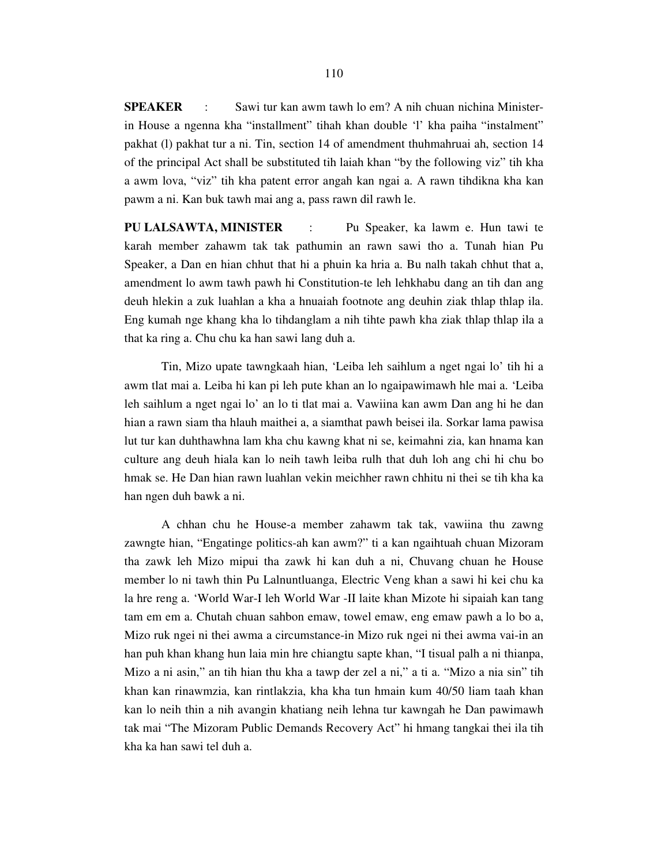**SPEAKER** : Sawi tur kan awm tawh lo em? A nih chuan nichina Ministerin House a ngenna kha "installment" tihah khan double 'l' kha paiha "instalment" pakhat (l) pakhat tur a ni. Tin, section 14 of amendment thuhmahruai ah, section 14 of the principal Act shall be substituted tih laiah khan "by the following viz" tih kha a awm lova, "viz" tih kha patent error angah kan ngai a. A rawn tihdikna kha kan pawm a ni. Kan buk tawh mai ang a, pass rawn dil rawh le.

**PU LALSAWTA, MINISTER** :Pu Speaker, ka lawm e. Hun tawi te karah member zahawm tak tak pathumin an rawn sawi tho a. Tunah hian Pu Speaker, a Dan en hian chhut that hi a phuin ka hria a. Bu nalh takah chhut that a, amendment lo awm tawh pawh hi Constitution-te leh lehkhabu dang an tih dan ang deuh hlekin a zuk luahlan a kha a hnuaiah footnote ang deuhin ziak thlap thlap ila. Eng kumah nge khang kha lo tihdanglam a nih tihte pawh kha ziak thlap thlap ila a that ka ring a. Chu chu ka han sawi lang duh a.

 Tin, Mizo upate tawngkaah hian, 'Leiba leh saihlum a nget ngai lo' tih hi a awm tlat mai a. Leiba hi kan pi leh pute khan an lo ngaipawimawh hle mai a. 'Leiba leh saihlum a nget ngai lo' an lo ti tlat mai a. Vawiina kan awm Dan ang hi he dan hian a rawn siam tha hlauh maithei a, a siamthat pawh beisei ila. Sorkar lama pawisa lut tur kan duhthawhna lam kha chu kawng khat ni se, keimahni zia, kan hnama kan culture ang deuh hiala kan lo neih tawh leiba rulh that duh loh ang chi hi chu bo hmak se. He Dan hian rawn luahlan vekin meichher rawn chhitu ni thei se tih kha ka han ngen duh bawk a ni.

 A chhan chu he House-a member zahawm tak tak, vawiina thu zawng zawngte hian, "Engatinge politics-ah kan awm?" ti a kan ngaihtuah chuan Mizoram tha zawk leh Mizo mipui tha zawk hi kan duh a ni, Chuvang chuan he House member lo ni tawh thin Pu Lalnuntluanga, Electric Veng khan a sawi hi kei chu ka la hre reng a. 'World War-I leh World War -II laite khan Mizote hi sipaiah kan tang tam em em a. Chutah chuan sahbon emaw, towel emaw, eng emaw pawh a lo bo a, Mizo ruk ngei ni thei awma a circumstance-in Mizo ruk ngei ni thei awma vai-in an han puh khan khang hun laia min hre chiangtu sapte khan, "I tisual palh a ni thianpa, Mizo a ni asin," an tih hian thu kha a tawp der zel a ni," a ti a. "Mizo a nia sin" tih khan kan rinawmzia, kan rintlakzia, kha kha tun hmain kum 40/50 liam taah khan kan lo neih thin a nih avangin khatiang neih lehna tur kawngah he Dan pawimawh tak mai "The Mizoram Public Demands Recovery Act" hi hmang tangkai thei ila tih kha ka han sawi tel duh a.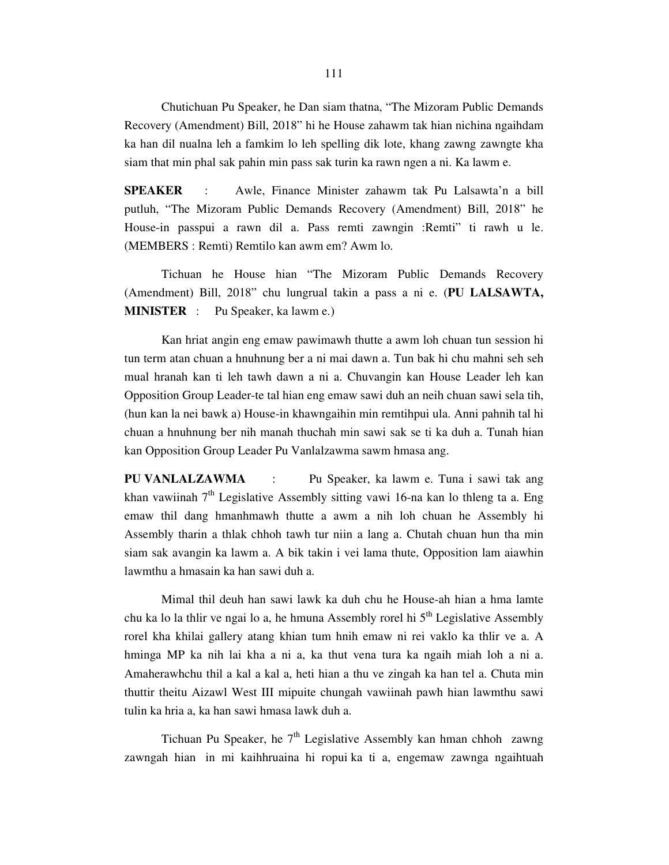Chutichuan Pu Speaker, he Dan siam thatna, "The Mizoram Public Demands Recovery (Amendment) Bill, 2018" hi he House zahawm tak hian nichina ngaihdam ka han dil nualna leh a famkim lo leh spelling dik lote, khang zawng zawngte kha siam that min phal sak pahin min pass sak turin ka rawn ngen a ni. Ka lawm e.

**SPEAKER** : Awle, Finance Minister zahawm tak Pu Lalsawta'n a bill putluh, "The Mizoram Public Demands Recovery (Amendment) Bill, 2018" he House-in passpui a rawn dil a. Pass remti zawngin :Remti" ti rawh u le. (MEMBERS : Remti) Remtilo kan awm em? Awm lo.

 Tichuan he House hian "The Mizoram Public Demands Recovery (Amendment) Bill, 2018" chu lungrual takin a pass a ni e. (**PU LALSAWTA, MINISTER** : Pu Speaker, ka lawm e.)

 Kan hriat angin eng emaw pawimawh thutte a awm loh chuan tun session hi tun term atan chuan a hnuhnung ber a ni mai dawn a. Tun bak hi chu mahni seh seh mual hranah kan ti leh tawh dawn a ni a. Chuvangin kan House Leader leh kan Opposition Group Leader-te tal hian eng emaw sawi duh an neih chuan sawi sela tih, (hun kan la nei bawk a) House-in khawngaihin min remtihpui ula. Anni pahnih tal hi chuan a hnuhnung ber nih manah thuchah min sawi sak se ti ka duh a. Tunah hian kan Opposition Group Leader Pu Vanlalzawma sawm hmasa ang.

**PU VANLALZAWMA** : Pu Speaker, ka lawm e. Tuna i sawi tak ang khan vawiinah  $7<sup>th</sup>$  Legislative Assembly sitting vawi 16-na kan lo thleng ta a. Eng emaw thil dang hmanhmawh thutte a awm a nih loh chuan he Assembly hi Assembly tharin a thlak chhoh tawh tur niin a lang a. Chutah chuan hun tha min siam sak avangin ka lawm a. A bik takin i vei lama thute, Opposition lam aiawhin lawmthu a hmasain ka han sawi duh a.

 Mimal thil deuh han sawi lawk ka duh chu he House-ah hian a hma lamte chu ka lo la thlir ve ngai lo a, he hmuna Assembly rorel hi  $5<sup>th</sup>$  Legislative Assembly rorel kha khilai gallery atang khian tum hnih emaw ni rei vaklo ka thlir ve a. A hminga MP ka nih lai kha a ni a, ka thut vena tura ka ngaih miah loh a ni a. Amaherawhchu thil a kal a kal a, heti hian a thu ve zingah ka han tel a. Chuta min thuttir theitu Aizawl West III mipuite chungah vawiinah pawh hian lawmthu sawi tulin ka hria a, ka han sawi hmasa lawk duh a.

Tichuan Pu Speaker, he  $7<sup>th</sup>$  Legislative Assembly kan hman chhoh zawng zawngah hian in mi kaihhruaina hi ropui ka ti a, engemaw zawnga ngaihtuah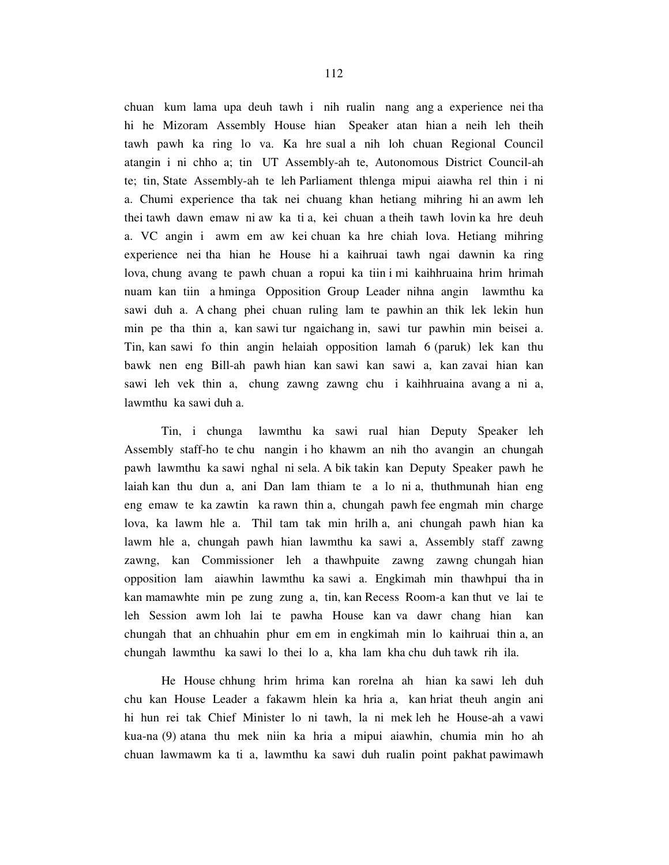chuan kum lama upa deuh tawh i nih rualin nang ang a experience nei tha hi he Mizoram Assembly House hian Speaker atan hian a neih leh theih tawh pawh ka ring lo va. Ka hre sual a nih loh chuan Regional Council atangin i ni chho a; tin UT Assembly-ah te, Autonomous District Council-ah te; tin, State Assembly-ah te leh Parliament thlenga mipui aiawha rel thin i ni a. Chumi experience tha tak nei chuang khan hetiang mihring hi an awm leh thei tawh dawn emaw ni aw ka ti a, kei chuan a theih tawh lovin ka hre deuh a. VC angin i awm em aw kei chuan ka hre chiah lova. Hetiang mihring experience nei tha hian he House hi a kaihruai tawh ngai dawnin ka ring lova, chung avang te pawh chuan a ropui ka tiin i mi kaihhruaina hrim hrimah nuam kan tiin a hminga Opposition Group Leader nihna angin lawmthu ka sawi duh a. A chang phei chuan ruling lam te pawhin an thik lek lekin hun min pe tha thin a, kan sawi tur ngaichang in, sawi tur pawhin min beisei a. Tin, kan sawi fo thin angin helaiah opposition lamah 6 (paruk) lek kan thu bawk nen eng Bill-ah pawh hian kan sawi kan sawi a, kan zavai hian kan sawi leh vek thin a, chung zawng zawng chu i kaihhruaina avang a ni a, lawmthu ka sawi duh a.

 Tin, i chunga lawmthu ka sawi rual hian Deputy Speaker leh Assembly staff-ho te chu nangin i ho khawm an nih tho avangin an chungah pawh lawmthu ka sawi nghal ni sela. A bik takin kan Deputy Speaker pawh he laiah kan thu dun a, ani Dan lam thiam te a lo ni a, thuthmunah hian eng eng emaw te ka zawtin ka rawn thin a, chungah pawh fee engmah min charge lova, ka lawm hle a. Thil tam tak min hrilh a, ani chungah pawh hian ka lawm hle a, chungah pawh hian lawmthu ka sawi a, Assembly staff zawng zawng, kan Commissioner leh a thawhpuite zawng zawng chungah hian opposition lam aiawhin lawmthu ka sawi a. Engkimah min thawhpui tha in kan mamawhte min pe zung zung a, tin, kan Recess Room-a kan thut ve lai te leh Session awm loh lai te pawha House kan va dawr chang hian kan chungah that an chhuahin phur em em in engkimah min lo kaihruai thin a, an chungah lawmthu ka sawi lo thei lo a, kha lam kha chu duh tawk rih ila.

 He House chhung hrim hrima kan rorelna ah hian ka sawi leh duh chu kan House Leader a fakawm hlein ka hria a, kan hriat theuh angin ani hi hun rei tak Chief Minister lo ni tawh, la ni mek leh he House-ah a vawi kua-na (9) atana thu mek niin ka hria a mipui aiawhin, chumia min ho ah chuan lawmawm ka ti a, lawmthu ka sawi duh rualin point pakhat pawimawh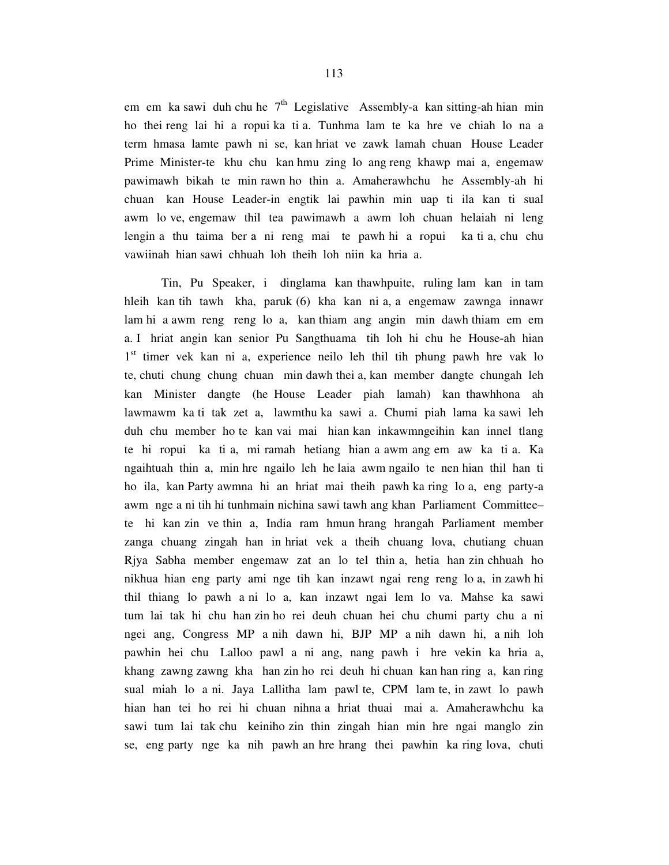em em ka sawi duh chu he  $7<sup>th</sup>$  Legislative Assembly-a kan sitting-ah hian min ho thei reng lai hi a ropui ka ti a. Tunhma lam te ka hre ve chiah lo na a term hmasa lamte pawh ni se, kan hriat ve zawk lamah chuan House Leader Prime Minister-te khu chu kan hmu zing lo ang reng khawp mai a, engemaw pawimawh bikah te min rawn ho thin a. Amaherawhchu he Assembly-ah hi chuan kan House Leader-in engtik lai pawhin min uap ti ila kan ti sual awm lo ve, engemaw thil tea pawimawh a awm loh chuan helaiah ni leng lengin a thu taima ber a ni reng mai te pawh hi a ropui ka ti a, chu chu vawiinah hian sawi chhuah loh theih loh niin ka hria a.

 Tin, Pu Speaker, i dinglama kan thawhpuite, ruling lam kan in tam hleih kan tih tawh kha, paruk (6) kha kan ni a, a engemaw zawnga innawr lam hi a awm reng reng lo a, kan thiam ang angin min dawh thiam em em a. I hriat angin kan senior Pu Sangthuama tih loh hi chu he House-ah hian 1<sup>st</sup> timer vek kan ni a, experience neilo leh thil tih phung pawh hre vak lo te, chuti chung chung chuan min dawh thei a, kan member dangte chungah leh kan Minister dangte (he House Leader piah lamah) kan thawhhona ah lawmawm ka ti tak zet a, lawmthu ka sawi a. Chumi piah lama ka sawi leh duh chu member ho te kan vai mai hian kan inkawmngeihin kan innel tlang te hi ropui ka ti a, mi ramah hetiang hian a awm ang em aw ka ti a. Ka ngaihtuah thin a, min hre ngailo leh he laia awm ngailo te nen hian thil han ti ho ila, kan Party awmna hi an hriat mai theih pawh ka ring lo a, eng party-a awm nge a ni tih hi tunhmain nichina sawi tawh ang khan Parliament Committee– te hi kan zin ve thin a, India ram hmun hrang hrangah Parliament member zanga chuang zingah han in hriat vek a theih chuang lova, chutiang chuan Rjya Sabha member engemaw zat an lo tel thin a, hetia han zin chhuah ho nikhua hian eng party ami nge tih kan inzawt ngai reng reng lo a, in zawh hi thil thiang lo pawh a ni lo a, kan inzawt ngai lem lo va. Mahse ka sawi tum lai tak hi chu han zin ho rei deuh chuan hei chu chumi party chu a ni ngei ang, Congress MP a nih dawn hi, BJP MP a nih dawn hi, a nih loh pawhin hei chu Lalloo pawl a ni ang, nang pawh i hre vekin ka hria a, khang zawng zawng kha han zin ho rei deuh hi chuan kan han ring a, kan ring sual miah lo a ni. Jaya Lallitha lam pawl te, CPM lam te, in zawt lo pawh hian han tei ho rei hi chuan nihna a hriat thuai mai a. Amaherawhchu ka sawi tum lai tak chu keiniho zin thin zingah hian min hre ngai manglo zin se, eng party nge ka nih pawh an hre hrang thei pawhin ka ring lova, chuti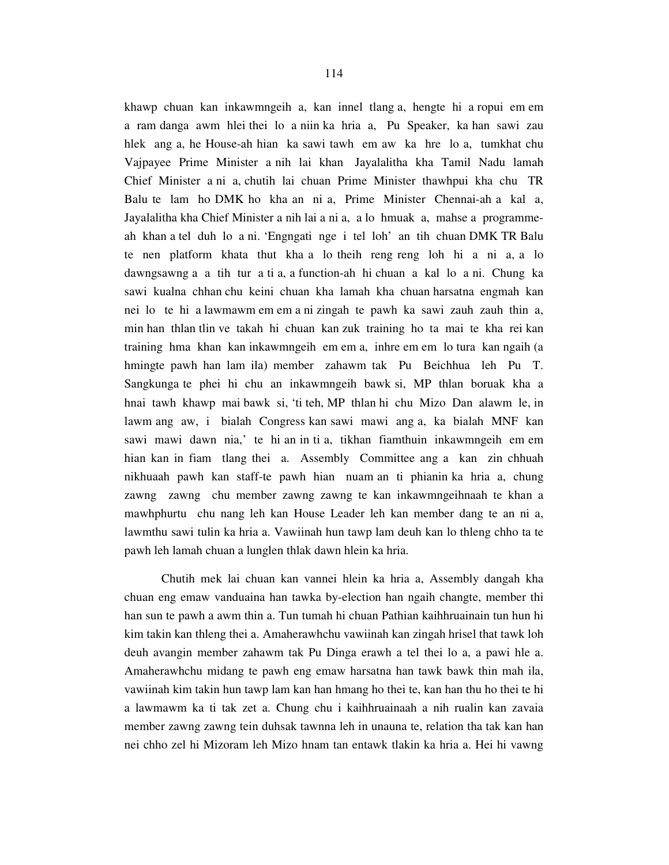khawp chuan kan inkawmngeih a, kan innel tlang a, hengte hi a ropui em em a ram danga awm hlei thei lo a niin ka hria a, Pu Speaker, ka han sawi zau hlek ang a, he House-ah hian ka sawi tawh em aw ka hre lo a, tumkhat chu Vajpayee Prime Minister a nih lai khan Jayalalitha kha Tamil Nadu lamah Chief Minister a ni a, chutih lai chuan Prime Minister thawhpui kha chu TR Balu te lam ho DMK ho kha an ni a, Prime Minister Chennai-ah a kal a, Jayalalitha kha Chief Minister a nih lai a ni a, a lo hmuak a, mahse a programmeah khan a tel duh lo a ni. 'Engngati nge i tel loh' an tih chuan DMK TR Balu te nen platform khata thut kha a lo theih reng reng loh hi a ni a, a lo dawngsawng a a tih tur a ti a, a function-ah hi chuan a kal lo a ni. Chung ka sawi kualna chhan chu keini chuan kha lamah kha chuan harsatna engmah kan nei lo te hi a lawmawm em em a ni zingah te pawh ka sawi zauh zauh thin a, min han thlan tlin ve takah hi chuan kan zuk training ho ta mai te kha rei kan training hma khan kan inkawmngeih em em a, inhre em em lo tura kan ngaih (a hmingte pawh han lam ila) member zahawm tak Pu Beichhua leh Pu T. Sangkunga te phei hi chu an inkawmngeih bawk si, MP thlan boruak kha a hnai tawh khawp mai bawk si, 'ti teh, MP thlan hi chu Mizo Dan alawm le, in lawm ang aw, i bialah Congress kan sawi mawi ang a, ka bialah MNF kan sawi mawi dawn nia,' te hi an in ti a, tikhan fiamthuin inkawmngeih em em hian kan in fiam tlang thei a. Assembly Committee ang a kan zin chhuah nikhuaah pawh kan staff-te pawh hian nuam an ti phianin ka hria a, chung zawng zawng chu member zawng zawng te kan inkawmngeihnaah te khan a mawhphurtu chu nang leh kan House Leader leh kan member dang te an ni a, lawmthu sawi tulin ka hria a. Vawiinah hun tawp lam deuh kan lo thleng chho ta te pawh leh lamah chuan a lunglen thlak dawn hlein ka hria.

 Chutih mek lai chuan kan vannei hlein ka hria a, Assembly dangah kha chuan eng emaw vanduaina han tawka by-election han ngaih changte, member thi han sun te pawh a awm thin a. Tun tumah hi chuan Pathian kaihhruainain tun hun hi kim takin kan thleng thei a. Amaherawhchu vawiinah kan zingah hrisel that tawk loh deuh avangin member zahawm tak Pu Dinga erawh a tel thei lo a, a pawi hle a. Amaherawhchu midang te pawh eng emaw harsatna han tawk bawk thin mah ila, vawiinah kim takin hun tawp lam kan han hmang ho thei te, kan han thu ho thei te hi a lawmawm ka ti tak zet a. Chung chu i kaihhruainaah a nih rualin kan zavaia member zawng zawng tein duhsak tawnna leh in unauna te, relation tha tak kan han nei chho zel hi Mizoram leh Mizo hnam tan entawk tlakin ka hria a. Hei hi vawng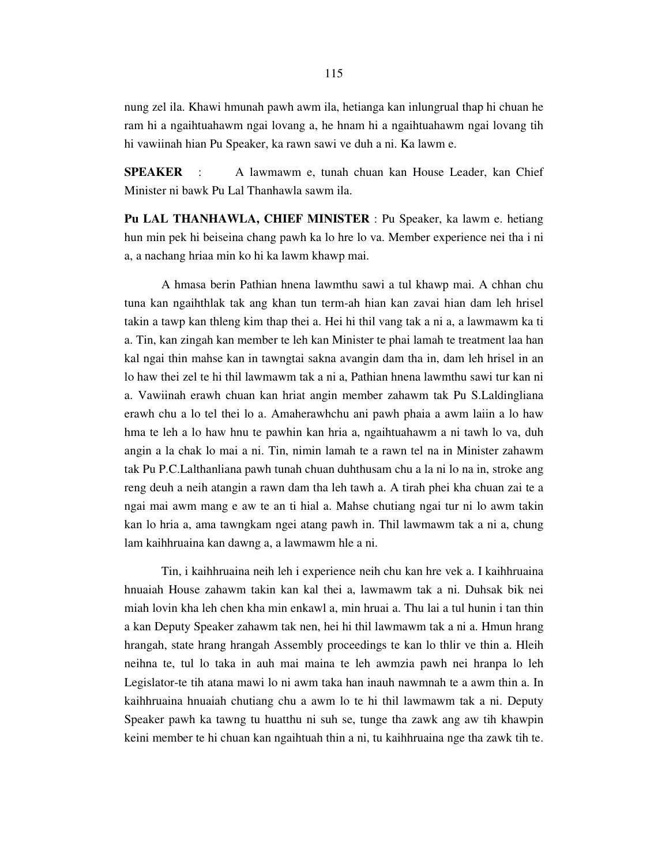nung zel ila. Khawi hmunah pawh awm ila, hetianga kan inlungrual thap hi chuan he ram hi a ngaihtuahawm ngai lovang a, he hnam hi a ngaihtuahawm ngai lovang tih hi vawiinah hian Pu Speaker, ka rawn sawi ve duh a ni. Ka lawm e.

**SPEAKER** : A lawmawm e, tunah chuan kan House Leader, kan Chief Minister ni bawk Pu Lal Thanhawla sawm ila.

**Pu LAL THANHAWLA, CHIEF MINISTER** : Pu Speaker, ka lawm e. hetiang hun min pek hi beiseina chang pawh ka lo hre lo va. Member experience nei tha i ni a, a nachang hriaa min ko hi ka lawm khawp mai.

 A hmasa berin Pathian hnena lawmthu sawi a tul khawp mai. A chhan chu tuna kan ngaihthlak tak ang khan tun term-ah hian kan zavai hian dam leh hrisel takin a tawp kan thleng kim thap thei a. Hei hi thil vang tak a ni a, a lawmawm ka ti a. Tin, kan zingah kan member te leh kan Minister te phai lamah te treatment laa han kal ngai thin mahse kan in tawngtai sakna avangin dam tha in, dam leh hrisel in an lo haw thei zel te hi thil lawmawm tak a ni a, Pathian hnena lawmthu sawi tur kan ni a. Vawiinah erawh chuan kan hriat angin member zahawm tak Pu S.Laldingliana erawh chu a lo tel thei lo a. Amaherawhchu ani pawh phaia a awm laiin a lo haw hma te leh a lo haw hnu te pawhin kan hria a, ngaihtuahawm a ni tawh lo va, duh angin a la chak lo mai a ni. Tin, nimin lamah te a rawn tel na in Minister zahawm tak Pu P.C.Lalthanliana pawh tunah chuan duhthusam chu a la ni lo na in, stroke ang reng deuh a neih atangin a rawn dam tha leh tawh a. A tirah phei kha chuan zai te a ngai mai awm mang e aw te an ti hial a. Mahse chutiang ngai tur ni lo awm takin kan lo hria a, ama tawngkam ngei atang pawh in. Thil lawmawm tak a ni a, chung lam kaihhruaina kan dawng a, a lawmawm hle a ni.

 Tin, i kaihhruaina neih leh i experience neih chu kan hre vek a. I kaihhruaina hnuaiah House zahawm takin kan kal thei a, lawmawm tak a ni. Duhsak bik nei miah lovin kha leh chen kha min enkawl a, min hruai a. Thu lai a tul hunin i tan thin a kan Deputy Speaker zahawm tak nen, hei hi thil lawmawm tak a ni a. Hmun hrang hrangah, state hrang hrangah Assembly proceedings te kan lo thlir ve thin a. Hleih neihna te, tul lo taka in auh mai maina te leh awmzia pawh nei hranpa lo leh Legislator-te tih atana mawi lo ni awm taka han inauh nawmnah te a awm thin a. In kaihhruaina hnuaiah chutiang chu a awm lo te hi thil lawmawm tak a ni. Deputy Speaker pawh ka tawng tu huatthu ni suh se, tunge tha zawk ang aw tih khawpin keini member te hi chuan kan ngaihtuah thin a ni, tu kaihhruaina nge tha zawk tih te.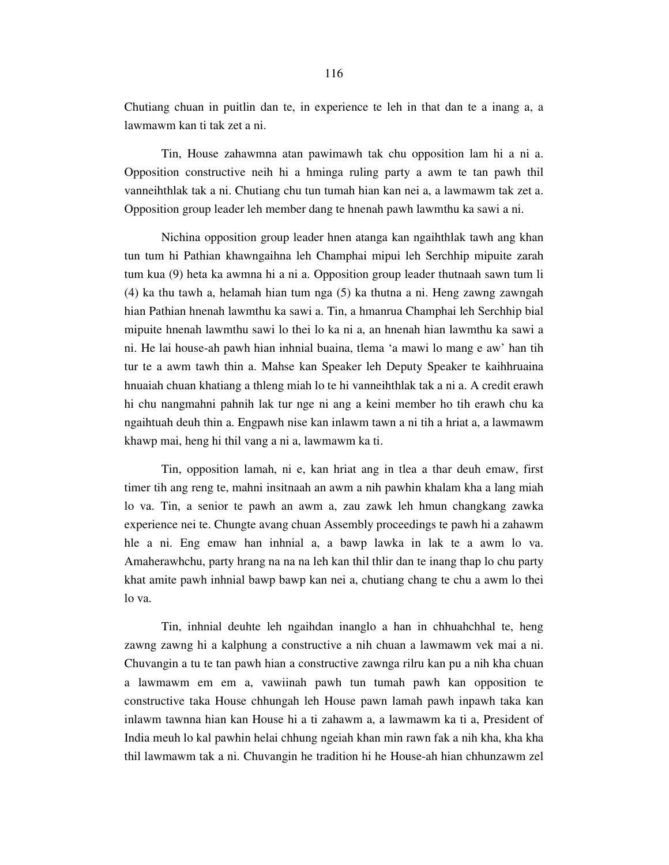Chutiang chuan in puitlin dan te, in experience te leh in that dan te a inang a, a lawmawm kan ti tak zet a ni.

 Tin, House zahawmna atan pawimawh tak chu opposition lam hi a ni a. Opposition constructive neih hi a hminga ruling party a awm te tan pawh thil vanneihthlak tak a ni. Chutiang chu tun tumah hian kan nei a, a lawmawm tak zet a. Opposition group leader leh member dang te hnenah pawh lawmthu ka sawi a ni.

 Nichina opposition group leader hnen atanga kan ngaihthlak tawh ang khan tun tum hi Pathian khawngaihna leh Champhai mipui leh Serchhip mipuite zarah tum kua (9) heta ka awmna hi a ni a. Opposition group leader thutnaah sawn tum li (4) ka thu tawh a, helamah hian tum nga (5) ka thutna a ni. Heng zawng zawngah hian Pathian hnenah lawmthu ka sawi a. Tin, a hmanrua Champhai leh Serchhip bial mipuite hnenah lawmthu sawi lo thei lo ka ni a, an hnenah hian lawmthu ka sawi a ni. He lai house-ah pawh hian inhnial buaina, tlema 'a mawi lo mang e aw' han tih tur te a awm tawh thin a. Mahse kan Speaker leh Deputy Speaker te kaihhruaina hnuaiah chuan khatiang a thleng miah lo te hi vanneihthlak tak a ni a. A credit erawh hi chu nangmahni pahnih lak tur nge ni ang a keini member ho tih erawh chu ka ngaihtuah deuh thin a. Engpawh nise kan inlawm tawn a ni tih a hriat a, a lawmawm khawp mai, heng hi thil vang a ni a, lawmawm ka ti.

 Tin, opposition lamah, ni e, kan hriat ang in tlea a thar deuh emaw, first timer tih ang reng te, mahni insitnaah an awm a nih pawhin khalam kha a lang miah lo va. Tin, a senior te pawh an awm a, zau zawk leh hmun changkang zawka experience nei te. Chungte avang chuan Assembly proceedings te pawh hi a zahawm hle a ni. Eng emaw han inhnial a, a bawp lawka in lak te a awm lo va. Amaherawhchu, party hrang na na na leh kan thil thlir dan te inang thap lo chu party khat amite pawh inhnial bawp bawp kan nei a, chutiang chang te chu a awm lo thei lo va.

 Tin, inhnial deuhte leh ngaihdan inanglo a han in chhuahchhal te, heng zawng zawng hi a kalphung a constructive a nih chuan a lawmawm vek mai a ni. Chuvangin a tu te tan pawh hian a constructive zawnga rilru kan pu a nih kha chuan a lawmawm em em a, vawiinah pawh tun tumah pawh kan opposition te constructive taka House chhungah leh House pawn lamah pawh inpawh taka kan inlawm tawnna hian kan House hi a ti zahawm a, a lawmawm ka ti a, President of India meuh lo kal pawhin helai chhung ngeiah khan min rawn fak a nih kha, kha kha thil lawmawm tak a ni. Chuvangin he tradition hi he House-ah hian chhunzawm zel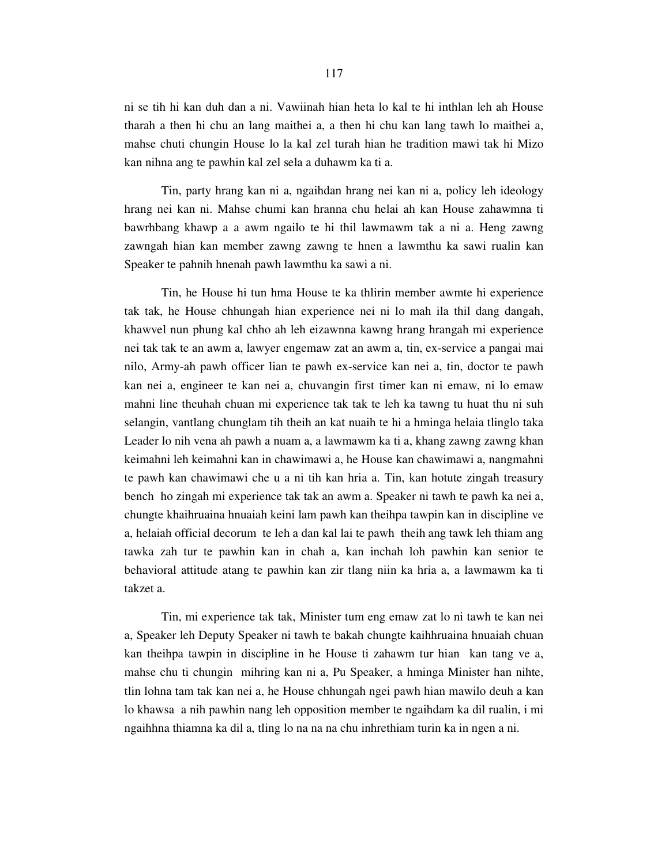ni se tih hi kan duh dan a ni. Vawiinah hian heta lo kal te hi inthlan leh ah House tharah a then hi chu an lang maithei a, a then hi chu kan lang tawh lo maithei a, mahse chuti chungin House lo la kal zel turah hian he tradition mawi tak hi Mizo kan nihna ang te pawhin kal zel sela a duhawm ka ti a.

 Tin, party hrang kan ni a, ngaihdan hrang nei kan ni a, policy leh ideology hrang nei kan ni. Mahse chumi kan hranna chu helai ah kan House zahawmna ti bawrhbang khawp a a awm ngailo te hi thil lawmawm tak a ni a. Heng zawng zawngah hian kan member zawng zawng te hnen a lawmthu ka sawi rualin kan Speaker te pahnih hnenah pawh lawmthu ka sawi a ni.

 Tin, he House hi tun hma House te ka thlirin member awmte hi experience tak tak, he House chhungah hian experience nei ni lo mah ila thil dang dangah, khawvel nun phung kal chho ah leh eizawnna kawng hrang hrangah mi experience nei tak tak te an awm a, lawyer engemaw zat an awm a, tin, ex-service a pangai mai nilo, Army-ah pawh officer lian te pawh ex-service kan nei a, tin, doctor te pawh kan nei a, engineer te kan nei a, chuvangin first timer kan ni emaw, ni lo emaw mahni line theuhah chuan mi experience tak tak te leh ka tawng tu huat thu ni suh selangin, vantlang chunglam tih theih an kat nuaih te hi a hminga helaia tlinglo taka Leader lo nih vena ah pawh a nuam a, a lawmawm ka ti a, khang zawng zawng khan keimahni leh keimahni kan in chawimawi a, he House kan chawimawi a, nangmahni te pawh kan chawimawi che u a ni tih kan hria a. Tin, kan hotute zingah treasury bench ho zingah mi experience tak tak an awm a. Speaker ni tawh te pawh ka nei a, chungte khaihruaina hnuaiah keini lam pawh kan theihpa tawpin kan in discipline ve a, helaiah official decorum te leh a dan kal lai te pawh theih ang tawk leh thiam ang tawka zah tur te pawhin kan in chah a, kan inchah loh pawhin kan senior te behavioral attitude atang te pawhin kan zir tlang niin ka hria a, a lawmawm ka ti takzet a.

 Tin, mi experience tak tak, Minister tum eng emaw zat lo ni tawh te kan nei a, Speaker leh Deputy Speaker ni tawh te bakah chungte kaihhruaina hnuaiah chuan kan theihpa tawpin in discipline in he House ti zahawm tur hian kan tang ve a, mahse chu ti chungin mihring kan ni a, Pu Speaker, a hminga Minister han nihte, tlin lohna tam tak kan nei a, he House chhungah ngei pawh hian mawilo deuh a kan lo khawsa a nih pawhin nang leh opposition member te ngaihdam ka dil rualin, i mi ngaihhna thiamna ka dil a, tling lo na na na chu inhrethiam turin ka in ngen a ni.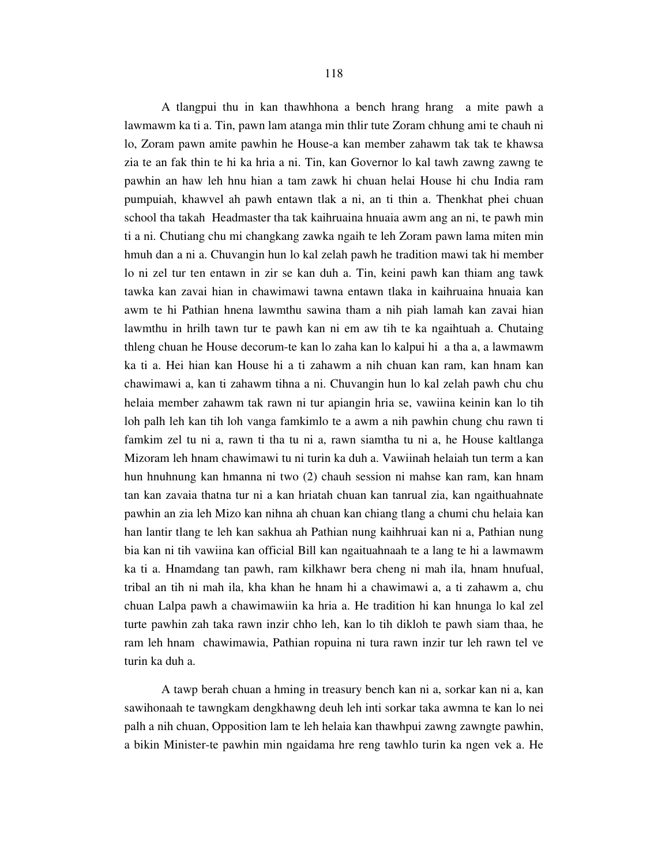A tlangpui thu in kan thawhhona a bench hrang hrang a mite pawh a lawmawm ka ti a. Tin, pawn lam atanga min thlir tute Zoram chhung ami te chauh ni lo, Zoram pawn amite pawhin he House-a kan member zahawm tak tak te khawsa zia te an fak thin te hi ka hria a ni. Tin, kan Governor lo kal tawh zawng zawng te pawhin an haw leh hnu hian a tam zawk hi chuan helai House hi chu India ram pumpuiah, khawvel ah pawh entawn tlak a ni, an ti thin a. Thenkhat phei chuan school tha takah Headmaster tha tak kaihruaina hnuaia awm ang an ni, te pawh min ti a ni. Chutiang chu mi changkang zawka ngaih te leh Zoram pawn lama miten min hmuh dan a ni a. Chuvangin hun lo kal zelah pawh he tradition mawi tak hi member lo ni zel tur ten entawn in zir se kan duh a. Tin, keini pawh kan thiam ang tawk tawka kan zavai hian in chawimawi tawna entawn tlaka in kaihruaina hnuaia kan awm te hi Pathian hnena lawmthu sawina tham a nih piah lamah kan zavai hian lawmthu in hrilh tawn tur te pawh kan ni em aw tih te ka ngaihtuah a. Chutaing thleng chuan he House decorum-te kan lo zaha kan lo kalpui hi a tha a, a lawmawm ka ti a. Hei hian kan House hi a ti zahawm a nih chuan kan ram, kan hnam kan chawimawi a, kan ti zahawm tihna a ni. Chuvangin hun lo kal zelah pawh chu chu helaia member zahawm tak rawn ni tur apiangin hria se, vawiina keinin kan lo tih loh palh leh kan tih loh vanga famkimlo te a awm a nih pawhin chung chu rawn ti famkim zel tu ni a, rawn ti tha tu ni a, rawn siamtha tu ni a, he House kaltlanga Mizoram leh hnam chawimawi tu ni turin ka duh a. Vawiinah helaiah tun term a kan hun hnuhnung kan hmanna ni two (2) chauh session ni mahse kan ram, kan hnam tan kan zavaia thatna tur ni a kan hriatah chuan kan tanrual zia, kan ngaithuahnate pawhin an zia leh Mizo kan nihna ah chuan kan chiang tlang a chumi chu helaia kan han lantir tlang te leh kan sakhua ah Pathian nung kaihhruai kan ni a, Pathian nung bia kan ni tih vawiina kan official Bill kan ngaituahnaah te a lang te hi a lawmawm ka ti a. Hnamdang tan pawh, ram kilkhawr bera cheng ni mah ila, hnam hnufual, tribal an tih ni mah ila, kha khan he hnam hi a chawimawi a, a ti zahawm a, chu chuan Lalpa pawh a chawimawiin ka hria a. He tradition hi kan hnunga lo kal zel turte pawhin zah taka rawn inzir chho leh, kan lo tih dikloh te pawh siam thaa, he ram leh hnam chawimawia, Pathian ropuina ni tura rawn inzir tur leh rawn tel ve turin ka duh a.

 A tawp berah chuan a hming in treasury bench kan ni a, sorkar kan ni a, kan sawihonaah te tawngkam dengkhawng deuh leh inti sorkar taka awmna te kan lo nei palh a nih chuan, Opposition lam te leh helaia kan thawhpui zawng zawngte pawhin, a bikin Minister-te pawhin min ngaidama hre reng tawhlo turin ka ngen vek a. He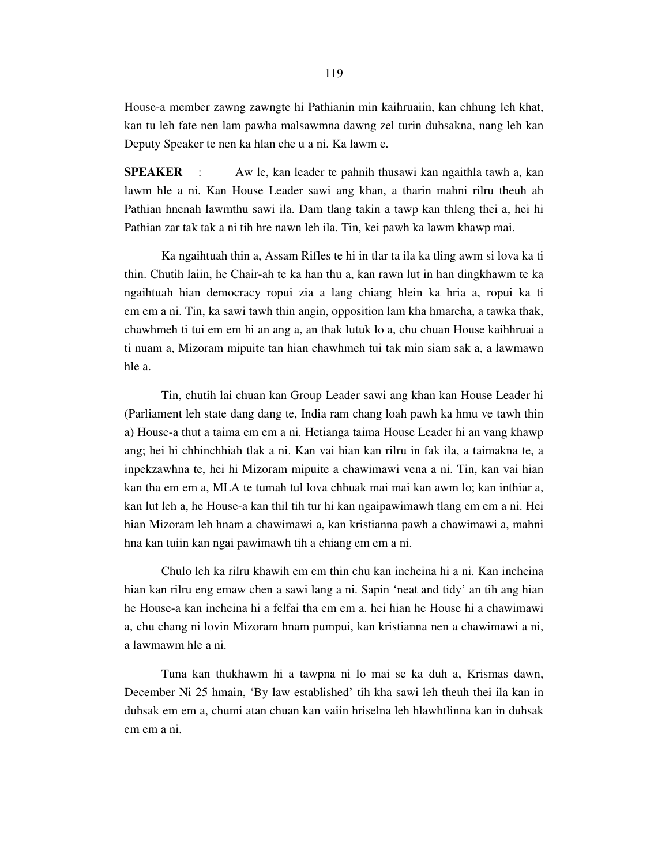House-a member zawng zawngte hi Pathianin min kaihruaiin, kan chhung leh khat, kan tu leh fate nen lam pawha malsawmna dawng zel turin duhsakna, nang leh kan Deputy Speaker te nen ka hlan che u a ni. Ka lawm e.

**SPEAKER** : Aw le, kan leader te pahnih thusawi kan ngaithla tawh a, kan lawm hle a ni. Kan House Leader sawi ang khan, a tharin mahni rilru theuh ah Pathian hnenah lawmthu sawi ila. Dam tlang takin a tawp kan thleng thei a, hei hi Pathian zar tak tak a ni tih hre nawn leh ila. Tin, kei pawh ka lawm khawp mai.

 Ka ngaihtuah thin a, Assam Rifles te hi in tlar ta ila ka tling awm si lova ka ti thin. Chutih laiin, he Chair-ah te ka han thu a, kan rawn lut in han dingkhawm te ka ngaihtuah hian democracy ropui zia a lang chiang hlein ka hria a, ropui ka ti em em a ni. Tin, ka sawi tawh thin angin, opposition lam kha hmarcha, a tawka thak, chawhmeh ti tui em em hi an ang a, an thak lutuk lo a, chu chuan House kaihhruai a ti nuam a, Mizoram mipuite tan hian chawhmeh tui tak min siam sak a, a lawmawn hle a.

 Tin, chutih lai chuan kan Group Leader sawi ang khan kan House Leader hi (Parliament leh state dang dang te, India ram chang loah pawh ka hmu ve tawh thin a) House-a thut a taima em em a ni. Hetianga taima House Leader hi an vang khawp ang; hei hi chhinchhiah tlak a ni. Kan vai hian kan rilru in fak ila, a taimakna te, a inpekzawhna te, hei hi Mizoram mipuite a chawimawi vena a ni. Tin, kan vai hian kan tha em em a, MLA te tumah tul lova chhuak mai mai kan awm lo; kan inthiar a, kan lut leh a, he House-a kan thil tih tur hi kan ngaipawimawh tlang em em a ni. Hei hian Mizoram leh hnam a chawimawi a, kan kristianna pawh a chawimawi a, mahni hna kan tuiin kan ngai pawimawh tih a chiang em em a ni.

 Chulo leh ka rilru khawih em em thin chu kan incheina hi a ni. Kan incheina hian kan rilru eng emaw chen a sawi lang a ni. Sapin 'neat and tidy' an tih ang hian he House-a kan incheina hi a felfai tha em em a. hei hian he House hi a chawimawi a, chu chang ni lovin Mizoram hnam pumpui, kan kristianna nen a chawimawi a ni, a lawmawm hle a ni.

 Tuna kan thukhawm hi a tawpna ni lo mai se ka duh a, Krismas dawn, December Ni 25 hmain, 'By law established' tih kha sawi leh theuh thei ila kan in duhsak em em a, chumi atan chuan kan vaiin hriselna leh hlawhtlinna kan in duhsak em em a ni.